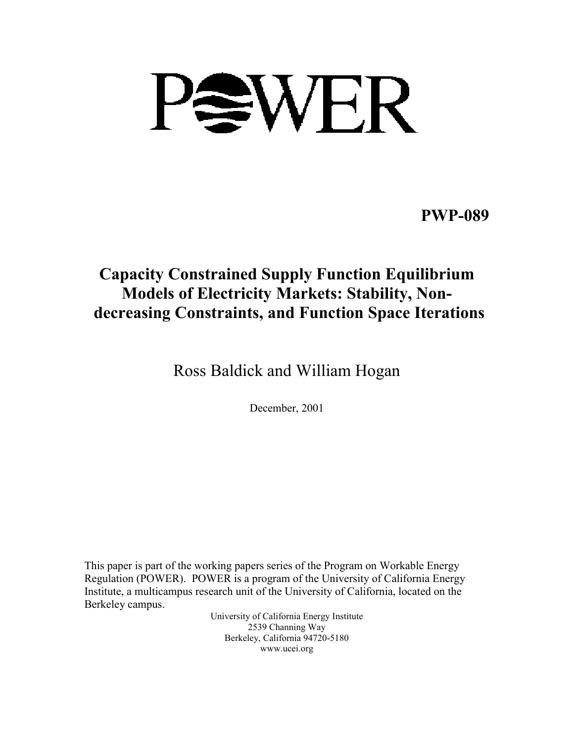

**PWP-089**

# **Capacity Constrained Supply Function Equilibrium Models of Electricity Markets: Stability, Nondecreasing Constraints, and Function Space Iterations**

Ross Baldick and William Hogan

December, 2001

This paper is part of the working papers series of the Program on Workable Energy Regulation (POWER). POWER is a program of the University of California Energy Institute, a multicampus research unit of the University of California, located on the Berkeley campus.

> University of California Energy Institute 2539 Channing Way Berkeley, California 94720-5180 www.ucei.org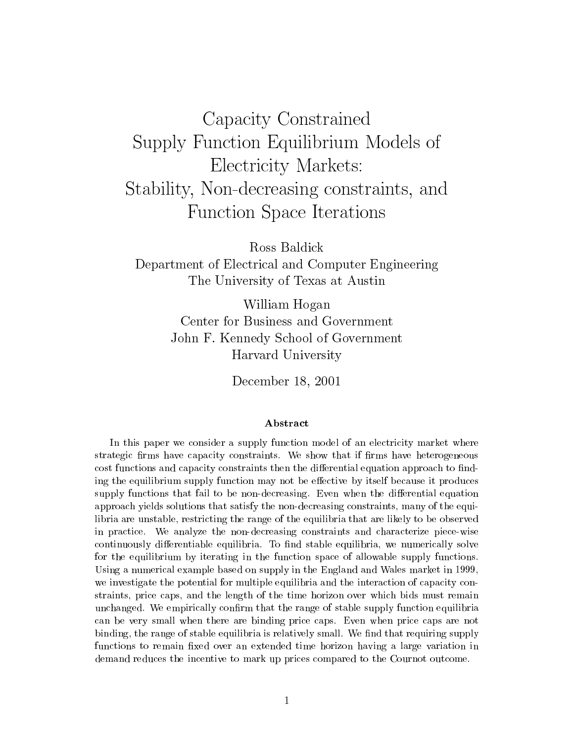# Capacity Constrained Supply Function Equinoment Construction Equipment of  $\sim$ Electricity Markets:  $S$  statistics,  $\mathcal{S}$  ,  $\mathcal{S}$  , and decreasing constraints, and and analyzing constraints, and and an Function Space Iterations

Ross Baldick

Department of Electrical and Computer Engineering The University of Texas at Austin

> William Hogan Center for Business and Government John F. Kennedy School of Government Harvard University

> > December 18, 2001

#### Abstract

In this paper we consider <sup>a</sup> supply function model of an electricity market where strategic rms have capacity constraints. We show that if rms have heterogeneous cost functions and capacity constraints then the differential equation approach to finding the equilibrium supply function may not be eective by itself because it produces supply functions that fail to be non-decreasing. Even when the dierential equation approach yields solutions that satisfy the non-decreasing constraints, many of the equilibria are unstable, restricting the range of the equilibria that are likely to be observedin practice. We analyze the non-decreasing constraints and characterize piece-wise continuously dierentiable equilibria. To nd stable equilibria, we numerically solve for the equilibrium by iterating in the function space of allowable supply functions. Using a numerical example based on supply in the England and Wales market in 1999,we investigate the potential for multiple equilibria and the interaction of capacity constraints, price caps, and the length of the time horizon over which bids must remain unchanged. We empirically conrm that the range of stable supply function equilibria can be very small when there are binding price caps. Even when price caps are not binding, the range of stable equilibria is relatively small. We nd that requiring supply functions to remain xed over an extended time horizon having <sup>a</sup> large variation in demand reduces the incentive to mark up prices compared to the Cournot outcome.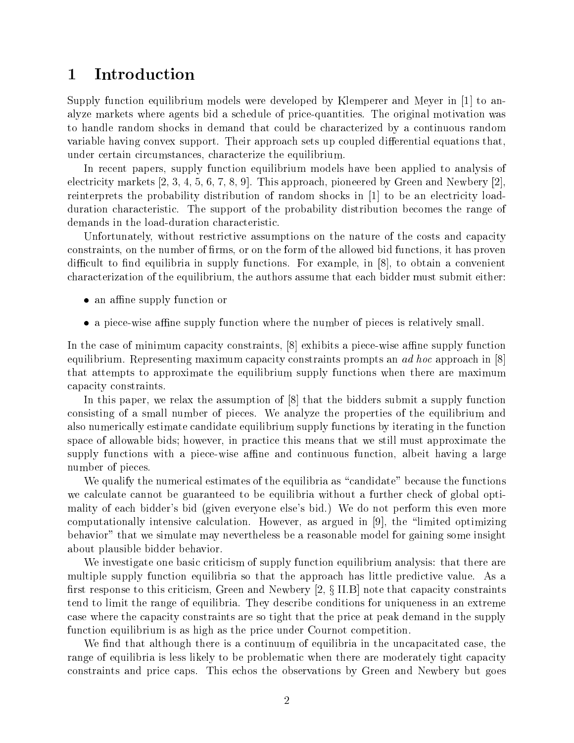#### **Introduction** 1

Supply function equilibrium models were developed by Klemperer and Meyer in [1] to analyze markets where agents bid a schedule of price-quantities. The original motivation was to handle random shocks in demand that could be characterized by a continuous random variable having convex support. Their approach sets up coupled differential equations that, under certain circumstances, characterize the equilibrium.

In recent papers, supply function equilibrium models have been applied to analysis of electricity markets [2, 3, 4, 5, 6, 7, 8, 9]. This approach, pioneered by Green and Newbery [2], reinterprets the probability distribution of random shocks in [1] to be an electricity loadduration characteristic. The support of the probability distribution becomes the range of demands in the load-duration characteristic.

Unfortunately, without restrictive assumptions on the nature of the costs and capacity constraints, on the number of firms, or on the form of the allowed bid functions, it has proven difficult to find equilibria in supply functions. For example, in  $[8]$ , to obtain a convenient characterization of the equilibrium, the authors assume that each bidder must submit either:

- an affine supply function or
- a piece-wise affine supply function where the number of pieces is relatively small.

In the case of minimum capacity constraints,  $[8]$  exhibits a piece-wise affine supply function equilibrium. Representing maximum capacity constraints prompts an *ad hoc* approach in [8] that attempts to approximate the equilibrium supply functions when there are maximum capacity constraints.

In this paper, we relax the assumption of [8] that the bidders submit a supply function consisting of a small number of pieces. We analyze the properties of the equilibrium and also numerically estimate candidate equilibrium supply functions by iterating in the function space of allowable bids; however, in practice this means that we still must approximate the supply functions with a piece-wise affine and continuous function, albeit having a large number of pieces.

We qualify the numerical estimates of the equilibria as "candidate" because the functions we calculate cannot be guaranteed to be equilibria without a further check of global optimality of each bidder's bid (given everyone else's bid.) We do not perform this even more computationally intensive calculation. However, as argued in  $[9]$ , the "limited optimizing behavior" that we simulate may nevertheless be a reasonable model for gaining some insight about plausible bidder behavior.

We investigate one basic criticism of supply function equilibrium analysis: that there are multiple supply function equilibria so that the approach has little predictive value. As a first response to this criticism, Green and Newbery  $[2, \S \text{ II.B}]$  note that capacity constraints tend to limit the range of equilibria. They describe conditions for uniqueness in an extreme case where the capacity constraints are so tight that the price at peak demand in the supply function equilibrium is as high as the price under Cournot competition.

We find that although there is a continuum of equilibria in the uncapacitated case, the range of equilibria is less likely to be problematic when there are moderately tight capacity constraints and price caps. This echos the observations by Green and Newbery but goes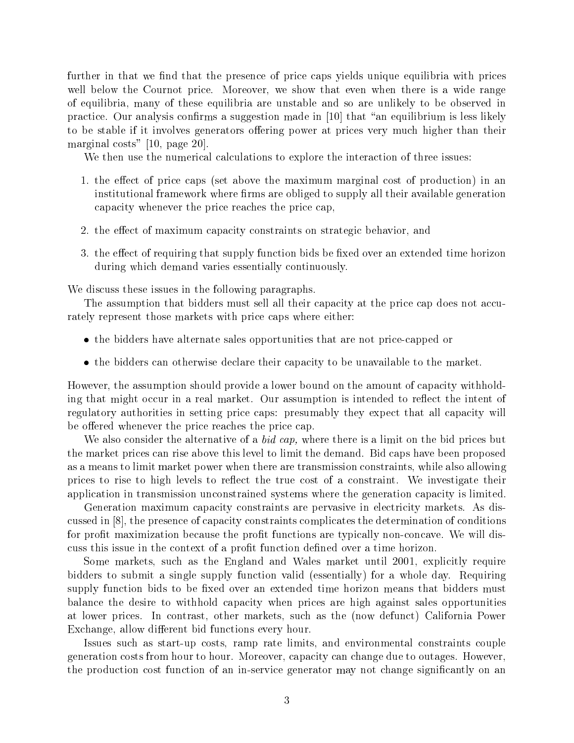further in that we find that the presence of price caps yields unique equilibria with prices well below the Cournot price. Moreover, we show that even when there is a wide range of equilibria, many of these equilibria are unstable and so are unlikely to be observed in practice. Our analysis confirms a suggestion made in [10] that "an equilibrium is less likely to be stable if it involves generators offering power at prices very much higher than their marginal costs" [10, page 20].

We then use the numerical calculations to explore the interaction of three issues:

- 1. the effect of price caps (set above the maximum marginal cost of production) in an institutional framework where firms are obliged to supply all their available generation capacity whenever the price reaches the price cap,
- 2. the effect of maximum capacity constraints on strategic behavior, and
- 3. the effect of requiring that supply function bids be fixed over an extended time horizon during which demand varies essentially continuously.

We discuss these issues in the following paragraphs.

The assumption that bidders must sell all their capacity at the price cap does not accurately represent those markets with price caps where either:

- the bidders have alternate sales opportunities that are not price-capped or
- the bidders can otherwise declare their capacity to be unavailable to the market.

However, the assumption should provide a lower bound on the amount of capacity withholding that might occur in a real market. Our assumption is intended to reflect the intent of regulatory authorities in setting price caps: presumably they expect that all capacity will be offered whenever the price reaches the price cap.

We also consider the alternative of a *bid cap*, where there is a limit on the bid prices but the market prices can rise above this level to limit the demand. Bid caps have been proposed as a means to limit market power when there are transmission constraints, while also allowing prices to rise to high levels to reflect the true cost of a constraint. We investigate their application in transmission unconstrained systems where the generation capacity is limited.

Generation maximum capacity constraints are pervasive in electricity markets. As discussed in [8], the presence of capacity constraints complicates the determination of conditions for profit maximization because the profit functions are typically non-concave. We will discuss this issue in the context of a prot function dened over a time horizon.

Some markets, such as the England and Wales market until 2001, explicitly require bidders to submit a single supply function valid (essentially) for a whole day. Requiring supply function bids to be fixed over an extended time horizon means that bidders must balance the desire to withhold capacity when prices are high against sales opportunities at lower prices. In contrast, other markets, such as the (now defunct) California Power Exchange, allow different bid functions every hour.

Issues such as start-up costs, ramp rate limits, and environmental constraints couple generation costs from hour to hour. Moreover, capacity can change due to outages. However, the production cost function of an in-service generator may not change signicantly on an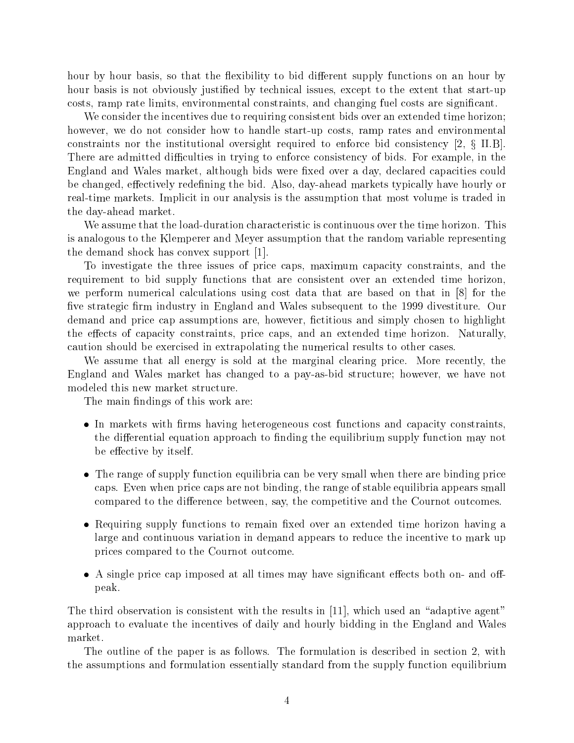hour by hour basis, so that the flexibility to bid different supply functions on an hour by hour basis is not obviously justied by technical issues, except to the extent that start-up costs, ramp rate limits, environmental constraints, and changing fuel costs are signicant.

We consider the incentives due to requiring consistent bids over an extended time horizon; however, we do not consider how to handle start-up costs, ramp rates and environmental constraints nor the institutional oversight required to enforce bid consistency [2, x II.B]. There are admitted difficulties in trying to enforce consistency of bids. For example, in the England and Wales market, although bids were fixed over a day, declared capacities could be changed, effectively redefining the bid. Also, day-ahead markets typically have hourly or real-time markets. Implicit in our analysis is the assumption that most volume is traded in the day-ahead market.

We assume that the load-duration characteristic is continuous over the time horizon. This is analogous to the Klemperer and Meyer assumption that the random variable representing the demand shock has convex support [1].

To investigate the three issues of price caps, maximum capacity constraints, and the requirement to bid supply functions that are consistent over an extended time horizon, we perform numerical calculations using cost data that are based on that in [8] for the five strategic firm industry in England and Wales subsequent to the 1999 divestiture. Our demand and price cap assumptions are, however, fictitious and simply chosen to highlight the effects of capacity constraints, price caps, and an extended time horizon. Naturally, caution should be exercised in extrapolating the numerical results to other cases.

We assume that all energy is sold at the marginal clearing price. More recently, the England and Wales market has changed to a pay-as-bid structure; however, we have not modeled this new market structure.

The main findings of this work are:

- In markets with firms having heterogeneous cost functions and capacity constraints. the differential equation approach to finding the equilibrium supply function may not be effective by itself.
- The range of supply function equilibria can be very small when there are binding price caps. Even when price caps are not binding, the range of stable equilibria appears small compared to the difference between, say, the competitive and the Cournot outcomes.
- Requiring supply functions to remain fixed over an extended time horizon having a large and continuous variation in demand appears to reduce the incentive to mark up prices compared to the Cournot outcome.
- $\bullet$  A single price cap imposed at all times may have significant effects both on- and offpeak.

The third observation is consistent with the results in  $[11]$ , which used an "adaptive agent" approach to evaluate the incentives of daily and hourly bidding in the England and Wales market.

The outline of the paper is as follows. The formulation is described in section 2, with the assumptions and formulation essentially standard from the supply function equilibrium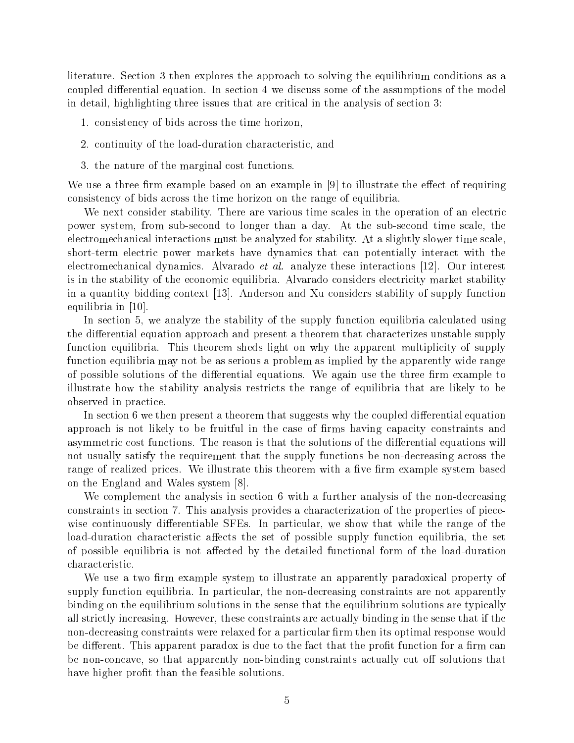literature. Section 3 then explores the approach to solving the equilibrium conditions as a coupled differential equation. In section 4 we discuss some of the assumptions of the model in detail, highlighting three issues that are critical in the analysis of section 3:

1. consistency of bids across the time horizon,

- 2. continuity of the load-duration characteristic, and
- 3. the nature of the marginal cost functions.

We use a three firm example based on an example in  $[9]$  to illustrate the effect of requiring consistency of bids across the time horizon on the range of equilibria.

We next consider stability. There are various time scales in the operation of an electric power system, from sub-second to longer than a day. At the sub-second time scale, the electromechanical interactions must be analyzed for stability. At a slightly slower time scale, short-term electric power markets have dynamics that can potentially interact with the electromechanical dynamics. Alvarado et al. analyze these interactions [12]. Our interest is in the stability of the economic equilibria. Alvarado considers electricity market stability in a quantity bidding context [13]. Anderson and Xu considers stability of supply function equilibria in [10].

In section 5, we analyze the stability of the supply function equilibria calculated using the differential equation approach and present a theorem that characterizes unstable supply function equilibria. This theorem sheds light on why the apparent multiplicity of supply function equilibria may not be as serious a problem as implied by the apparently wide range of possible solutions of the differential equations. We again use the three firm example to illustrate how the stability analysis restricts the range of equilibria that are likely to be observed in practice.

In section 6 we then present a theorem that suggests why the coupled differential equation approach is not likely to be fruitful in the case of firms having capacity constraints and asymmetric cost functions. The reason is that the solutions of the differential equations will not usually satisfy the requirement that the supply functions be non-decreasing across the range of realized prices. We illustrate this theorem with a five firm example system based on the England and Wales system [8].

We complement the analysis in section 6 with a further analysis of the non-decreasing constraints in section 7. This analysis provides a characterization of the properties of piecewise continuously differentiable SFEs. In particular, we show that while the range of the load-duration characteristic affects the set of possible supply function equilibria, the set of possible equilibria is not affected by the detailed functional form of the load-duration characteristic.

We use a two firm example system to illustrate an apparently paradoxical property of supply function equilibria. In particular, the non-decreasing constraints are not apparently binding on the equilibrium solutions in the sense that the equilibrium solutions are typically all strictly increasing. However, these constraints are actually binding in the sense that if the non-decreasing constraints were relaxed for a particular firm then its optimal response would be different. This apparent paradox is due to the fact that the profit function for a firm can be non-concave, so that apparently non-binding constraints actually cut off solutions that have higher profit than the feasible solutions.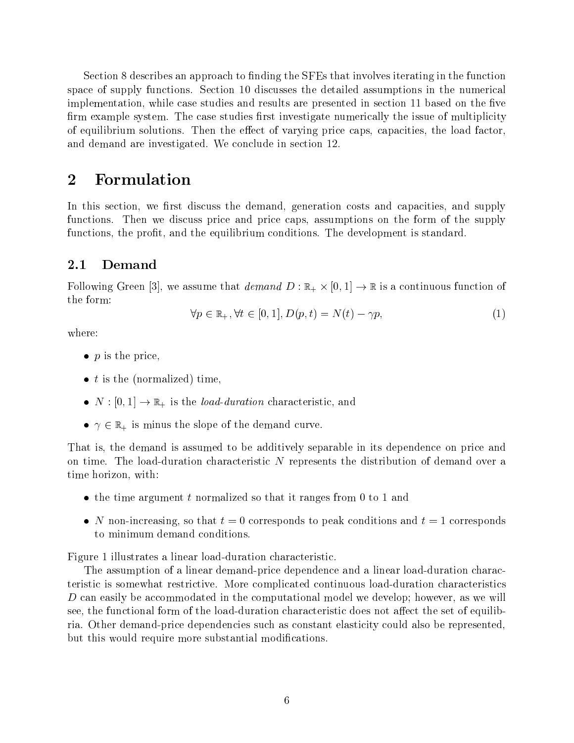Section 8 describes an approach to finding the SFEs that involves iterating in the function space of supply functions. Section 10 discusses the detailed assumptions in the numerical implementation, while case studies and results are presented in section 11 based on the five firm example system. The case studies first investigate numerically the issue of multiplicity of equilibrium solutions. Then the effect of varying price caps, capacities, the load factor, and demand are investigated. We conclude in section 12.

## 2 Formulation

In this section, we first discuss the demand, generation costs and capacities, and supply functions. Then we discuss price and price caps, assumptions on the form of the supply functions, the profit, and the equilibrium conditions. The development is standard.

## 2.1 Demand

Following Green [3], we assume that demand <sup>D</sup> : R+ - [0; 1] ! <sup>R</sup> is a continuous function of the form:

$$
\forall p \in \mathbb{R}_+, \forall t \in [0, 1], D(p, t) = N(t) - \gamma p,\tag{1}
$$

where:

- $\bullet$  p is the price,
- $\bullet$  t is the (normalized) time,
- $N : [0, 1] \rightarrow \mathbb{R}_+$  is the *load-duration* characteristic, and
- $\gamma \in \mathbb{R}_+$  is minus the slope of the demand curve.

That is, the demand is assumed to be additively separable in its dependence on price and on time. The load-duration characteristic <sup>N</sup> represents the distribution of demand over a time horizon, with:

- the time argument t normalized so that it ranges from 0 to 1 and
- N non-increasing, so that  $t = 0$  corresponds to peak conditions and  $t = 1$  corresponds to minimum demand conditions.

Figure 1 illustrates a linear load-duration characteristic.

The assumption of a linear demand-price dependence and a linear load-duration characteristic is somewhat restrictive. More complicated continuous load-duration characteristics D can easily be accommodated in the computational model we develop; however, as we will see, the functional form of the load-duration characteristic does not affect the set of equilibria. Other demand-price dependencies such asconstant elasticity could also be represented, but this would require more substantial modications.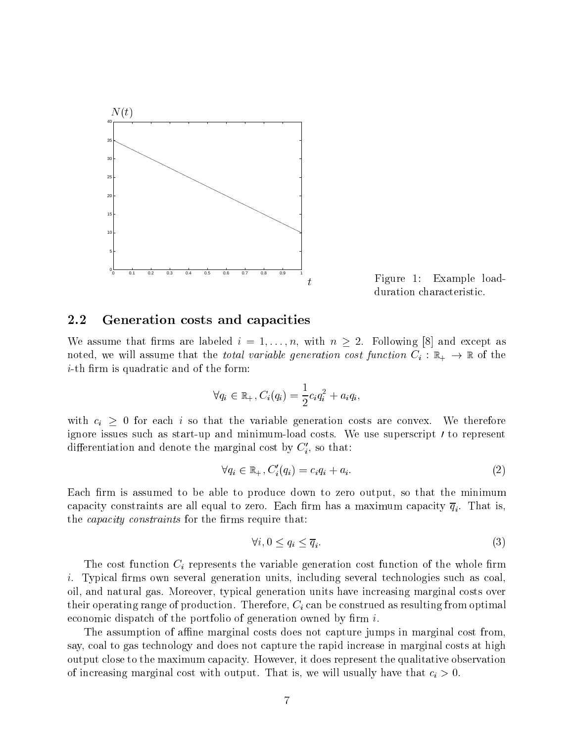

Figure 1: Example loadduration characteristic.

#### 2.2 Generation costs and capacities

we assume that the labeled into the labeled in  $\mathcal{L}_{1}$  , with n  $\mathcal{L}_{2}$  and  $\mathcal{L}_{3}$  and  $\mathcal{L}_{4}$  and  $\mathcal{L}_{5}$ noted, we will assume that the *total variable generation cost function*  $C_i : \mathbb{R}_+ \to \mathbb{R}$  of the *i*-th firm is quadratic and of the form:

$$
\forall q_i \in \mathbb{R}_+, C_i(q_i) = \frac{1}{2}c_iq_i^2 + a_iq_i,
$$

with  $c_i \geq 0$  for each i so that the variable generation costs are convex. We therefore ignore issues such as start-up and minimum-load costs. We use superscript 0 to represent differentiation and denote the marginal cost by  $C_i'$ , so that:

$$
\forall q_i \in \mathbb{R}_+, C'_i(q_i) = c_i q_i + a_i. \tag{2}
$$

Each firm is assumed to be able to produce down to zero output, so that the minimum i. The constraints are all equal to zero. Each  $\Gamma$  is, a maximum capacity  $\Gamma$  is, a maximum capacity  $\Gamma$ the *capacity constraints* for the firms require that:

$$
\forall i, 0 \le q_i \le \overline{q}_i. \tag{3}
$$

The cost function  $C_i$  represents the variable generation cost function of the whole firm  $i.$  Typical firms own several generation units, including several technologies such as coal. oil, and natural gas. Moreover, typical generation units have increasing marginal costs over their operating range of production. Therefore,  $C_i$  can be construed as resulting from optimal economic dispatch of the portfolio of generation owned by firm  $i$ .

The assumption of affine marginal costs does not capture jumps in marginal cost from. say, coal to gas technology and does not capture the rapid increase in marginal costs at high output close to the maximum capacity. However, it does represent the qualitative observation of increasing marginal cost with output. That is, we will usually have that  $c_i > 0$ .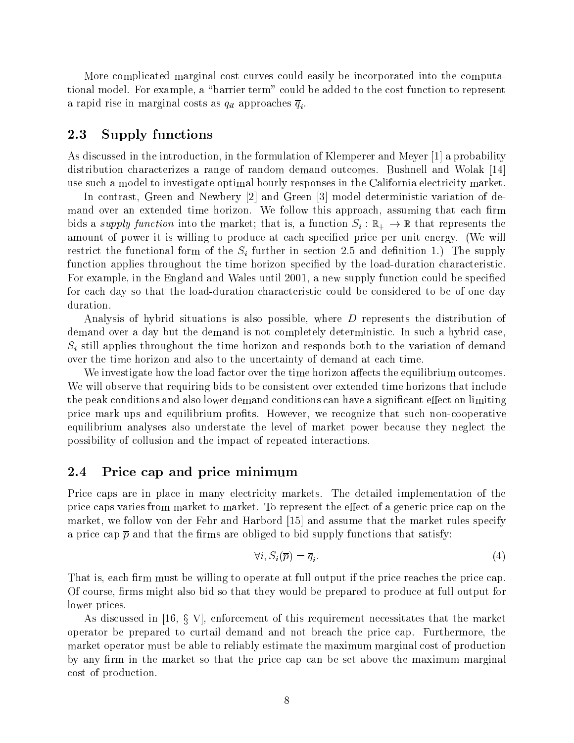More complicated marginal cost curves could easily be incorporated into the computational model. For example, a \barrier term" could be added to the cost function to represent a rapid rise in marginal costs as  $\frac{1}{u}$  is a  $\frac{1}{u}$  if and  $\frac{1}{u}$  if and  $\frac{1}{u}$  if and  $\frac{1}{u}$  if and  $\frac{1}{u}$  if and  $\frac{1}{u}$  if and  $\frac{1}{u}$  if and  $\frac{1}{u}$  if and  $\frac{1}{u}$  if and  $\frac{1}{u}$  if and  $\$ 

#### 2.3 Supply functions

As discussed in the introduction, in the formulation of Klemperer and Meyer [1] a probability distribution characterizes a range of random demand outcomes. Bushnell and Wolak [14] use such a model to investigate optimal hourly responses in the California electricity market.

In contrast, Green and Newbery [2] and Green [3] model deterministic variation of demand over an extended time horizon. We follow this approach, assuming that each firm bids a *supply function* into the market; that is, a function  $S_i : \mathbb{R}_+ \to \mathbb{R}$  that represents the amount of power it is willing to produce at each specified price per unit energy. (We will restrict the functional form of the  $S_i$  further in section 2.5 and definition 1.) The supply function applies throughout the time horizon specified by the load-duration characteristic. For example, in the England and Wales until 2001, a new supply function could be specied for each day so that the load-duration characteristic could be considered to be of one day duration.

Analysis of hybrid situations is also possible, where <sup>D</sup> represents the distribution of demand over a day but the demand is not completely deterministic. In such a hybrid case,  $S_i$  still applies throughout the time horizon and responds both to the variation of demand over the time horizon and also to the uncertainty of demand at each time.

We investigate how the load factor over the time horizon affects the equilibrium outcomes. We will observe that requiring bids to be consistent over extended time horizons that include the peak conditions and also lower demand conditions can have a significant effect on limiting price mark ups and equilibrium profits. However, we recognize that such non-cooperative equilibrium analyses also understate the level of market power because they neglect the possibility of collusion and the impact of repeated interactions.

### 2.4 Price cap and price minimum

Price caps are in place in many electricity markets. The detailed implementation of the price caps varies from market to market. To represent the effect of a generic price cap on the market, we follow von der Fehr and Harbord [15] and assume that the market rules specify a price cap  $\bar{p}$  and that the firms are obliged to bid supply functions that satisfy:

$$
\forall i, S_i(\overline{p}) = \overline{q}_i. \tag{4}
$$

That is, each firm must be willing to operate at full output if the price reaches the price cap. Of course, firms might also bid so that they would be prepared to produce at full output for lower prices.

As discussed in [16, x V], enforcement of this requirement necessitates that the market operator be prepared to curtail demand and not breach the price cap. Furthermore, the market operator must be able to reliably estimate the maximum marginal cost of production by any firm in the market so that the price cap can be set above the maximum marginal cost of production.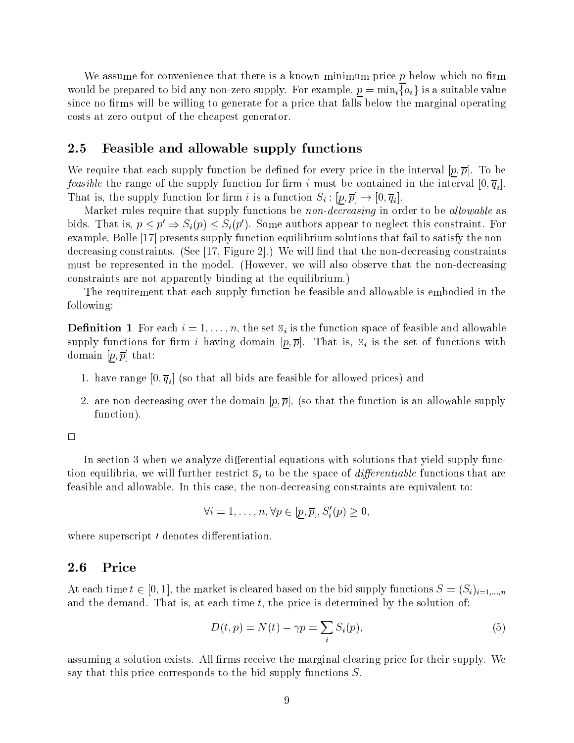We assume for convenience that there is a known minimum price  $p$  below which no firm would be prepared to bid any non-zero supply. For example,  $p = \min_i \{a_i\}$  is a suitable value since no firms will be willing to generate for a price that falls below the marginal operating costs at zero output of the cheapest generator.

### 2.5 Feasible and allowable supply functions

We require that each supply function be defined for every price in the interval  $[p, \overline{p}]$ . To be  $f$  function function for the supply function for the interval in the interval interval function  $\lfloor \circ \rangle$   $\lceil \cdot \rangle$  . That is, the supply function for the supply function  $\mathbf{r}_i$  is a function  $\mathbf{r}_i$  is a function  $\mathbf{r}_i$ 

Market rules require that supply functions be non-decreasing in order to be allowable as bids. That is,  $p \leq p \Rightarrow S_i(p) \leq S_i(p)$ . Some authors appear to neglect this constraint. For example, Bolle [17] presents supply function equilibrium solutions that fail to satisfy the nondecreasing constraints. (See  $[17,$  Figure 2.) We will find that the non-decreasing constraints must be represented in the model. (However, we will also observe that the non-decreasing constraints are not apparently binding at the equilibrium.)

The requirement that each supply function be feasible and allowable is embodied in the following:

**Definition 1** For each  $i = 1, \ldots, n$ , the set  $\mathbb{S}_i$  is the function space of feasible and allowable supply functions for firm i having domain  $[p,\overline{p}]$ . That is,  $\mathbb{S}_i$  is the set of functions with domain  $[p, \overline{p}]$  that:

- $1.$  have range  $[0, 1]$  (so that all bids are feasible for all  $\mathbf{r}$  and  $\mathbf{r}$  and  $\mathbf{r}$
- 2. are non-decreasing over the domain  $[p, \overline{p}]$ , (so that the function is an allowable supply function).

 $\Box$ 

In section 3 when we analyze differential equations with solutions that yield supply function equilibria, we will further restrict  $S_i$  to be the space of *differentiable* functions that are feasible and allowable. In this case, the non-decreasing constraints are equivalent to:

$$
\forall i = 1, \ldots, n, \forall p \in [p, \overline{p}], S'_i(p) \geq 0,
$$

where superscript or denotes die denotes die results die superscript of the superscript of the superscript of

#### 2.6 Price

At each time  $t \in [0, 1]$ , the market is cleared based on the bid supply functions  $S = (S_i)_{i=1,...,n}$ and the demand. That is, at each time  $t$ , the price is determined by the solution of:

$$
D(t, p) = N(t) - \gamma p = \sum_{i} S_i(p), \qquad (5)
$$

assuming a solution exists. All firms receive the marginal clearing price for their supply. We say that this price corresponds to the bid supply functions S.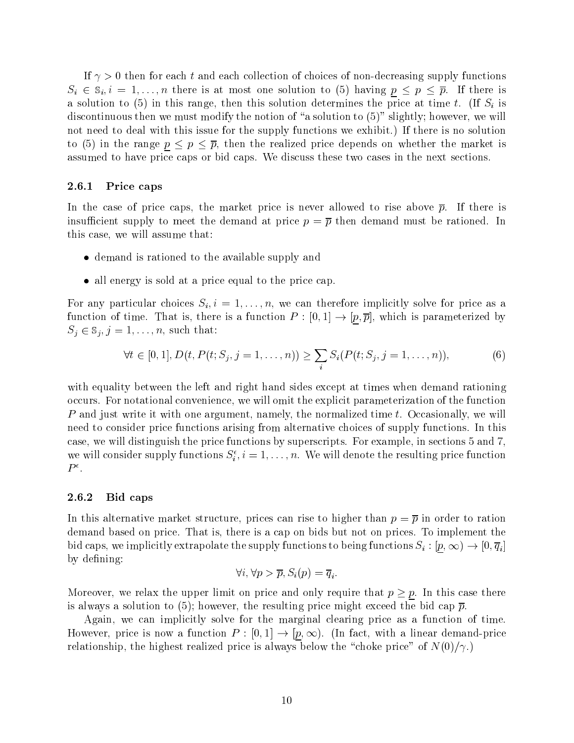If  $\gamma > 0$  then for each t and each collection of choices of non-decreasing supply functions  $S_i \in \mathbb{S}_i, i = 1,\ldots,n$  there is at most one solution to (5) having  $p \leq p \leq \overline{p}$ . If there is a solution to (5) in this range, then this solution determines the price at time t. (If  $S_i$  is discontinuous then we must modify the notion of "a solution to  $(5)$ " slightly; however, we will not need to deal with this issue for the supply functions we exhibit.) If there is no solution to (5) in the range <sup>p</sup> <sup>p</sup> p, then the realized price depends on whether the market is assumed to have price caps or bid caps. We discuss these two cases in the next sections.

#### 2.6.1 Price caps

In the case of price caps, the market price is never allowed to rise above  $\bar{p}$ . If there is insufficient supply to meet the demand at price  $p = \overline{p}$  then demand must be rationed. In this case, we will assume that:

- demand is rationed to the available supply and
- all energy is sold at a price equal to the price cap.

For any particular choices  $S_i, i = 1, \ldots, n$ , we can therefore implicitly solve for price as a function of time. That is, there is, there is, there is a function  $\mathbb{P}^1$  :  $\mathbb{P}^1$  $S_j \in \mathbb{S}_j, j=1,\ldots,n$ , such that:

$$
\forall t \in [0, 1], D(t, P(t; S_j, j = 1, ..., n)) \ge \sum_i S_i(P(t; S_j, j = 1, ..., n)),
$$
\n(6)

with equality between the left and right hand sides except at times when demand rationing occurs. For notational convenience, we will omit the explicit parameterization of the function P and just write it with one argument, namely, the normalized time t. Occasionally, we will need to consider price functions arising from alternative choices of supply functions. In this case, we will distinguish the price functions by superscripts. For example, in sections 5 and 7, we will consider supply functions  $S_i, i = 1, \ldots, n$ . We will denote the resulting price function  $P^{\epsilon}$ .

#### 2.6.2 Bid caps

In this alternative market structure, prices can rise to higher than  $p = \overline{p}$  in order to ration demand based on price. That is, there is a cap on bids but not on prices. To implement the bid caps, we implicit the supply functions to be supply functions to be influenced functions  $\{r^i\}_{i=1}^n$  . If  $\{v^i\}_{i=1}^n$ by defining:

$$
\forall i, \forall p > \overline{p}, S_i(p) = \overline{q}_i.
$$

Moreover, we relax the upper limit on price and only require that  $p \geq p$ . In this case there is always a solution to (5); however, the resulting price might exceed the bid cap  $\bar{p}$ .

Again, we can implicitly solve for the marginal clearing price as a function of time. However, price is now a function <sup>P</sup> : [0; 1] ! [p; 1). (In fact, with <sup>a</sup> linear demand-price relationship, the highest realized price is always below the "choke price" of  $N(0)/\gamma$ .)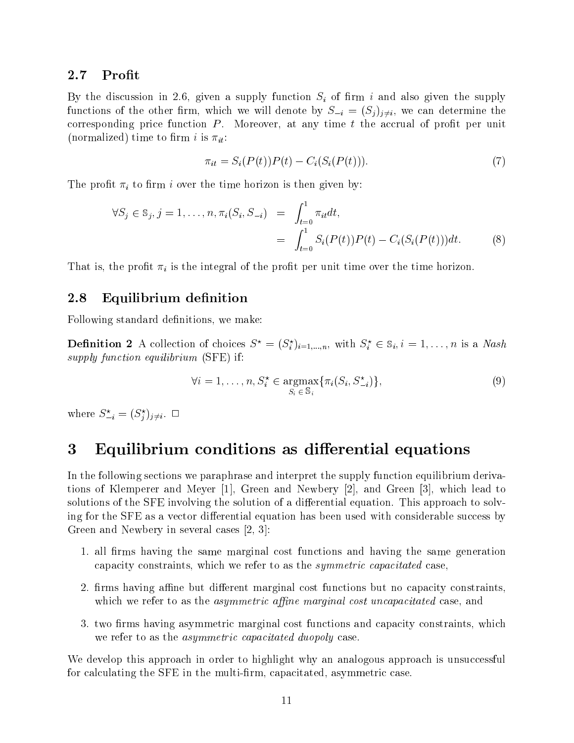#### 2.7 Profit

By the discussion in 2.6, given a supply function  $S_i$  of firm i and also given the supply functions of the other firm, which we will denote by  $S_{-i} = (S_i)_{i \neq i}$ , we can determine the corresponding price function  $P$ . Moreover, at any time  $t$  the accrual of profit per unit (normalized) time to firm i is  $\pi_{it}$ :

$$
\pi_{it} = S_i(P(t))P(t) - C_i(S_i(P(t))). \tag{7}
$$

The profit  $\pi_i$  to firm i over the time horizon is then given by:

$$
\forall S_j \in \mathbb{S}_j, j = 1, ..., n, \pi_i(S_i, S_{-i}) = \int_{t=0}^1 \pi_{it} dt,
$$
  
= 
$$
\int_{t=0}^1 S_i(P(t))P(t) - C_i(S_i(P(t)))dt.
$$
 (8)

That is, the profit  $\pi_i$  is the integral of the profit per unit time over the time horizon.

### 2.8 Equilibrium definition

Following standard definitions, we make:

**Definition 2** A collection of choices  $S^{\circ} \equiv (S_i)_{i=1,...,n}$ , with  $S_i^{\circ} \in S_i$ ,  $i = 1,...,n$  is a *Nash* supply function equilibrium (SFE) if:

$$
\forall i = 1, \dots, n, S_i^{\star} \in \underset{S_i \in \mathcal{S}_i}{\operatorname{argmax}} \{ \pi_i(S_i, S_{-i}^{\star}) \}, \tag{9}
$$

where  $S_{-i} = (S_i)_{i \neq i}$ .  $\Box$ 

# 3 Equilibrium conditions as differential equations

In the following sections we paraphrase and interpret the supply function equilibrium derivations of Klemperer and Meyer [1], Green and Newbery [2], and Green [3], which lead to solutions of the SFE involving the solution of a differential equation. This approach to solving for the SFE as a vector differential equation has been used with considerable success by Green and Newbery in several cases [2, 3]:

- 1. all firms having the same marginal cost functions and having the same generation capacity constraints, which we refer to as the symmetric capacitated case,
- 2. firms having affine but different marginal cost functions but no capacity constraints, which we refer to as the *asymmetric affine marginal cost uncapacitated* case, and
- 3. two firms having asymmetric marginal cost functions and capacity constraints, which we refer to as the asymmetric capacitated duopoly case.

We develop this approach in order to highlight why an analogous approach is unsuccessful for calculating the SFE in the multi-firm, capacitated, asymmetric case.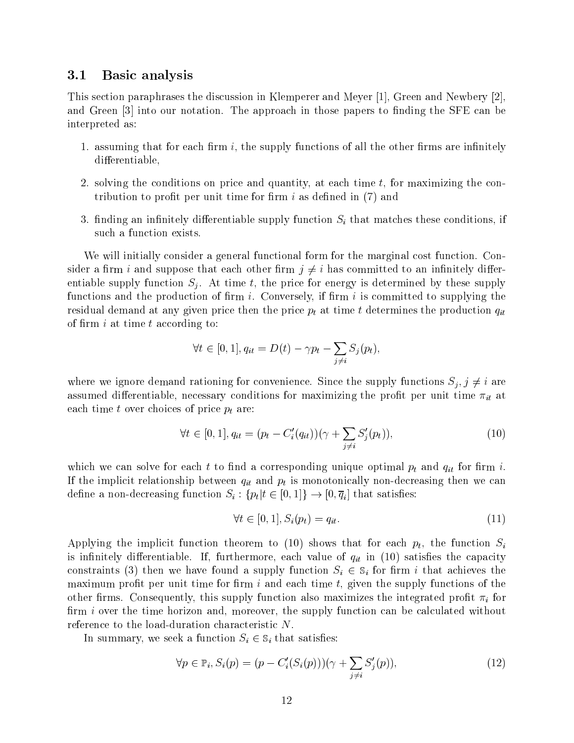#### 3.1 Basic analysis

This section paraphrases the discussion in Klemperer and Meyer [1], Green and Newbery [2], and Green  $\lceil 3 \rceil$  into our notation. The approach in those papers to finding the SFE can be interpreted as:

- 1. assuming that for each firm  $i$ , the supply functions of all the other firms are infinitely differentiable,
- 2. solving the conditions on price and quantity, at each time  $t$ , for maximizing the contribution to profit per unit time for firm  $i$  as defined in (7) and
- 3. finding an infinitely differentiable supply function  $S_i$  that matches these conditions, if such a function exists.

We will initially consider a general functional form for the marginal cost function. Consider a firm i and suppose that each other firm  $j \neq i$  has committed to an infinitely differentiable supply function  $S_i$ . At time t, the price for energy is determined by these supply functions and the production of firm  $i$ . Conversely, if firm  $i$  is committed to supplying the residual demand at any given price then the price  $p_t$  at time t determines the production  $q_{it}$ of firm  $i$  at time  $t$  according to:

$$
\forall t \in [0,1], q_{it} = D(t) - \gamma p_t - \sum_{j \neq i} S_j(p_t),
$$

where we ignore demand rationing for convenience. Since the supply functions  $S_j, j \neq i$  are assumed differentiable, necessary conditions for maximizing the profit per unit time  $\pi_{it}$  at each time t over choices of price  $p_t$  are:

$$
\forall t \in [0, 1], q_{it} = (p_t - C_i'(q_{it})) (\gamma + \sum_{j \neq i} S_j'(p_t)), \tag{10}
$$

which we can solve for each t to find a corresponding unique optimal  $p_t$  and  $q_{it}$  for firm i. If the implicit relationship between  $q_{it}$  and  $p_t$  is monotonically non-decreasing then we can  $\mathcal{O}$  : for the single satisfied  $\mathcal{I}$  is that satisfied  $\mathcal{I}$  is that satisfied  $\mathcal{I}$ 

$$
\forall t \in [0, 1], S_i(p_t) = q_{it}.\tag{11}
$$

Applying the implicit function theorem to (10) shows that for each  $p_t$ , the function  $S_i$ is infinitely differentiable. If, furthermore, each value of  $q_{it}$  in (10) satisfies the capacity constraints (3) then we have found a supply function  $S_i \in \mathbb{S}_i$  for firm i that achieves the maximum profit per unit time for firm  $i$  and each time  $t$ , given the supply functions of the other firms. Consequently, this supply function also maximizes the integrated profit  $\pi_i$  for firm  $i$  over the time horizon and, moreover, the supply function can be calculated without reference to the load-duration characteristic N.

In summary, we seek a function  $S_i \in \mathcal{S}_i$  that satisfies:

$$
\forall p \in \mathbb{P}_i, S_i(p) = (p - C'_i(S_i(p)))(\gamma + \sum_{j \neq i} S'_j(p)), \qquad (12)
$$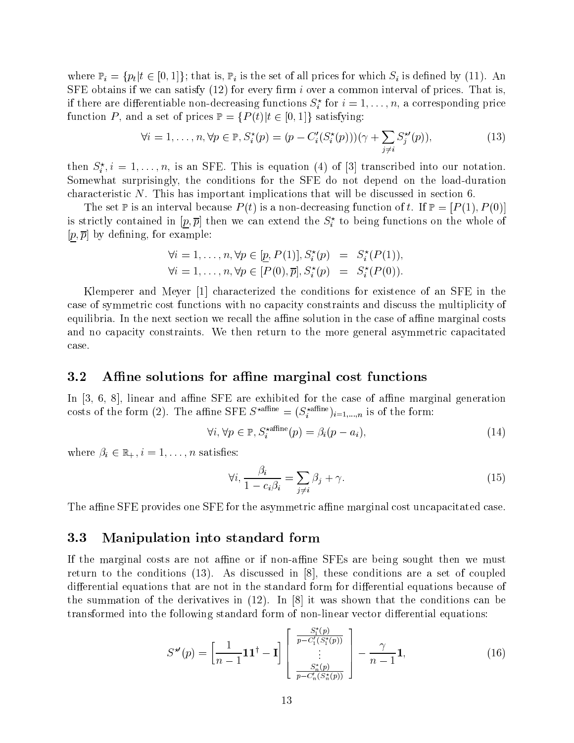where  $\mathbb{P}_i = \{p_t | t \in [0,1]\}$ ; that is,  $\mathbb{P}_i$  is the set of all prices for which  $S_i$  is defined by (11). An SFE obtains if we can satisfy  $(12)$  for every firm i over a common interval of prices. That is, if there are differentiable non-decreasing functions  $S_i^{\perp}$  for  $i = 1, \ldots, n$ , a corresponding price function P, and a set of prices  $\mathbb{P} = \{P(t) | t \in [0, 1]\}$  satisfying:

$$
\forall i = 1, ..., n, \forall p \in \mathbb{P}, S_i^*(p) = (p - C_i'(S_i^*(p)))(\gamma + \sum_{j \neq i} S_j^{*(p)}(p)),
$$
\n(13)

then  $S_i^i, i = 1, \ldots, n$ , is an SFE. This is equation (4) of [3] transcribed into our notation. Somewhat surprisingly, the conditions for the SFE do not depend on the load-duration characteristic N. This has important implications that will be discussed in section 6.

The set  $\mathbb P$  is an interval because  $P(t)$  is a non-decreasing function of t. If  $\mathbb P = [P(1), P(0)]$ is strictly contained in  $[p, p]$  then we can extend the  $S_i^{\perp}$  to being functions on the whole of  $[p, \overline{p}]$  by defining, for example:

$$
\forall i = 1, \dots, n, \forall p \in [p, P(1)], S_i^*(p) = S_i^*(P(1)), \n\forall i = 1, \dots, n, \forall p \in [P(0), \overline{p}], S_i^*(p) = S_i^*(P(0)).
$$

Klemperer and Meyer [1] characterized the conditions for existence of an SFE in the case of symmetric cost functions with no capacity constraints and discuss the multiplicity of equilibria. In the next section we recall the affine solution in the case of affine marginal costs and no capacity constraints. We then return to the more general asymmetric capacitated case.

### 3.2 Affine solutions for affine marginal cost functions

In  $[3, 6, 8]$ , linear and affine SFE are exhibited for the case of affine marginal generation costs of the form (2). The annie SFE  $S^{comm}_{\bullet} = (S^{comm}_{i} )_{i=1,...,n}$  is of the form:

$$
\forall i, \forall p \in \mathbb{P}, S_i^{\star \text{affine}}(p) = \beta_i(p - a_i), \tag{14}
$$

where  $\beta_i \in \mathbb{R}_+$ ,  $i = 1, \ldots, n$  satisfies:

$$
\forall i, \frac{\beta_i}{1 - c_i \beta_i} = \sum_{j \neq i} \beta_j + \gamma. \tag{15}
$$

The affine SFE provides one SFE for the asymmetric affine marginal cost uncapacitated case.

### 3.3 Manipulation into standard form

If the marginal costs are not affine or if non-affine SFEs are being sought then we must return to the conditions (13). As discussed in [8], these conditions are a set of coupled differential equations that are not in the standard form for differential equations because of the summation of the derivatives in  $(12)$ . In  $[8]$  it was shown that the conditions can be transformed into the following standard form of non-linear vector differential equations:

$$
S^{\star\prime}(p) = \left[\frac{1}{n-1}\mathbf{1}\mathbf{1}^{\dagger} - \mathbf{I}\right] \left[\begin{array}{c} \frac{S_1^{\star}(p)}{p - C_1'(S_1^{\star}(p))} \\ \vdots \\ \frac{S_n^{\star}(p)}{p - C_n'(S_n^{\star}(p))} \end{array}\right] - \frac{\gamma}{n-1}\mathbf{1},\tag{16}
$$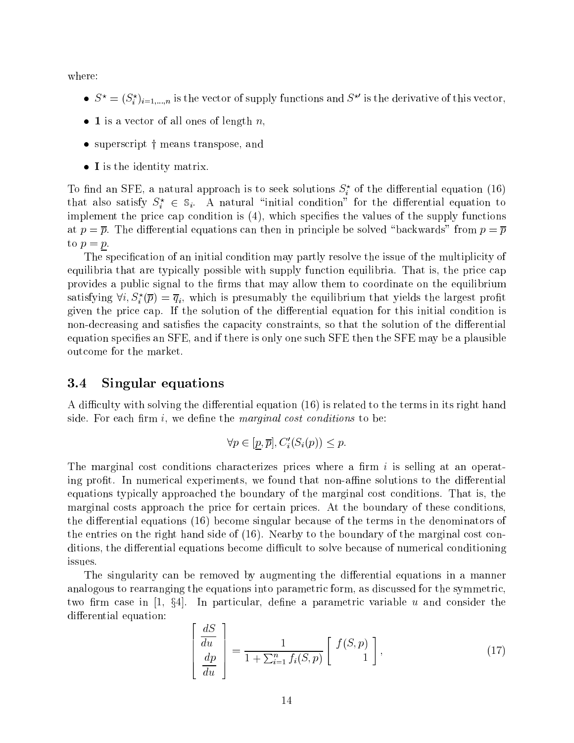where:

- $S^* = (S_i)_{i=1,\dots,n}$  is the vector of supply functions and  $S^*$  is the derivative of this vector,
- $\bullet$  1 is a vector of all ones of length n,
- $\bullet$  superscript  $\dagger$  means transpose, and
- I is the identity matrix.

To find an SFE, a natural approach is to seek solutions  $S_i$  of the differential equation (16) that also satisfy  $S_i^+ \in \mathbb{S}_i$ . A natural -initial condition for the differential equation to implement the price cap condition is  $(4)$ , which specifies the values of the supply functions at  $p = \overline{p}$ . The differential equations can then in principle be solved "backwards" from  $p = \overline{p}$ to  $p = p$ .

The specification of an initial condition may partly resolve the issue of the multiplicity of equilibria that are typically possible with supply function equilibria. That is, the price cap provides a public signal to the firms that may allow them to coordinate on the equilibrium satisfying  $\forall i, S_i^*(p) \equiv q_i$ , which is presumably the equilibrium that yields the largest profit given the price cap. If the solution of the differential equation for this initial condition is non-decreasing and satisfies the capacity constraints, so that the solution of the differential equation species an SFE, and if there is only one such SFE then the SFE may be a plausible outcome for the market.

### 3.4 Singular equations

A difficulty with solving the differential equation  $(16)$  is related to the terms in its right hand side. For each firm  $i$ , we define the *marginal cost conditions* to be:

$$
\forall p \in [\underline{p}, \overline{p}], C_i'(S_i(p)) \leq p.
$$

The marginal cost conditions characterizes prices where a firm  $i$  is selling at an operating profit. In numerical experiments, we found that non-affine solutions to the differential equations typically approached the boundary of the marginal cost conditions. That is, the marginal costs approach the price for certain prices. At the boundary of these conditions, the differential equations  $(16)$  become singular because of the terms in the denominators of the entries on the right hand side of (16). Nearby to the boundary of the marginal cost conditions, the differential equations become difficult to solve because of numerical conditioning issues.

The singularity can be removed by augmenting the differential equations in a manner analogous to rearranging the equations into parametric form, as discussed for the symmetric, two firm case in  $\left[1, \frac{8}{4}\right]$ . In particular, define a parametric variable u and consider the differential equation:

$$
\begin{bmatrix}\n\frac{dS}{du} \\
\frac{dp}{du}\n\end{bmatrix} = \frac{1}{1 + \sum_{i=1}^{n} f_i(S, p)} \begin{bmatrix} f(S, p) \\
1 \end{bmatrix},
$$
\n(17)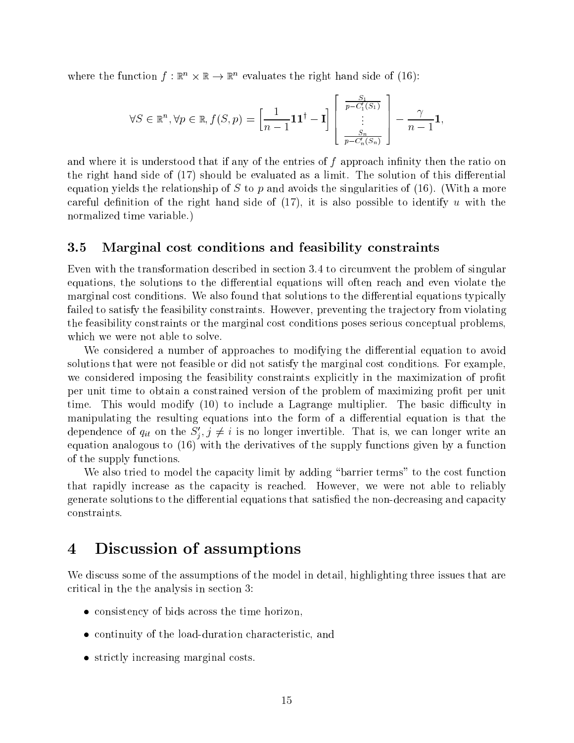where the function  $f : \mathbb{R}^n \times \mathbb{R} \to \mathbb{R}^n$  evaluates the right hand side of (16):

$$
\forall S \in \mathbb{R}^n, \forall p \in \mathbb{R}, f(S, p) = \left[\frac{1}{n-1} \mathbf{1} \mathbf{1}^\dagger - \mathbf{I}\right] \left[\begin{array}{c} \frac{S_1}{p - C_1'(S_1)} \\ \vdots \\ \frac{S_n}{p - C_n'(S_n)} \end{array}\right] - \frac{\gamma}{n-1} \mathbf{1},
$$

and where it is understood that if any of the entries of  $f$  approach infinity then the ratio on the right hand side of  $(17)$  should be evaluated as a limit. The solution of this differential equation yields the relationship of S to p and avoids the singularities of  $(16)$ . (With a more careful definition of the right hand side of  $(17)$ , it is also possible to identify u with the normalized time variable.)

#### 3.5 Marginal cost conditions and feasibility constraints

Even with the transformation described in section 3.4 to circumvent the problem of singular equations, the solutions to the differential equations will often reach and even violate the marginal cost conditions. We also found that solutions to the differential equations typically failed to satisfy the feasibility constraints. However, preventing the trajectory from violating the feasibility constraints or the marginal cost conditions poses serious conceptual problems, which we were not able to solve.

We considered a number of approaches to modifying the differential equation to avoid solutions that were not feasible or did not satisfy the marginal cost conditions. For example, we considered imposing the feasibility constraints explicitly in the maximization of profit per unit time to obtain a constrained version of the problem of maximizing prot per unit time. This would modify  $(10)$  to include a Lagrange multiplier. The basic difficulty in manipulating the resulting equations into the form of a differential equation is that the dependence of  $q_{it}$  on the  $S_i$ ,  $j \neq i$  is no longer invertible. That is, we can longer write an equation analogous to (16) with the derivatives of the supply functions given by a function of the supply functions.

We also tried to model the capacity limit by adding "barrier terms" to the cost function that rapidly increase as the capacity is reached. However, we were not able to reliably generate solutions to the differential equations that satisfied the non-decreasing and capacity constraints.

#### Discussion of assumptions  $\boldsymbol{4}$

We discuss some of the assumptions of the model in detail, highlighting three issues that are critical in the the analysis in section 3:

- consistency of bids across the time horizon,
- continuity of the load-duration characteristic, and
- strictly increasing marginal costs.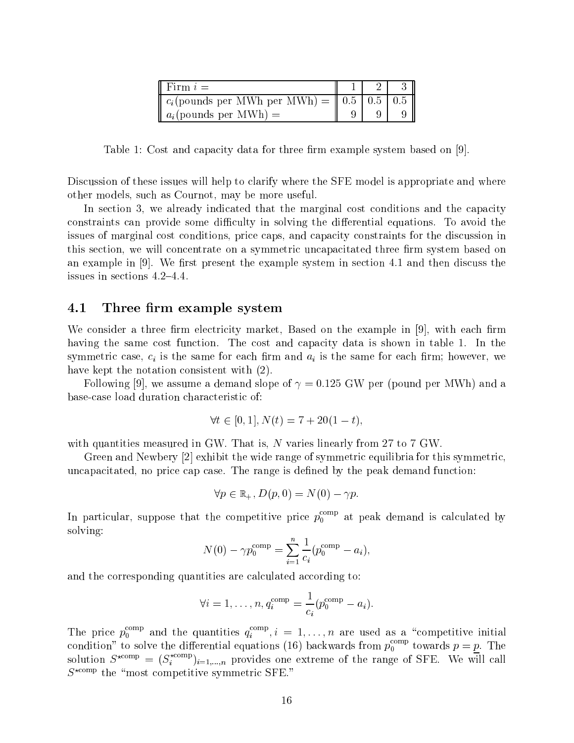| Firm $i =$                                                                        |  |  |
|-----------------------------------------------------------------------------------|--|--|
| $c_i$ (pounds per MWh per MWh) = $\vert\vert 0.5 \vert \vert 0.5 \vert \vert 0.5$ |  |  |
| $a_i$ (pounds per MWh) =                                                          |  |  |

Table 1: Cost and capacity data for three firm example system based on [9].

Discussion of these issues will help to clarify where the SFE model is appropriate and where other models, such as Cournot, may be more useful.

In section 3, we already indicated that the marginal cost conditions and the capacity constraints can provide some difficulty in solving the differential equations. To avoid the issues of marginal cost conditions, price caps, and capacity constraints for the discussion in this section, we will concentrate on a symmetric uncapacitated three firm system based on an example in  $[9]$ . We first present the example system in section 4.1 and then discuss the issues in sections  $4.2–4.4$ .

#### 4.1 Three firm example system

We consider a three firm electricity market, Based on the example in  $[9]$ , with each firm having the same cost function. The cost and capacity data is shown in table 1. In the symmetric case,  $c_i$  is the same for each firm and  $a_i$  is the same for each firm; however, we have kept the notation consistent with (2).

Following [9], we assume a demand slope of  $\gamma = 0.125$  GW per (pound per MWh) and a base-case load duration characteristic of:

$$
\forall t \in [0, 1], N(t) = 7 + 20(1 - t),
$$

with quantities measured in GW. That is, N varies linearly from 27 to 7 GW.

Green and Newbery [2] exhibit the wide range of symmetric equilibria for this symmetric, uncapacitated, no price cap case. The range is defined by the peak demand function:

$$
\forall p \in \mathbb{R}_+, D(p, 0) = N(0) - \gamma p.
$$

In particular, suppose that the competitive price  $p_0^{\rm corr}$  at peak demand is calculated by solving:

$$
N(0) - \gamma p_0^{\text{comp}} = \sum_{i=1}^{n} \frac{1}{c_i} (p_0^{\text{comp}} - a_i),
$$

and the corresponding quantities are calculated according to:

$$
\forall i=1,\ldots,n, q_i^{\mathrm{comp}}=\frac{1}{c_i}(p_0^{\mathrm{comp}}-a_i).
$$

The price  $p_0^{\text{max}}$  and the quantities  $q_i^{\text{max}}, i = 1, \ldots, n$  are used as a "competitive initial condition" to solve the differential equations (16) backwards from  $p_0^{\rm corr}$  towards  $p=p.$  The solution  $S^{xcomp} = (S_i^{xcomp})_{i=1,...,n}$  provides one extreme of the range of SFE. We will call  $S^{\star \text{comp}}$  the "most competitive symmetric SFE."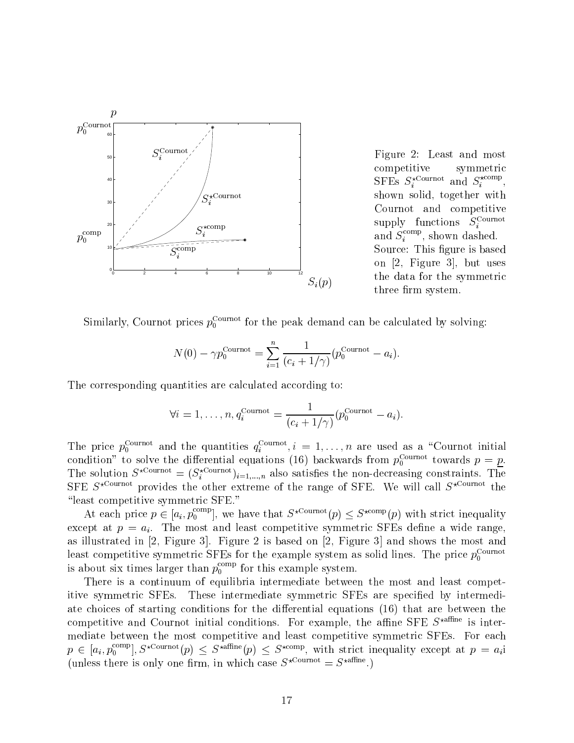

Figure 2: Least and most competitive symmetric SFEs  $S_i^{\text{commut}}$  and  $S_i^{\text{commut}}$ , shown solid, together with Cournot and competitive supply functions  $S_i$ . and  $S_i^{\text{even}}$ , shown dashed. Source: This figure is based on [2, Figure 3], but uses the data for the symmetric three firm system.

Similarly, Cournot prices  $p_0^{\text{new}}$  for the peak demand can be calculated by solving:

$$
N(0) - \gamma p_0^{\text{Counter}} = \sum_{i=1}^n \frac{1}{(c_i + 1/\gamma)} (p_0^{\text{Counter}} - a_i).
$$

The corresponding quantities are calculated according to:

$$
\forall i=1,\ldots,n, q_i^{\text{ Cournot}} = \frac{1}{(c_i+1/\gamma)}(p_0^{\text{ Cournot}}-a_i).
$$

The price  $p_0^{\text{even}}$  and the quantities  $q_i^{\text{even}}$ ,  $i = 1, \ldots, n$  are used as a  $\text{60}$  cournot initial condition to solve the differential equations (16) backwards from  $p_0$  towards  $p = p$ . The solution  $S^{(2)} = (S_i^{(2)} - 1, \ldots, n)$  also satisfies the non-decreasing constraints. The SFE  $S^{\star \text{ Cournot}}$  provides the other extreme of the range of SFE. We will call  $S^{\star \text{ Cournot}}$  the "least competitive symmetric SFE."

At each price  $p \in [a_i, p_0^{\text{max}}]$ , we have that  $S^{\text{normal}}(p) \leq S^{\text{normal}}(p)$  with strict inequality except at  $p = a_i$ . The most and least competitive symmetric SFEs define a wide range, as illustrated in  $[2,$  Figure 3. Figure 2 is based on  $[2,$  Figure 3. and shows the most and least competitive symmetric SFEs for the example system as solid lines. The price  $p_0^{\text{Current}}$ is about six times larger than  $p_0^{\rm corr}$  for this example system.

There is a continuum of equilibria intermediate between the most and least competitive symmetric SFEs. These intermediate symmetric SFEs are specified by intermediate choices of starting conditions for the differential equations (16) that are between the competitive and Cournot initial conditions. For example, the affine SFE  $S^{\star \text{affine}}$  is intermediate between the most competitive and least competitive symmetric SFEs. For each  $p \in [a_i, p_0^{\text{even}}], S^{\text{noneven}}(p) \leq S^{\text{noneven}}$ , with strict inequality except at  $p = a_i$ (unless there is only one firm, in which case  $S^{\star \text{Count} } = S^{\star \text{affine}}$ .)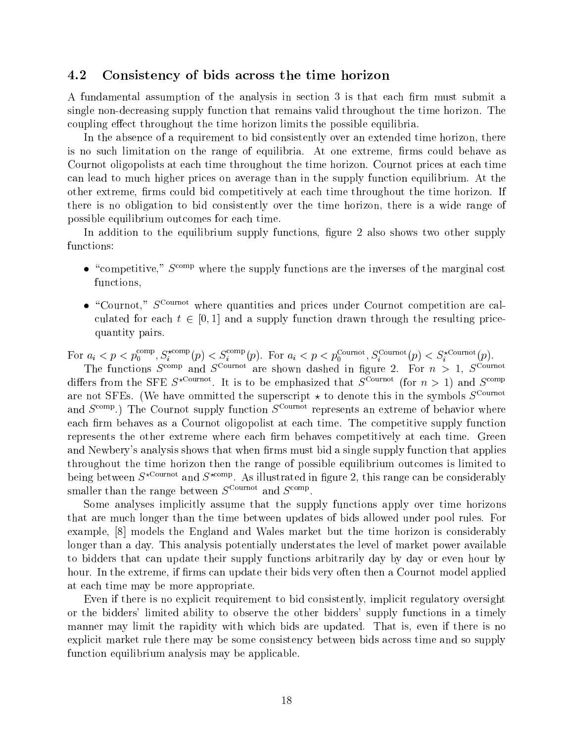#### 4.2 Consistency of bids across the time horizon

A fundamental assumption of the analysis in section 3 is that each firm must submit a single non-decreasing supply function that remains valid throughout the time horizon. The coupling effect throughout the time horizon limits the possible equilibria.

In the absence of a requirement to bid consistently over an extended time horizon, there is no such limitation on the range of equilibria. At one extreme, firms could behave as Cournot oligopolists at each time throughout the time horizon. Cournot prices at each time can lead to much higher prices on average than in the supply function equilibrium. At the other extreme, firms could bid competitively at each time throughout the time horizon. If there is no obligation to bid consistently over the time horizon, there is a wide range of possible equilibrium outcomes for each time.

In addition to the equilibrium supply functions, figure 2 also shows two other supply functions:

- $\bullet$  "competitive,"  $S^{\text{comp}}$  where the supply functions are the inverses of the marginal cost functions,
- $\bullet$  "Cournot,"  $S^{\text{Current}}$  where quantities and prices under Cournot competition are calculated for each <sup>t</sup> 2 [0; 1] and <sup>a</sup> supply function drawn through the resulting pricequantity pairs.

For  $a_i < p < p_0$  or  $s_i$  and  $p_i$  is  $S_i$  and  $p_i$ . For  $a_i < p < p_0$  counts  $p_i$  is  $S_i$  counted by  $p_i$ .

The functions  $S^{even}$  and  $S^{even}$  are shown dashed in neure 2. For  $n > 1$ ,  $S^{even}$ differs from the SFE  $S^{even}$ . It is to be emphasized that  $S^{even}$  (for  $n > 1$ ) and  $S^{even}$ are not SFEs. (We have ommitted the superscript  $\star$  to denote this in the symbols  $S^{\text{Current}}$ and  $S^{\text{comp}}$ .) The Cournot supply function  $S^{\text{Current}}$  represents an extreme of behavior where each firm behaves as a Cournot oligopolist at each time. The competitive supply function represents the other extreme where each firm behaves competitively at each time. Green and Newbery's analysis shows that when firms must bid a single supply function that applies throughout the time horizon then the range of possible equilibrium outcomes is limited to being between  $S^{r+1},$  and  $S^{r+1},$  As illustrated in figure 2, this range can be considerably smaller than the range between  $S^{1,1}$  and  $S^{1,1}$ .

Some analyses implicitly assume that the supply functions apply over time horizons that are much longer than the time between updates of bids allowed under pool rules. For example, [8] models the England and Wales market but the time horizon is considerably longer than a day. This analysis potentially understates the level of market power available to bidders that can update their supply functions arbitrarily day by day or even hour by hour. In the extreme, if firms can update their bids very often then a Cournot model applied at each time may be more appropriate.

Even if there is no explicit requirement to bid consistently, implicit regulatory oversight or the bidders' limited ability to observe the other bidders' supply functions in a timely manner may limit the rapidity with which bids are updated. That is, even if there is no explicit market rule there may be some consistency between bids across time and so supply function equilibrium analysis may be applicable.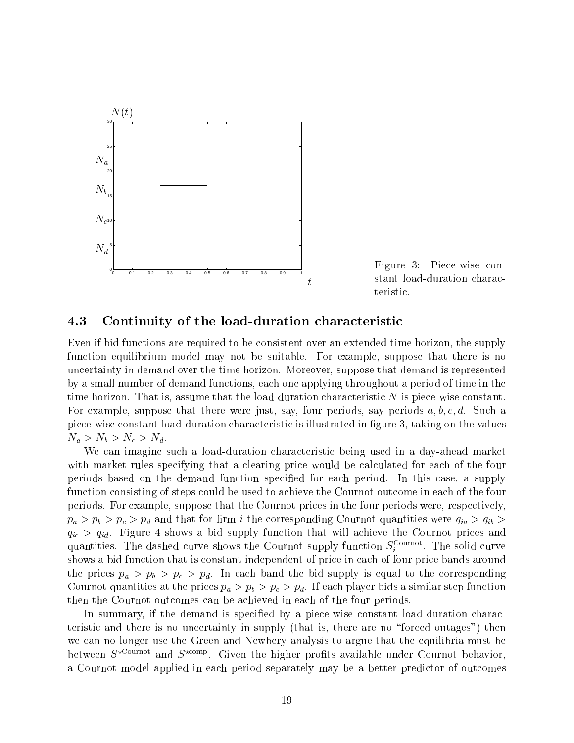

Figure 3: Piece-wise constant load-duration characteristic.

### 4.3 Continuity of the load-duration characteristic

Even if bid functions are required to be consistent over an extended time horizon, the supply function equilibrium model may not be suitable. For example, suppose that there is no uncertainty in demand over the time horizon. Moreover, suppose that demand is represented by a small number of demand functions, each one applying throughout a period of time in the time horizon. That is, assume that the load-duration characteristic  $N$  is piece-wise constant. For example, suppose that there were just, say, four periods, say periods  $a, b, c, d$ . Such a piece-wise constant load-duration characteristic is illustrated in gure 3, taking on the values  $N_a > N_b > N_c > N_d$ .

We can imagine such a load-duration characteristic being used in a day-ahead market with market rules specifying that a clearing price would be calculated for each of the four periods based on the demand function specied for each period. In this case, a supply function consisting of steps could be used to achieve the Cournot outcome in each of the four periods. For example, suppose that the Cournot prices in the four periods were, respectively,  $p_a > p_b > p_c > p_d$  and that for firm i the corresponding Cournot quantities were  $q_{ia} > q_{ib} >$  $q_{ic} > q_{id}$ . Figure 4 shows a bid supply function that will achieve the Cournot prices and quantities. The dashed curve shows the Cournot supply function  $S_i$  . The solid curve shows a bid function that is constant independent of price in each of four price bands around the prices  $p_a > p_b > p_c > p_d$ . In each band the bid supply is equal to the corresponding Cournot quantities at the prices  $p_a > p_b > p_c > p_d$ . If each player bids a similar step function then the Cournot outcomes can be achieved in each of the four periods.

In summary, if the demand is specified by a piece-wise constant load-duration characteristic and there is no uncertainty in supply (that is, there are no \forced outages") then we can no longer use the Green and Newbery analysis to argue that the equilibria must be between  $S^{even}$  and  $S^{even}$ . Given the higher profits available under Cournot behavior, a Cournot model applied in each period separately may be a better predictor of outcomes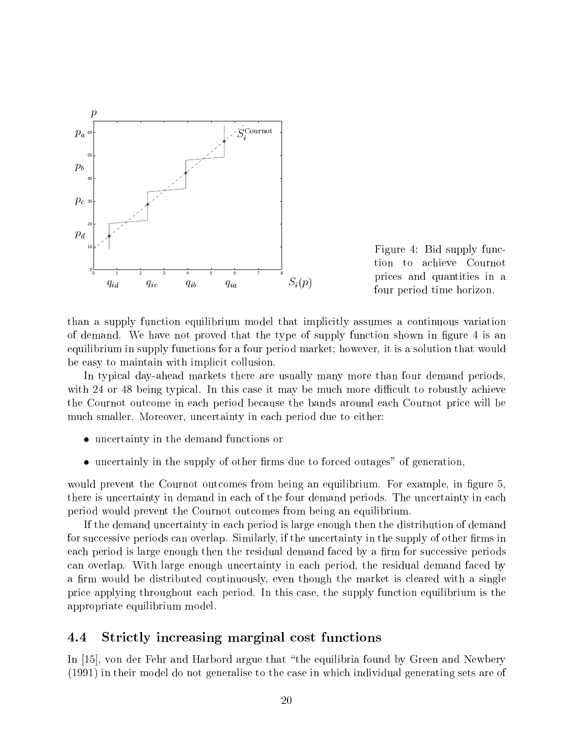



than a supply function equilibrium model that implicitly assumes a continuous variation of demand. We have not proved that the type of supply function shown in figure 4 is an equilibrium in supply functions for a four period market; however, it is a solution that would be easy to maintain with implicit collusion.

In typical day-ahead markets there are usually many more than four demand periods, with 24 or 48 being typical. In this case it may be much more difficult to robustly achieve the Cournot outcome in each period because the bands around each Cournot price will be much smaller. Moreover, uncertainty in each period due to either:

- uncertainty in the demand functions or
- uncertainly in the supply of other firms due to forced outages" of generation,

would prevent the Cournot outcomes from being an equilibrium. For example, in figure 5, there is uncertainty in demand in each of the four demand periods. The uncertainty in each period would prevent the Cournot outcomes from being an equilibrium.

If the demand uncertainty in each period is large enough then the distribution of demand for successive periods can overlap. Similarly, if the uncertainty in the supply of other firms in each period is large enough then the residual demand faced by a firm for successive periods can overlap. With large enough uncertainty in each period, the residual demand faced by a firm would be distributed continuously, even though the market is cleared with a single price applying throughout each period. In this case, the supply function equilibrium is the appropriate equilibrium model.

#### 4.4 4.4 Strictly increasing marginal cost functions

In [15], von der Fehr and Harbord argue that "the equilibria found by Green and Newbery (1991) in their model do not generalise to the case in which individual generating sets are of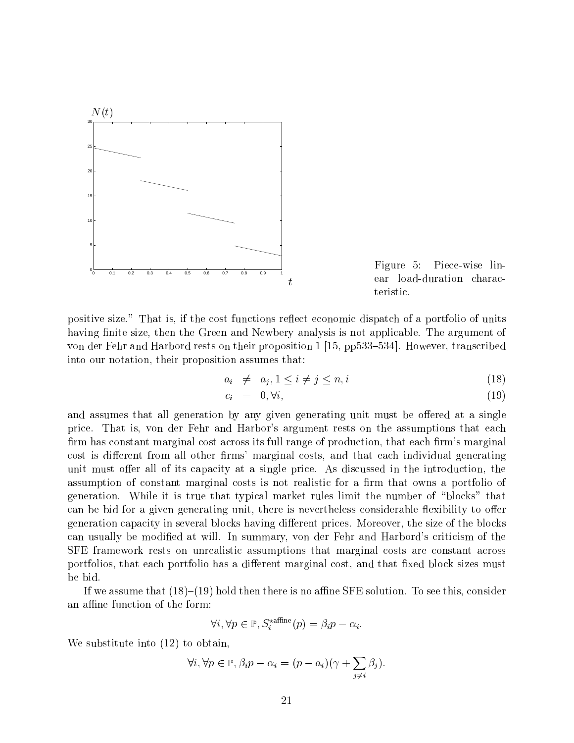

Figure 5: Piece-wise linear load-duration characteristic.

positive size." That is, if the cost functions reflect economic dispatch of a portfolio of units having finite size, then the Green and Newbery analysis is not applicable. The argument of von der Fehr and Harbord rests on their proposition  $1\,[15, \text{pp}533-534]$ . However, transcribed into our notation, their proposition assumes that:

$$
a_i \neq a_j, 1 \leq i \neq j \leq n, i \tag{18}
$$

$$
c_i = 0, \forall i,
$$
\n<sup>(19)</sup>

and assumes that all generation by any given generating unit must be offered at a single price. That is, von der Fehr and Harbor's argument rests on the assumptions that each firm has constant marginal cost across its full range of production, that each firm's marginal cost is different from all other firms' marginal costs, and that each individual generating unit must offer all of its capacity at a single price. As discussed in the introduction, the assumption of constant marginal costs is not realistic for a firm that owns a portfolio of generation. While it is true that typical market rules limit the number of \blocks" that can be bid for a given generating unit, there is nevertheless considerable flexibility to offer generation capacity in several blocks having different prices. Moreover, the size of the blocks can usually be modied atwill. In summary, von der Fehr and Harbord's criticism of the SFE framework rests on unrealistic assumptions that marginal costs are constant across portfolios, that each portfolio has a different marginal cost, and that fixed block sizes must be bid.

If we assume that  $(18)-(19)$  hold then there is no affine SFE solution. To see this, consider an affine function of the form:

$$
\forall i, \forall p \in \mathbb{P}, S_i^{\star \text{affine}}(p) = \beta_i p - \alpha_i.
$$

We substitute into (12) to obtain,

$$
\forall i, \forall p \in \mathbb{P}, \beta_i p - \alpha_i = (p - a_i)(\gamma + \sum_{j \neq i} \beta_j).
$$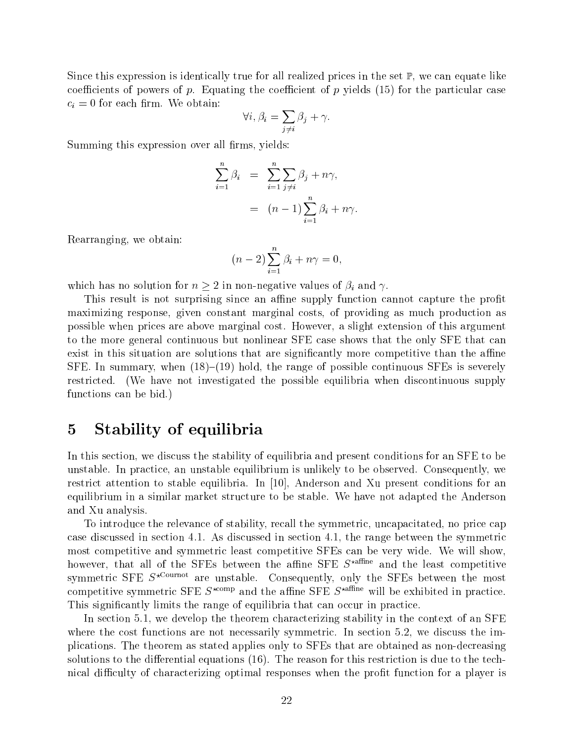Since this expression is identically true for all realized prices in the set  $\mathbb{P}$ , we can equate like coefficients of powers of p. Equating the coefficient of p yields  $(15)$  for the particular case  $c_i = 0$  for each firm. We obtain:

$$
\forall i, \beta_i = \sum_{j \neq i} \beta_j + \gamma.
$$

Summing this expression over all firms, yields:

$$
\sum_{i=1}^{n} \beta_i = \sum_{i=1}^{n} \sum_{j \neq i} \beta_j + n\gamma,
$$
  
=  $(n-1) \sum_{i=1}^{n} \beta_i + n\gamma.$ 

Rearranging, we obtain:

$$
(n-2)\sum_{i=1}^{n}\beta_i + n\gamma = 0,
$$

which has no solution for  $n \geq 2$  in non-negative values of  $\beta_i$  and  $\gamma$ .

This result is not surprising since an affine supply function cannot capture the profit maximizing response, given constant marginal costs, of providing as much production as possible when prices are above marginal cost. However, a slight extension of this argument to the more general continuous but nonlinear SFE case shows that the only SFE that can exist in this situation are solutions that are significantly more competitive than the affine SFE. In summary, when  $(18)-(19)$  hold, the range of possible continuous SFEs is severely restricted. (We have not investigated the possible equilibria when discontinuous supply functions can be bid.)

## 5 Stability of equilibria

In this section, we discuss the stability of equilibria and present conditions for an SFE to be unstable. In practice, an unstable equilibrium is unlikely to be observed. Consequently, we restrict attention to stable equilibria. In [10], Anderson and Xu present conditions for an equilibrium in a similar market structure to be stable. We have not adapted the Anderson and Xu analysis.

To introduce the relevance of stability, recall the symmetric, uncapacitated, no price cap case discussed in section 4.1. As discussed in section 4.1, the range between the symmetric most competitive and symmetric least competitive SFEs can be very wide. We will show, however, that all of the SFEs between the affine SFE  $S<sup>xafine</sup>$  and the least competitive symmetric SFE  $S^{*}$ Cournot are unstable. Consequently, only the SFEs between the most competitive symmetric SFE  $S^{*comp}$  and the affine SFE  $S^{*affine}$  will be exhibited in practice. This signicantly limits the range of equilibria that can occur in practice.

In section 5.1, we develop the theorem characterizing stability in the context of an SFE where the cost functions are not necessarily symmetric. In section 5.2, we discuss the implications. The theorem as stated applies only to SFEs that are obtained as non-decreasing solutions to the differential equations  $(16)$ . The reason for this restriction is due to the technical difficulty of characterizing optimal responses when the profit function for a player is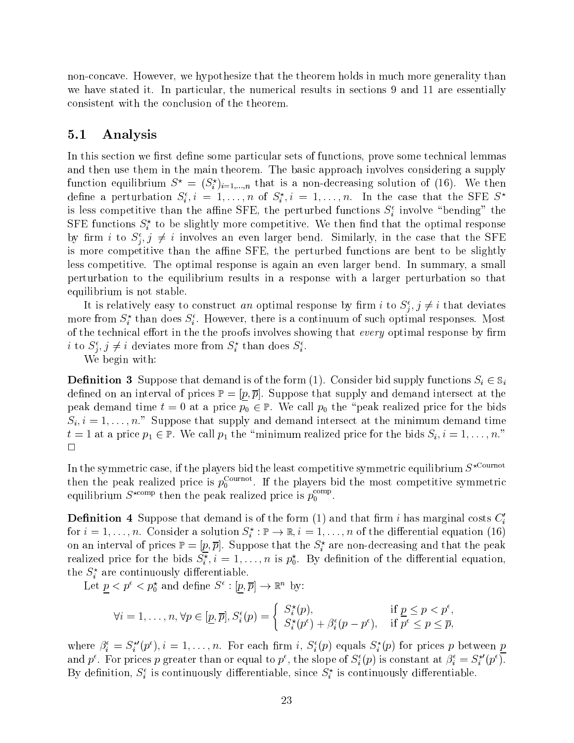non-concave. However, we hypothesize that the theorem holds in much more generality than we have stated it. In particular, the numerical results in sections 9 and 11 are essentially consistent with the conclusion of the theorem.

#### 5.1 Analysis

In this section we first define some particular sets of functions, prove some technical lemmas and then use them in the main theorem. The basic approach involves considering a supply function equilibrium  $S^{\circ} = (S^{\circ}_i)_{i=1,...,n}$  that is a non-decreasing solution of (16). We then define a perturbation  $S_i, i = 1, \ldots, n$  of  $S_i, i = 1, \ldots, n$ . In the case that the SFE  $S^*$ is less competitive than the anine SFE, the perturbed functions  $S_i$  involve  $\bar{D}$  bending  $\bar{D}$  the  $S_{\rm F}$  is functions  $S_{\rm i}^*$  to be slightly more competitive. We then find that the optimal response by  $\lim_{i} i$  to  $S_i, j \neq i$  involves an even larger bend. Similarly, in the case that the SFE is more competitive than the affine SFE, the perturbed functions are bent to be slightly less competitive. The optimal response is again an even larger bend. In summary, a small perturbation to the equilibrium results in a response with a larger perturbation so that equilibrium is not stable.

It is relatively easy to construct *an* optimal response by firm  $i$  to  $S_i, j \neq i$  that deviates more from  $S_i$  than does  $S_i$ . However, there is a continuum of such optimal responses. Most of the technical effort in the the proofs involves showing that every optimal response by firm  $i$  to  $S_i$ ,  $j \neq i$  deviates more from  $S_i$  than does  $S_i$ .

We begin with:

**Definition 3** Suppose that demand is of the form (1). Consider bid supply functions  $S_i \in S_i$ defined on an interval of prices  $\mathbb{P} = [p, \overline{p}]$ . Suppose that supply and demand intersect at the peak demand time  $t = 0$  at a price  $p_0 \in \mathbb{P}$ . We call  $p_0$  the "peak realized price for the bids  $S_i, i = 1, \ldots, n$ ." Suppose that supply and demand intersect at the minimum demand time  $t = 1$  at a price  $p_1 \in \mathbb{P}$ . We call  $p_1$  the "minimum realized price for the bids  $S_i$ ,  $i = 1, \ldots, n$ ."  $\Box$ 

In the symmetric case, if the players bid the least competitive symmetric equilibrium  $S^{\star \text{Countot}}$ then the peak realized price is  $p_0^{\text{max}}$ . If the players bid the most competitive symmetric equilibrium  $S^{120\mu\nu}$  then the peak realized price is  $p_0$  . Then

**Definition 4** Suppose that demand is of the form  $(1)$  and that firm i has marginal costs  $C_i$ for  $i = 1, \ldots, n$ . Consider a solution  $S_i : \mathbb{P} \to \mathbb{R}, i = 1, \ldots, n$  of the differential equation (16) on an interval of prices  $\mathbb{P} = [p, p]$ . Suppose that the  $S_i$  are non-decreasing and that the peak realized price for the bids  $S_i^*, i = 1, \ldots, n$  is  $p_0^*,$  by definition of the differential equation, the  $\mathcal{S}_i^+$  are continuously differentiable.

Let  $p < p^2 > p_0$  and define  $S^2 : [p, p] \to \mathbb{R}^2$  by:

$$
\forall i = 1, \dots, n, \forall p \in [\underline{p}, \overline{p}], S_i^{\epsilon}(p) = \begin{cases} S_i^{\star}(p), & \text{if } \underline{p} \le p < p^{\epsilon}, \\ S_i^{\star}(p^{\epsilon}) + \beta_i^{\epsilon}(p - p^{\epsilon}), & \text{if } p^{\epsilon} \le p \le \overline{p}, \end{cases}
$$

where  $p_i = S_i^p(p^2), i = 1, \ldots, n$ . For each firm i,  $S_i(p)$  equals  $S_i(p)$  for prices p between p and  $p$  . For prices  $p$  greater than or equal to  $p$  , the slope of  $S_i(p)$  is constant at  $\rho_i \equiv S_i^-(p)$ . By definition,  $S_i$  is continuously differentiable, since  $S_i$  is continuously differentiable.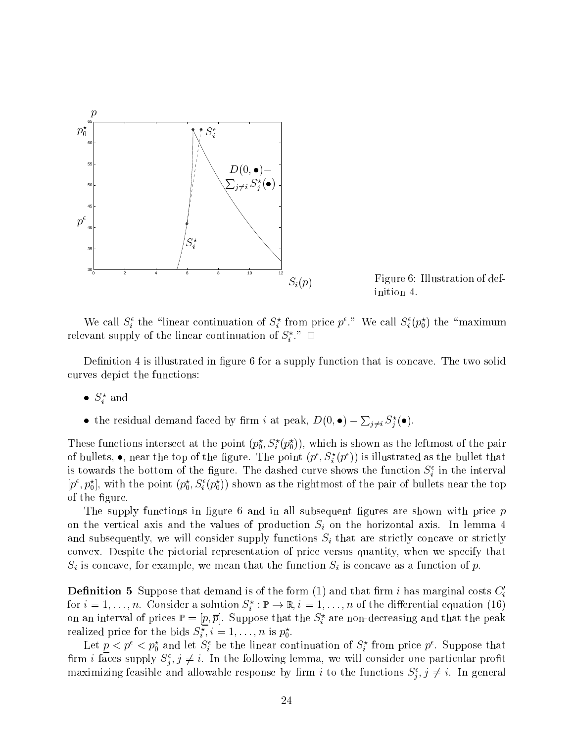

Figure 6: Illustration of definition 4.

we call  $S_i$  the timear continuation of  $S_i$  from price p. We call  $S_i (p_0)$  the maximum relevant supply of the linear continuation of  $S_i$ .  $\Box$ 

Definition 4 is illustrated in figure 6 for a supply function that is concave. The two solid curves depict the functions:

- $S_i$  and
- the residual demand faced by firm i at peak,  $D(0, \bullet) \sum_{i \neq i} S_i^{\star}(\bullet)$ .

These functions intersect at the point  $(p_0, S_i(p_0))$ , which is shown as the leftmost of the pair of bullets,  $\bullet$ , hear the top of the figure. The point  $(p^\tau, S_i^\tau(p^\tau))$  is illustrated as the bullet that is towards the bottom of the figure. The dashed curve shows the function  $S_i$  in the interval  $[p^-, p_0^+]$ , with the point  $(p_0, S_i^-(p_0^+))$  shown as the rightmost of the pair of bullets near the top of the figure.

The supply functions in figure 6 and in all subsequent figures are shown with price  $p$ on the vertical axis and the values of production  $S_i$  on the horizontal axis. In lemma 4 and subsequently, we will consider supply functions  $S_i$  that are strictly concave or strictly convex. Despite the pictorial representation of price versus quantity, when we specify that  $S_i$  is concave, for example, we mean that the function  $S_i$  is concave as a function of p.

**Definition 5** Suppose that demand is of the form  $(1)$  and that firm i has marginal costs  $C_i$ for  $i = 1, \ldots, n$ . Consider a solution  $S_i : \mathbb{P} \to \mathbb{R}, i = 1, \ldots, n$  of the differential equation (16) on an interval of prices  $\mathbb{P} = [p, p]$ . Suppose that the  $\mathcal{S}_i$  are non-decreasing and that the peak realized price for the bids  $S_i$  ,  $i = 1, \ldots, n$  is  $p_0$ .

Let  $p < p_0$  and let  $S_i$  be the linear continuation of  $S_i$  from price  $p$ . Suppose that firm *i* faces supply  $S_i$ ,  $j \neq i$ . In the following lemma, we will consider one particular profit maximizing reasible and allowable response by  $\lim u$  to the functions  $S_{\tilde{j}}, j \neq i$ . In general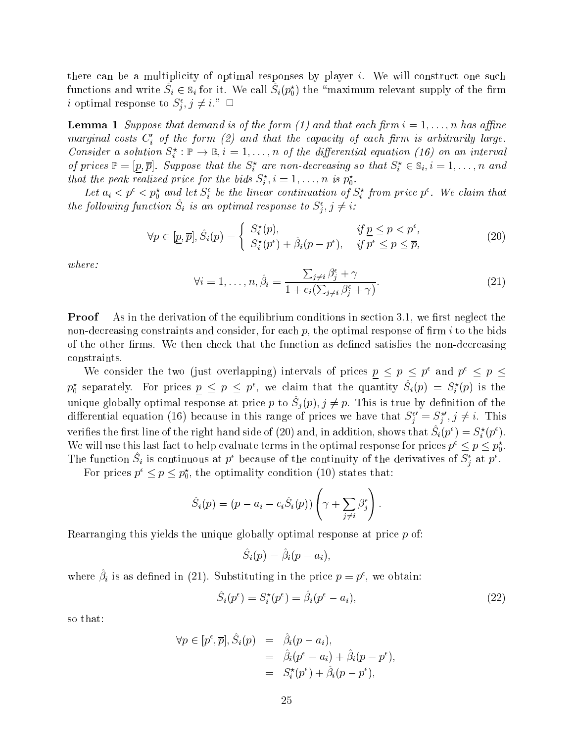there can be a multiplicity of optimal responses by player i. We will construct one such functions and write  $S_i \in \mathcal{S}_i$  for it. We call  $S_i(p_0^c)$  the Anaximum relevant supply of the firm *i* optimal response to  $S_i, j \neq i$ .  $\Box$ 

**Lemma 1** Suppose that demand is of the form (1) and that each firm  $i = 1, \ldots, n$  has affine marginal costs  $C_i'$  of the form (2) and that the capacity of each firm is arbitrarily large. Consider a solution  $S_i^c: \mathbb{P} \to \mathbb{R}, i = 1, \ldots, n$  of the aifferential equation (16) on an interval of prices  $\mathbb{F} = [p, p]$ . Suppose that the  $S_i$  are non-decreasing so that  $S_i \in \mathbb{S}_i, i = 1, \ldots, n$  and that the peak realized price for the bias  $S_i$ ,  $i = 1, \ldots, n$  is  $p_0$ .

Let  $a_i < p^* < p_0^*$  and let  $S_i^*$  be the linear continuation of  $S_i^*$  from price  $p^*$ . We claim that the following function  $S_i$  is an optimal response to  $S_j, j \neq i$ :

$$
\forall p \in [\underline{p}, \overline{p}], \hat{S}_i(p) = \begin{cases} S_i^*(p), & \text{if } \underline{p} \le p < p^{\epsilon}, \\ S_i^*(p^{\epsilon}) + \hat{\beta}_i(p - p^{\epsilon}), & \text{if } p^{\epsilon} \le p \le \overline{p}, \end{cases} \tag{20}
$$

where:

$$
\forall i = 1, \dots, n, \hat{\beta}_i = \frac{\sum_{j \neq i} \beta_j^{\epsilon} + \gamma}{1 + c_i(\sum_{j \neq i} \beta_j^{\epsilon} + \gamma)}.
$$
\n(21)

**Proof** As in the derivation of the equilibrium conditions in section 3.1, we first neglect the non-decreasing constraints and consider, for each  $p$ , the optimal response of firm  $i$  to the bids of the other firms. We then check that the function as defined satisfies the non-decreasing constraints.

We consider the two (just overlapping) intervals of prices  $p \leq p \leq p^2$  and  $p^2 \leq p \leq p$  $p_0$  separately. For prices  $p \leq p \leq p$ , we claim that the quantity  $S_i(p) = S_i^*(p)$  is the unique grobally optimal response at price  $p$  to  $\beta_j(p)$ ,  $j \neq p$ . This is true by definition of the differential equation (16) because in this range of prices we have that  $S_i^+ = S_i^+, j \neq i$ . This verifies the first line of the right hand side of (20) and, in addition, shows that  $S_i(p') \equiv S_i(p')$ . We will use this last fact to help evaluate terms in the optimal response for prices  $p^r \leq p \leq p_0^r$ . The function  $S_i$  is continuous at p because of the continuity of the derivatives of  $S_i$  at p.

For prices  $p \leq p \leq p_0^2$ , the optimality condition (10) states that:

$$
\hat{S}_i(p) = (p - a_i - c_i \hat{S}_i(p)) \left( \gamma + \sum_{j \neq i} \beta_j^{\epsilon} \right).
$$

Rearranging this yields the unique globally optimal response at price <sup>p</sup> of:

$$
\hat{S}_i(p)=\hat{\beta}_i(p-a_i),
$$

where  $\rho_i$  is as defined in (21). Substituting in the price  $p = p^*$ , we obtain:

$$
\hat{S}_i(p^{\epsilon}) = S_i^{\star}(p^{\epsilon}) = \hat{\beta}_i(p^{\epsilon} - a_i), \tag{22}
$$

so that:

$$
\forall p \in [p^{\epsilon}, \overline{p}], \hat{S}_i(p) = \hat{\beta}_i(p - a_i),
$$
  
= 
$$
\hat{\beta}_i(p^{\epsilon} - a_i) + \hat{\beta}_i(p - p^{\epsilon}),
$$
  
= 
$$
S_i^{\star}(p^{\epsilon}) + \hat{\beta}_i(p - p^{\epsilon}),
$$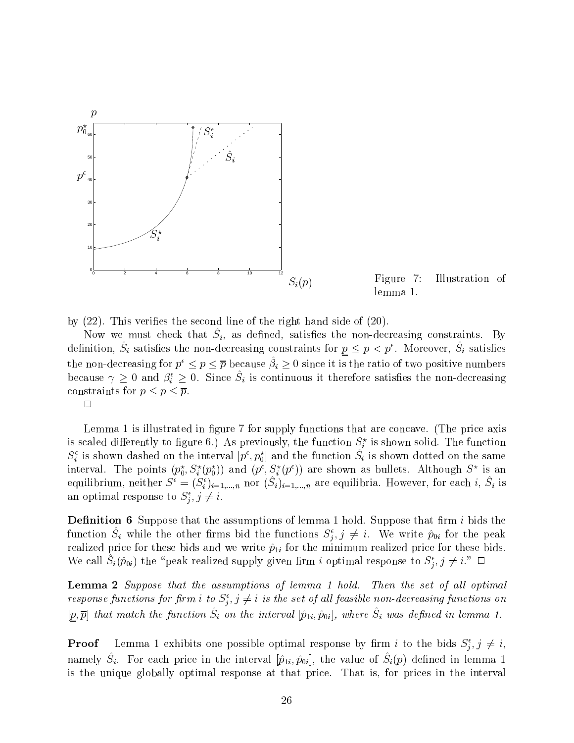

Figure 7: Illustration of lemma 1.

<sup>j</sup>

by  $(22)$ . This verifies the second line of the right hand side of  $(20)$ .

<sup>j</sup>

row we must check that  $\omega_i$ , as defined, satisfies the non-decreasing constraints. By definition,  $S_i$  satisfies the non-decreasing constraints for  $p \leq p \leq p$ . Moreover,  $S_i$  satisfies the non-decreasing for  $p^* \leq p \leq p$  because  $p_i \geq 0$  since it is the ratio of two positive numbers because  $\gamma \geq 0$  and  $\rho_i \geq 0$ . Since  $s_i$  is continuous it therefore satisfies the non-decreasing constraints for property in the property of the property of the property of the property of the property of the  $p$ 

 $\Box$ 

Lemma 1 is illustrated in figure 7 for supply functions that are concave. (The price axis is scaled differently to figure 6.) As previously, the function  $S_i$  is shown solid. The function  $S_i$  is shown dashed on the interval  $[p^*, p_0^*]$  and the function  $S_i$  is shown dotted on the same interval. The points  $(p_0, S_i(p_0))$  and  $(p^*, S_i(p^*))$  are shown as bullets. Although  $S^*$  is an equilibrium, neither  $S^* = (S_i^*)_{i=1,...,n}^*$  nor  $(S_i)_{i=1,...,n}$  are equilibria. However, for each  $i, S_i$  is an optimal response to  $S_i$ ,  $\eta \neq i$ .

**Definition 6** Suppose that the assumptions of lemma 1 hold. Suppose that firm  $i$  bids the function  $S_i$  while the other firms bid the functions  $S_j, j \neq i$ . We write  $p_{0i}$  for the peak realized price for these bids and we write  $\hat{p}_{1i}$  for the minimum realized price for these bids. We call  $S_i(p_{0i})$  the speak realized supply given firm i optimal response to  $S_i, j \neq i$ .

**Lemma 2** Suppose that the assumptions of lemma 1 hold. Then the set of all optimal response functions for firm  $i$  to  $S_i, j \neq i$  is the set of all feasible non-aecreasing functions on  $[p, p]$  that match the function  $\varphi_i$  on the interval  $[p]_i, p_{0i}|,$  where  $\varphi_i$  was defined in lemma 1.

**Proof** Lemma 1 exhibits one possible optimal response by firm t to the bids  $S_j, j \neq i$ , namely  $\varphi_i$ . For each price in the interval  $[p_1_i, p_{0i}]$ , the value of  $\varphi_i(p)$  defined in lemma 1 is the unique globally optimal response at that price. That is, for prices in the interval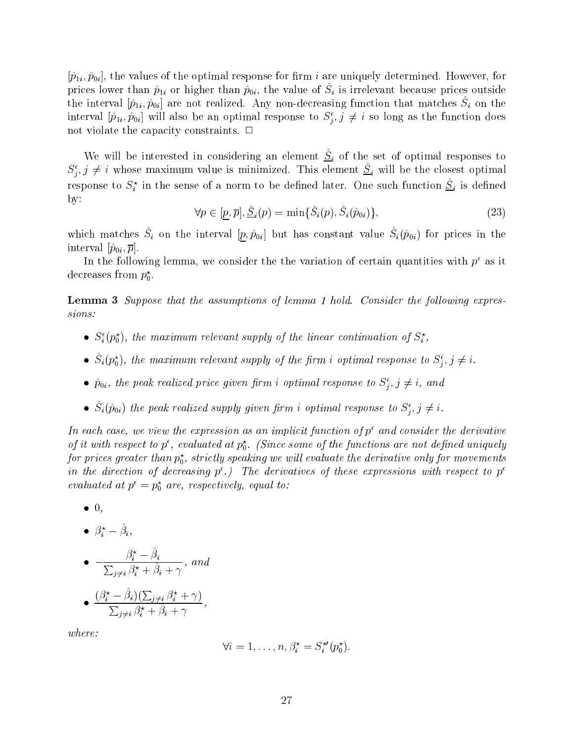$[\hat{p}_{1i}, \hat{p}_{0i}]$ , the values of the optimal response for firm i are uniquely determined. However, for prices lower than  $p_{1i}$  or higher than  $p_{0i}$ , the value or  $S_i$  is irrelevant because prices outside the interval  $[p_1_i, p_{0i}]$  are not realized. Any non-decreasing function that matches  $\omega_i$  on the interval  $[p_{1i}, p_{0i}]$  will also be an optimal response to  $S_j, j \neq i$  so long as the function does not violate the capacity constraints.  $\Box$ 

We will be interested in considering an element  $\mathcal{Q}_i$  of the set of optimal responses to  $S_j, j \neq i$  whose maximum value is minimized. This element  $S_i$  will be the closest optimal response to  $S_i^+$  in the sense of a norm to be defined later. One such function  $\underline{S}_i$  is defined by:

$$
\forall p \in [\underline{p}, \overline{p}], \hat{\underline{S}}_i(p) = \min\{\hat{S}_i(p), \hat{S}_i(\hat{p}_{0i})\},\tag{23}
$$

<sup>j</sup>

which matches  $\mathcal{D}_i$  on the interval  $|p, p_0i|$  but has constant value  $\mathcal{D}_i(p_0i)$  for prices in the interval  $[\hat{p}_{0i}, \overline{p}]$ .

In the following lemma, we consider the the variation of certain quantities with  $p^{\epsilon}$  as it decreases from  $p_{0}$ .

**Lemma 3** Suppose that the assumptions of lemma 1 hold. Consider the following expressions:

- $\bullet$   $S_i(p_0)$ , the maximum relevant supply of the linear continuation of  $S_i$ ,
- $\bullet$   $S_i(p_0)$ , the maximum relevant supply of the firm i optimal response to  $S_i, j \neq i$ .
- $\bullet$   $p_{0i},$  the peak realized price given firm i optimal response to  $\mathcal{S}_j, j \neq i,$  and
- $\bullet$   $S_i(p_{0i})$  the peak realized supply given firm i optimal response to  $S_j, j \neq i$ .

In each case, we view the expression as an implicit function of  $p^{\epsilon}$  and consider the derivative of a with respect to  $p^*,$  evaluated at  $p^*_0$ . (Since some of the functions are not defined uniquely for prices greater than  $p_0^{},\,$  strictly speaking we will evaluate the derivative only for movements in the direction of decreasing  $p^{\epsilon}$ .) The derivatives of these expressions with respect to  $p^{\epsilon}$ evaluated at  $p^{\scriptscriptstyle +}=p_0^{\scriptscriptstyle -}$  are, respectively, equal to:

- $\bullet$  0,
- $\bullet$   $\rho_i \rho_i$ ,

• 
$$
-\frac{\beta_i^* - \hat{\beta}_i}{\sum_{j \neq i} \beta_i^* + \hat{\beta}_i + \gamma}
$$
, and

• 
$$
\frac{(\beta_i^* - \hat{\beta}_i)(\sum_{j \neq i} \beta_i^* + \gamma)}{\sum_{j \neq i} \beta_i^* + \hat{\beta}_i + \gamma},
$$

where:

$$
\forall i=1,\ldots,n, \beta_i^{\star}=S_i^{\star\prime}(p_0^{\star}).
$$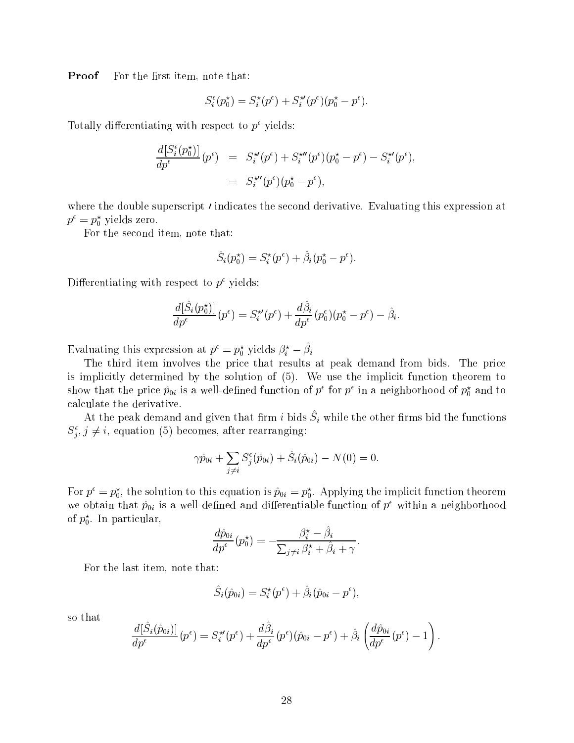**Proof** For the first item, note that:

$$
S_i^{\epsilon}(p_0^{\star}) = S_i^{\star}(p^{\epsilon}) + S_i^{\star \prime}(p^{\epsilon})(p_0^{\star} - p^{\epsilon}).
$$

Totally differentiating with respect to  $p^{\epsilon}$  yields:

$$
\frac{d[S_i^{\epsilon}(p_0^{\star})]}{dp^{\epsilon}}(p^{\epsilon}) = S_i^{\star\prime}(p^{\epsilon}) + S_i^{\star\prime\prime}(p^{\epsilon})(p_0^{\star} - p^{\epsilon}) - S_i^{\star\prime}(p^{\epsilon}), \n= S_i^{\star\prime\prime}(p^{\epsilon})(p_0^{\star} - p^{\epsilon}),
$$

where the double superscript *I* indicates the second derivative. Evaluating this expression at  $p = p_0$  yields zero.

For the second item, note that:

$$
\hat{S}_i(p_0^\star) = S_i^\star(p^\epsilon) + \hat{\beta}_i(p_0^\star - p^\epsilon).
$$

Differentiating with respect to  $p^{\epsilon}$  yields:

$$
\frac{d[\hat{S}_i(p_0^{\star})]}{dp^{\epsilon}}(p^{\epsilon}) = S_i^{\star \prime}(p^{\epsilon}) + \frac{d\hat{\beta}_i}{dp^{\epsilon}}(p_0^{\epsilon})(p_0^{\star} - p^{\epsilon}) - \hat{\beta}_i.
$$

Evaluating this expression at  $p^* = p_0^*$  yields  $\rho_i^* - \rho_i$ 

The third item involves the price that results at peak demand from bids. The price is implicitly determined by the solution of (5). We use the implicit function theorem to show that the price  $p_{0i}$  is a well-defined function of  $p^*$  for  $p^*$  in a neighborhood of  $p^*_0$  and to calculate the derivative.

At the peak demand and given that min  $i$  bids  $\beta_i$  while the other mins bid the functions  $S_i$ ,  $j \neq i$ , equation (5) becomes, after rearranging: <sup>j</sup>

$$
\gamma \hat{p}_{0i} + \sum_{j \neq i} S_j^{\epsilon}(\hat{p}_{0i}) + \hat{S}_i(\hat{p}_{0i}) - N(0) = 0.
$$

For  $p^* = p_0^*$ , the solution to this equation is  $p_{0i} = p_0^*$ . Applying the implicit function theorem we obtain that  $\hat{p}_{0i}$  is a well-defined and differentiable function of  $p^{\epsilon}$  within a neighborhood or  $p_{\rm 0}$ . In particular,

$$
\frac{d\hat{p}_{0i}}{dp^{\epsilon}}(p_0^{\star}) = -\frac{\beta_i^{\star} - \beta_i}{\sum_{j \neq i} \beta_i^{\star} + \hat{\beta}_i + \gamma}.
$$

For the last item, note that:

$$
\hat{S}_i(\hat{p}_{0i}) = S_i^{\star}(p^{\epsilon}) + \hat{\beta}_i(\hat{p}_{0i} - p^{\epsilon}),
$$

so that

$$
\frac{d[\hat{S}_i(\hat{p}_{0i})]}{dp^{\epsilon}}(p^{\epsilon})=S_i^{\star\prime}(p^{\epsilon})+\frac{d\hat{\beta}_i}{dp^{\epsilon}}(p^{\epsilon})(\hat{p}_{0i}-p^{\epsilon})+\hat{\beta}_i\left(\frac{d\hat{p}_{0i}}{dp^{\epsilon}}(p^{\epsilon})-1\right).
$$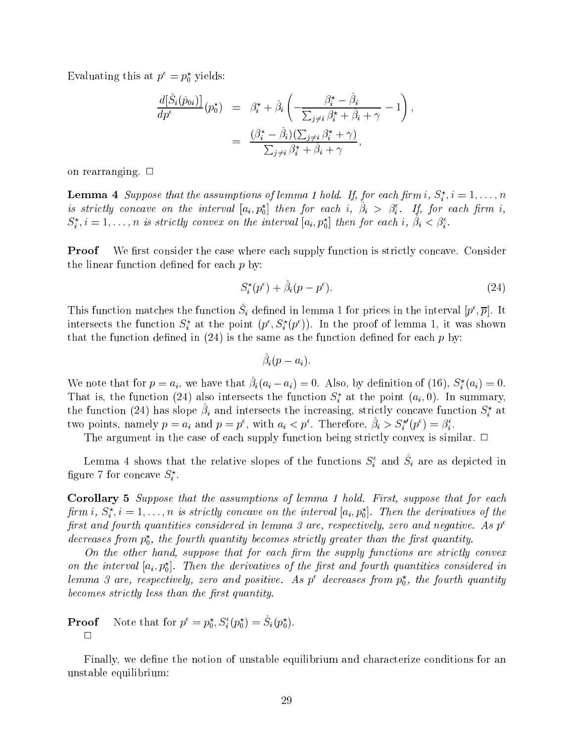Evaluating this at  $p^* = p_0^*$  yields:

$$
\frac{d[\hat{S}_i(\hat{p}_{0i})]}{dp^{\epsilon}}(p_0^{\star}) = \beta_i^{\star} + \hat{\beta}_i \left( -\frac{\beta_i^{\star} - \hat{\beta}_i}{\sum_{j \neq i} \beta_i^{\star} + \hat{\beta}_i + \gamma} - 1 \right),
$$

$$
= \frac{(\beta_i^{\star} - \hat{\beta}_i)(\sum_{j \neq i} \beta_i^{\star} + \gamma)}{\sum_{j \neq i} \beta_i^{\star} + \hat{\beta}_i + \gamma},
$$

on rearranging.  $\Box$ 

**Lemma 4** Suppose that the assumptions of temma 1 hota. If, for each firm  $i$ ,  $S_i^i$ ,  $i = 1, \ldots, n$ is strictly concave on the interval  $[a_i, p_0]$  then for each  $i, \; p_i \; > \; p_i^-$ . If, for each firm  $i,$  $S_i^{\varepsilon}, i = 1, \ldots, n$  is strictly convex on the interval  $[a_i, p_0^{\varepsilon}]$  then for each  $i, \; p_i < p_i^{\varepsilon}.$ 

**Proof** We first consider the case where each supply function is strictly concave. Consider the linear function defined for each  $p$  by:

$$
S_i^{\star}(p^{\epsilon}) + \hat{\beta}_i(p - p^{\epsilon}). \tag{24}
$$

This function matches the function  $S_i$  defined in lemma 1 for prices in the interval  $[p^*,p]$ . It intersects the function  $S_i$  at the point  $(p_i, S_i(p_j))$ . In the proof of lemma 1, it was shown that the function defined in  $(24)$  is the same as the function defined for each p by:

$$
\hat{\beta}_i(p-a_i).
$$

We note that for  $p = a_i$ , we have that  $p_i(a_i - a_i) = 0$ . Also, by definition of (16),  $S_i(a_i) = 0$ . That is, the function (24) also intersects the function  $S_i^{\perp}$  at the point  $(a_i, 0)$ . In summary, the function (24) has slope  $\rho_i$  and intersects the increasing, strictly concave function  $S_i^+$  at two points, namely  $p = a_i$  and  $p = p^*$ , with  $a_i < p^*$ . Therefore,  $\rho_i > S_i^*(p^*) = \rho_i^*$ .

The argument in the case of each supply function being strictly convex is similar.  $\Box$ 

Lemma 4 shows that the relative slopes of the functions  $S_i$  and  $S_i$  are as depicted in ngure *f* for concave  $S_i$ .

Corollary 5 Suppose that the assumptions of lemma 1 hold. First, suppose that for each firm  $i, S_i, i = 1, \ldots, n$  is strictly concave on the interval  $[a_i, p_0]$ . Then the derivatives of the first and fourth quantities considered in lemma 3 are, respectively, zero and negative. As  $p^e$  $a$ ecreases from  $p_{0},\;$  the fourth quantity becomes strictly greater than the first quantity.

On the other hand, suppose that for each firm the supply functions are strictly convex on the interval  $[a_i,p_0].$  Then the aerivatives of the first and fourth quantities considered in temma 3 are, respectively, zero and positive. As  $p^{\ast}$  decreases from  $p^{\ast}_0$ , the fourth quantity becomes strictly less than the first quantity.

**Proof** Note that for 
$$
p^{\epsilon} = p_0^{\star}
$$
,  $S_i^{\epsilon}(p_0^{\star}) = S_i(p_0^{\star})$ .

Finally, we define the notion of unstable equilibrium and characterize conditions for an unstable equilibrium: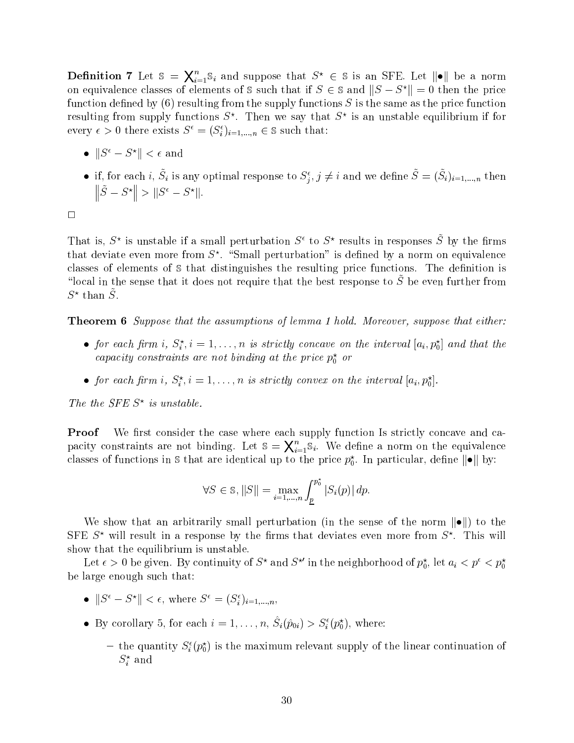**Definition** 7 Let  $\mathbb{S} = \mathbf{X}_{i=1}^{\infty} \mathbb{S}_i$  and suppose that  $S^* \in \mathbb{S}$  is an SFE. Let  $\|\bullet\|$  be a norm <sup>X</sup> on equivalence classes of elements of  $\triangleright$  such that if  $S \in \mathfrak{S}$  and  $\Vert S - S^* \Vert = 0$  then the price function defined by  $(6)$  resulting from the supply functions S is the same as the price function resulting from supply functions  $S$  . Then we say that  $S$  is an unstable equilibrium if for every  $\epsilon > 0$  there exists  $S^+ = (S_i)_{i=1,\dots,n} \in S$  such that:

- $||S^{\epsilon} S^*|| < \epsilon$  and
- ii, for each  $i, S_i$  is any optimal response to  $S_i, j \neq i$  and we define  $S = (S_i)_{i=1,...,n}$  then  $\|\tilde{S} - S^{\star}\| > \|S^{\epsilon} - S^{\star}\|.$

That is,  $S^*$  is unstable if a small perturbation  $S^*$  to  $S^*$  results in responses  $S^*$  by the firms that deviate even more from  $S$  . Small perturbation is defined by a norm on equivalence classes of elements of  $\delta$  that distinguishes the resulting price functions. The definition is "local in the sense that it does not require that the best response to  $\tilde{S}$  be even further from  $S^+$  than  $S^-$ .

**Theorem 6** Suppose that the assumptions of lemma 1 hold. Moreover, suppose that either:

- $\bullet$  for each firm  $i, S_i, i = 1, \ldots, n$  is strictly concave on the interval  $[a_i, p_0]$  and that the capacity constraints are not binaing at the price  $p_0^+$  or
- for each firm  $i, S_i, i = 1, \ldots, n$  is strictly convex on the interval  $[a_i, p_0]$ .

The the SFE S<sup>ther</sup> is unstable.

**Proof** We first consider the case where each supply function Is strictly concave and ca- $\mathbf{p}_1$  is the parameter and the state area  $\mathbf{p}_1$  and  $\mathbf{p}_2$   $\mathbf{p}_3$   $\mathbf{p}_4$   $\mathbf{p}_5$   $\mathbf{p}_6$   $\mathbf{p}_7$   $\mathbf{p}_8$   $\mathbf{p}_9$   $\mathbf{p}_9$  $_{i=1}\mathbb{S}_{i}.$  We define a norm on the equivalence classes of functions in  $s$  that are identical up to the price  $p_0$ . In particular, define  $||\bullet||$  by:

$$
\forall S \in \mathbb{S}, ||S|| = \max_{i=1,\dots,n} \int_{\underline{p}}^{p_0^*} |S_i(p)| dp.
$$

We show that an arbitrarily small perturbation (in the sense of the norm  $\|\bullet\|$ ) to the  $S$ r E  $S^*$  will result in a response by the iirms that deviates even more from  $S^*$ . This will show that the equilibrium is unstable.

Let  $\epsilon > 0$  be given. By continuity of  $S^{\alpha}$  and  $S^{\alpha}$  in the neighborhood of  $p_0^{\alpha}$ , let  $a_i < p^{\alpha} < p_0^{\alpha}$ be large enough such that:

- $\bullet$   $\|\mathcal{S} \mathcal{S}^*\| \leq \epsilon$ , where  $\mathcal{S}^* = (\mathcal{S}_i)_{i=1,...,n}$ ,
- By corollary 5, for each  $i = 1, \ldots, n$ ,  $S_i(p_{0i}) > S_i(p_0)$ , where:
	- $=$  the quantity  $S_i(p_0)$  is the maximum relevant supply of the linear continuation of  $S_i$  and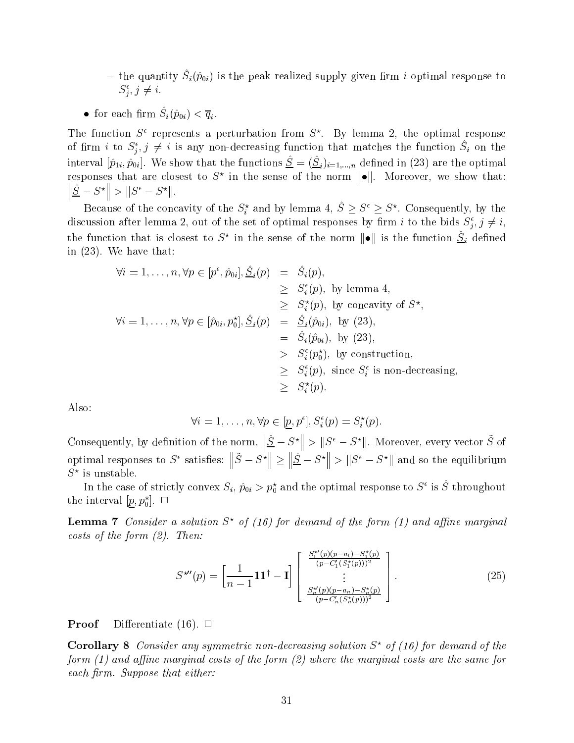$\tau$  the quantity  $\mathcal{D}_i(\rho_0)$  is the peak realized supply given mini  $i$  optimal response to  $\mathcal{S}: \mathcal{I} \neq \mathcal{I}.$ je poznata u predstavanje u predstavanje predstavanje predstavanje predstavanje predstavanje predstavanje preds

• for each min  $\mathcal{O}_i(p_{0i}) \searrow q_i$ .

The function  $S^*$  represents a perturbation from  $S^*$ . By lemma 2, the optimal response of firm  $i$  to  $S_i, j \neq i$  is any non-decreasing function that matches the function  $S_i$  on the interval  $[p_1; p_{0i}]$ . We show that the functions  $\underline{\omega} = (\underline{\omega}_i)_{i=1,...,n}$  defined in (23) are the optimal responses that are closest to  $S^\circ$  in the sense of the norm  $\|\bullet\|$ . Moreover, we show that:  $\|\hat{S} - S^{\star}\| > \|S^{\epsilon} - S^{\star}\|.$ 

because of the concavity of the  $S_i$  and by lemma 4,  $S \ge S^{\sim} \ge S^{\sim}$ . Consequently, by the discussion after lemma 2, out of the set of optimal responses by firm  $i$  to the bids  $S_i, j \neq i$ , je poznata u predstavanje u predstavanje predstavanje u predstavanje u predstavanje u predstavanje u predstava the function that is closest to  $S^{\circ}$  in the sense of the norm  $\|\bullet\|$  is the function  $\underline{S}_i$  defined in (23). We have that:

$$
\forall i = 1, \ldots, n, \forall p \in [p^{\epsilon}, \hat{p}_{0i}], \hat{S}_i(p) = \hat{S}_i(p),
$$
  
\n
$$
\geq S_i^{\epsilon}(p), \text{ by lemma 4,}
$$
  
\n
$$
\geq S_i^{\epsilon}(p), \text{ by concavity of } S^{\star},
$$
  
\n
$$
\forall i = 1, \ldots, n, \forall p \in [\hat{p}_{0i}, p_0^{\star}], \hat{S}_i(p) = \hat{S}_i(\hat{p}_{0i}), \text{ by (23),}
$$
  
\n
$$
= \hat{S}_i(\hat{p}_{0i}), \text{ by (23),}
$$
  
\n
$$
> S_i^{\epsilon}(\hat{p}_0^{\star}), \text{ by construction,}
$$
  
\n
$$
\geq S_i^{\epsilon}(p), \text{ since } S_i^{\epsilon} \text{ is non-decreasing,}
$$
  
\n
$$
\geq S_i^{\star}(p).
$$

Also:

$$
\forall i = 1, \ldots, n, \forall p \in [\underline{p}, p^{\epsilon}], S_i^{\epsilon}(p) = S_i^{\star}(p).
$$

Consequently, by definition of the norm,  $\|\hat{S} - S^\star\| > \|S^\epsilon - S^\star\|$ . Moreover, every vector  $\tilde{S}$  of optimal responses to  $S^{\epsilon}$  satisfies:  $\|\tilde{S} - S^{\star}\| > \|\hat{S} - S^{\star}\| > 0$  $\|\hat{S} - S^{\star}\| > \|S^{\epsilon} - S^{\star}\|$  and so the equilibrium  $5^{\circ}$  is unstable.

In the case of strictly convex  $S_i$ ,  $p_{0i} > p_0$  and the optimal response to S is S throughout the interval  $[p, p_0]$ .  $\Box$ 

**Lemma 7** Consider a solution  $S^*$  of (16) for demand of the form (1) and affine marginal costs of the form (2). Then:

$$
S^{\star \prime \prime}(p) = \left[\frac{1}{n-1} \mathbf{1} \mathbf{1}^{\dagger} - \mathbf{I}\right] \left[\begin{array}{c} \frac{S_1^{\star \prime}(p)(p-a_i) - S_1^{\star}(p)}{(p-C_1^{\prime}(S_1^{\star}(p)))^2} \\ \vdots \\ \frac{S_n^{\star \prime}(p)(p-a_n) - S_n^{\star}(p)}{(p-C_n^{\prime}(S_n^{\star}(p)))^2} \end{array}\right].
$$
 (25)

**Proof** Differentiate (16).  $\Box$ 

**Corollary 8** Consider any symmetric non-decreasing solution  $S^*$  of (16) for demand of the form (1) and affine marginal costs of the form (2) where the marginal costs are the same for each firm. Suppose that either: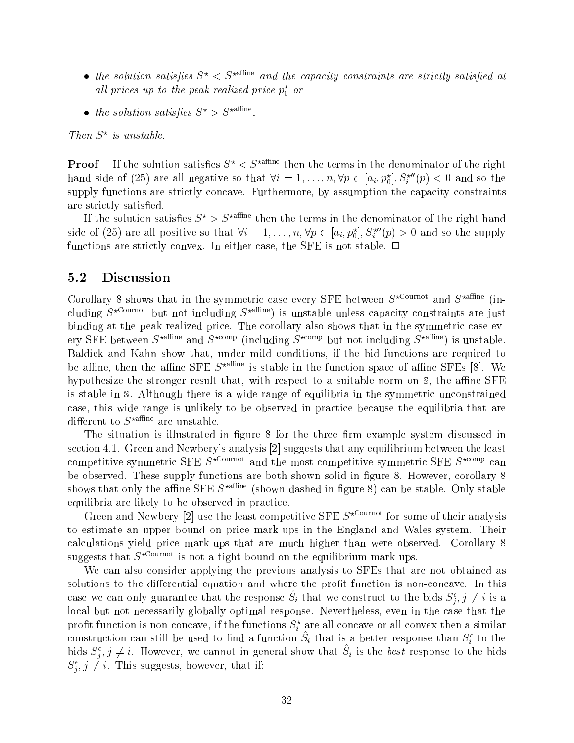- the solution satisfies  $S^* \leq S^*$ <sup>affine</sup> and the capacity constraints are strictly satisfied at all prices up to the peak realized price  $p_0^{\circ}$  or
- the solution satisfies  $S^* > S^*$ <sup>affine</sup>.

Inen 5 is unstable.

**Proof** If the solution satisfies  $S^* \leq S^*$ <sup>affine</sup> then the terms in the denominator of the right hand side of (25) are all negative so that  $\forall i=1,\ldots,n, \forall p \in [a_i, p_0],$   $S_i^+(p) < 0$  and so the supply functions are strictly concave. Furthermore, by assumption the capacity constraints are strictly satisfied.

If the solution satisfies  $S^*$  >  $S^{*}$ <sup>affine</sup> then the terms in the denominator of the right hand side of (25) are all positive so that  $\forall i = 1, \ldots, n, \forall p \in [a_i, p_0], S_i^-(p) > 0$  and so the supply functions are strictly convex. In either case, the SFE is not stable.  $\Box$ 

#### 5.2 Discussion

<sup>j</sup>

Corollary 8 shows that in the symmetric case every SFE between  $S^{\star \text{ Cournot}}$  and  $S^{\star \text{affine}}$  (including  $S^{\star \text{Count} }$  but not including  $S^{\star \text{affine}}$  is unstable unless capacity constraints are just binding at the peak realized price. The corollary also shows that in the symmetric case every SFE between  $S^{\star \text{affine}}$  and  $S^{\star \text{comp}}$  (including  $S^{\star \text{comp}}$  but not including  $S^{\star \text{affine}}$ ) is unstable. Baldick and Kahn show that, under mild conditions, if the bid functions are required to be affine, then the affine SFE  $S^{\star}$ <sup>affine</sup> is stable in the function space of affine SFEs [8]. We hypothesize the stronger result that, with respect to a suitable norm on  $\mathcal{S}$ , the affine SFE is stable in S. Although there is a wide range of equilibria in the symmetric unconstrained case, this wide range is unlikely to be observed in practice because the equilibria that are different to  $S^{\star}$ <sup>affine</sup> are unstable.

The situation is illustrated in figure 8 for the three firm example system discussed in section 4.1. Green and Newbery's analysis [2] suggests that any equilibrium between the least competitive symmetric SFE  $S^{\star \text{Count of}}$  and the most competitive symmetric SFE  $S^{\star \text{comp}}$  can be observed. These supply functions are both shown solid in figure 8. However, corollary 8 shows that only the affine SFE  $S^{\star \text{affine}}$  (shown dashed in figure 8) can be stable. Only stable equilibria are likely to be observed in practice.

Green and Newbery [2] use the least competitive SFE  $S^{\star \text{ Cournot}}$  for some of their analysis to estimate an upper bound on price mark-ups in the England and Wales system. Their calculations yield price mark-ups that are much higher than were observed. Corollary 8 suggests that  $S^{\star \text{ Cournot}}$  is not a tight bound on the equilibrium mark-ups.

We can also consider applying the previous analysis to SFEs that are not obtained as solutions to the differential equation and where the profit function is non-concave. In this case we can omy guarantee that the response  $S_i$  that we construct to the bids  $S_i, j \neq i$  is a local but not necessarily globally optimal response. Nevertheless, even in the case that the pront function is non-concave, if the functions  $S_i^+$  are all concave or all convex then a similar construction can still be used to find a function  $S_i$  that is a better response than  $S_i$  to the bids  $S_i, j \neq i$ . However, we cannot in general show that  $S_i$  is the *best* response to the bids  $S_i$ ,  $j \neq i$ . This suggests, nowever, that if: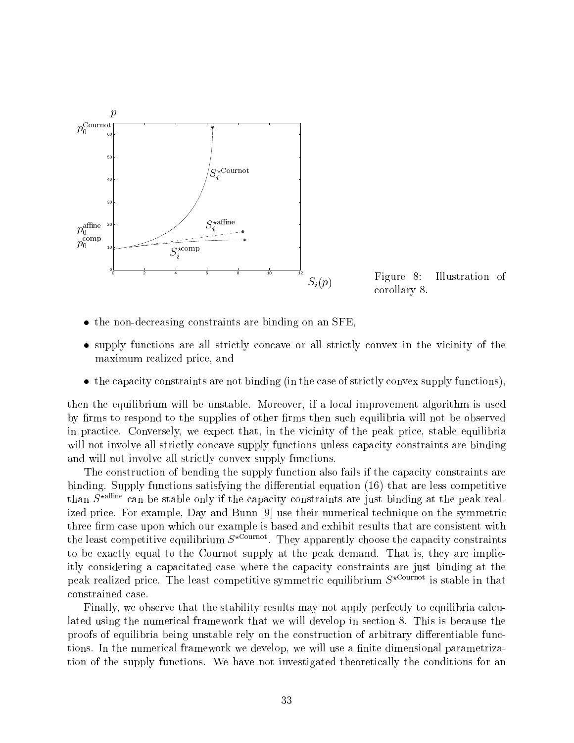



- the non-decreasing constraints are binding on an SFE.
- supply functions are all strictly concave or all strictly convex in the vicinity of the maximum realized price, and
- the capacity constraints are not binding (in the case of strictly convex supply functions),

then the equilibrium will be unstable. Moreover, if a local improvement algorithm is used by firms to respond to the supplies of other firms then such equilibria will not be observed in practice. Conversely, we expect that, in the vicinity of the peak price, stable equilibria will not involve all strictly concave supply functions unless capacity constraints are binding and will not involve all strictly convex supply functions.

The construction of bending the supply function also fails if the capacity constraints are binding. Supply functions satisfying the differential equation  $(16)$  that are less competitive than  $S^{\star\text{affine}}$  can be stable only if the capacity constraints are just binding at the peak realized price. For example, Day and Bunn [9] use their numerical technique on the symmetric three firm case upon which our example is based and exhibit results that are consistent with the least competitive equilibrium  $S^{n+m+1}$ . They apparently choose the capacity constraints to be exactly equal to the Cournot supply at the peak demand. That is, they are implicitly considering a capacitated case where the capacity constraints are just binding at the peak realized price. The least competitive symmetric equilibrium  $S^{\star \text{Count of}}$  is stable in that constrained case.

Finally, we observe that the stability results may not apply perfectly to equilibria calculated using the numerical framework that we will develop in section 8. This is because the proofs of equilibria being unstable rely on the construction of arbitrary differentiable functions. In the numerical framework we develop, we will use a finite dimensional parametrization of the supply functions. We have not investigated theoretically the conditions for an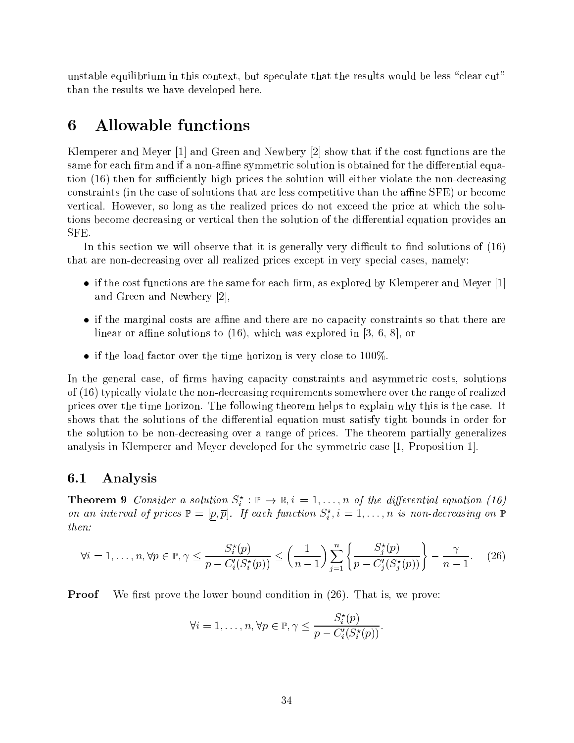unstable equilibrium in this context, but speculate that the results would be less "clear cut" than the results we have developed here.

# 6 Allowable functions

Klemperer and Meyer [1] and Green and Newbery [2] show that if the cost functions are the same for each firm and if a non-affine symmetric solution is obtained for the differential equation (16) then for sufficiently high prices the solution will either violate the non-decreasing constraints (in the case of solutions that are less competitive than the affine SFE) or become vertical. However, so long as the realized prices do not exceed the price at which the solutions become decreasing or vertical then the solution of the differential equation provides an SFE.

In this section we will observe that it is generally very difficult to find solutions of  $(16)$ that are non-decreasing over all realized prices except in very special cases, namely:

- if the cost functions are the same for each firm, as explored by Klemperer and Meyer  $[1]$ and Green and Newbery [2],
- if the marginal costs are affine and there are no capacity constraints so that there are linear or affine solutions to  $(16)$ , which was explored in [3, 6, 8], or
- if the load factor over the time horizon is very close to  $100\%$ .

In the general case, of firms having capacity constraints and asymmetric costs, solutions of (16) typically violate the non-decreasing requirements somewhere over the range of realized prices over the time horizon. The following theorem helps to explain why this is the case. It shows that the solutions of the differential equation must satisfy tight bounds in order for the solution to be non-decreasing over a range of prices. The theorem partially generalizes analysis in Klemperer and Meyer developed for the symmetric case [1, Proposition 1].

### 6.1 Analysis

**Theorem 9** Consider a solution  $S_i : \mathbb{P} \to \mathbb{R}, i = 1, \ldots, n$  of the algebration (and (16) on an interval of prices  $\mathbb{P} = [p, p]$ . If each function  $S_i^i$ ,  $i = 1, \ldots, n$  is non-decreasing on  $\mathbb{P}$ then:

$$
\forall i = 1, \dots, n, \forall p \in \mathbb{P}, \gamma \le \frac{S_i^*(p)}{p - C_i'(S_i^*(p))} \le \left(\frac{1}{n-1}\right) \sum_{j=1}^n \left\{ \frac{S_j^*(p)}{p - C_j'(S_j^*(p))} \right\} - \frac{\gamma}{n-1}.\tag{26}
$$

Proof We first prove the lower bound condition in  $(26)$ . That is, we prove:

$$
\forall i = 1, \ldots, n, \forall p \in \mathbb{P}, \gamma \leq \frac{S_i^{\star}(p)}{p - C_i'(S_i^{\star}(p))}.
$$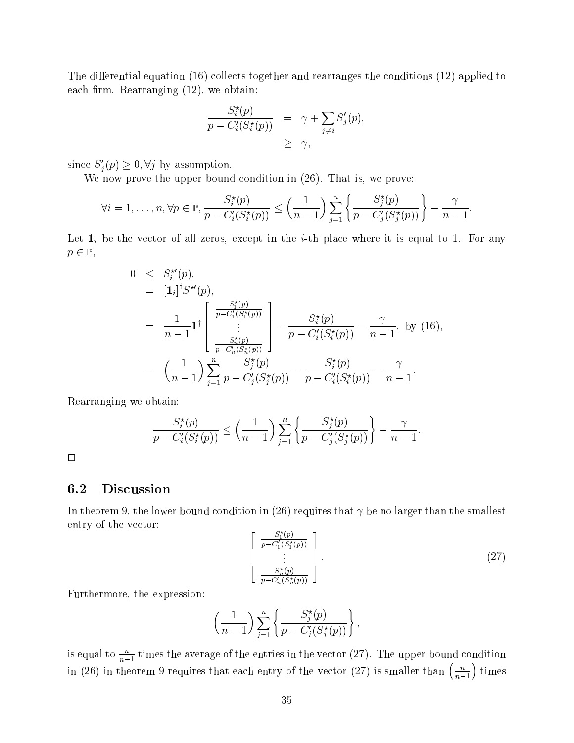The differential equation  $(16)$  collects together and rearranges the conditions  $(12)$  applied to each firm. Rearranging  $(12)$ , we obtain:

$$
\frac{S_i^*(p)}{p - C_i'(S_i^*(p))} = \gamma + \sum_{j \neq i} S_j'(p),
$$
  
 
$$
\geq \gamma,
$$

since  $S'_j(p) \geq 0, \forall j$  by assumption.

We now prove the upper bound condition in  $(26)$ . That is, we prove:

$$
\forall i=1,\ldots,n, \forall p \in \mathbb{P}, \frac{S_i^{\star}(p)}{p-C_i'(S_i^{\star}(p))} \leq \left(\frac{1}{n-1}\right) \sum_{j=1}^n \left\{ \frac{S_j^{\star}(p)}{p-C_j'(S_j^{\star}(p))} \right\} - \frac{\gamma}{n-1}.
$$

Let  $\mathbf{1}_i$  be the vector of all zeros, except in the *i*-th place where it is equal to 1. For any  $P = P$ ,  $P = P$ 

$$
0 \leq S_i^{*'}(p),
$$
  
\n
$$
= [1_i]^{\dagger} S^{*'}(p),
$$
  
\n
$$
= \frac{1}{n-1} 1^{\dagger} \begin{bmatrix} \frac{S_1^*(p)}{p - C_1'(S_1^*(p))} \\ \vdots \\ \frac{S_n^*(p)}{p - C_n'(S_n^*(p))} \end{bmatrix} - \frac{S_i^*(p)}{p - C_i'(S_i^*(p))} - \frac{\gamma}{n-1}, \text{ by (16)},
$$
  
\n
$$
= \left(\frac{1}{n-1}\right) \sum_{j=1}^n \frac{S_j^*(p)}{p - C_j'(S_j^*(p))} - \frac{S_i^*(p)}{p - C_i'(S_i^*(p))} - \frac{\gamma}{n-1}.
$$

Rearranging we obtain:

$$
\frac{S_i^{\star}(p)}{p - C_i'(S_i^{\star}(p))} \le \left(\frac{1}{n-1}\right) \sum_{j=1}^n \left\{ \frac{S_j^{\star}(p)}{p - C_j'(S_j^{\star}(p))} \right\} - \frac{\gamma}{n-1}.
$$

 $\Box$ 

#### 6.2 Discussion

In theorem 9, the lower bound condition in (26) requires that  $\gamma$  be no larger than the smallest entry of the vector:

$$
\begin{bmatrix}\n\frac{S_1^*(p)}{p - C_1'(S_1^*(p))} \\
\vdots \\
\frac{S_n^*(p)}{p - C_n'(S_n^*(p))}\n\end{bmatrix}.
$$
\n(27)

Furthermore, the expression:

$$
\left(\frac{1}{n-1}\right)\sum_{j=1}^n \left\{\frac{S_j^*(p)}{p-C_j'(S_j^*(p))}\right\},\,
$$

is equal to  $\frac{n-1}{n-1}$  times the average of the entries in the vector (27). The upper bound condition in (26) in theorem 9 requires that each entry of the vector (27) is smaller than  $\left(\frac{n}{n-1}\right)$  times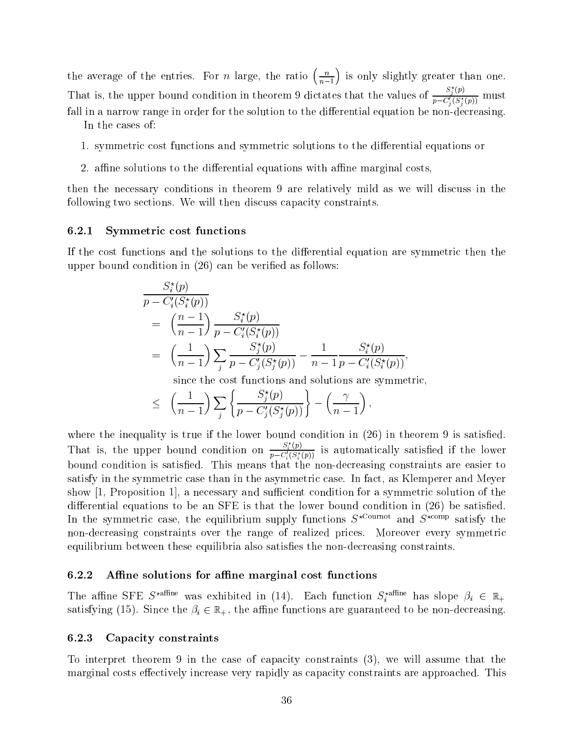the average of the entries. For *n* large, the ratio  $\left(\frac{n}{n-1}\right)$  is only slightly greater than one. That is, the upper bound condition in theorem 9 dictates that the values of  $\frac{S_j^{\{p\}}}{S_j^{\{p\}}(S^{\{r\}})}$  in  $p - C'_i(S^{\star}_i(p))$  must be expressed. fall in a narrow range in order for the solution to the differential equation be non-decreasing.

In the cases of:

- 1. symmetric cost functions and symmetric solutions to the differential equations or
- 2. affine solutions to the differential equations with affine marginal costs,

then the necessary conditions in theorem 9 are relatively mild as we will discuss in the following two sections. We will then discuss capacity constraints.

#### 6.2.1 Symmetric cost functions

If the cost functions and the solutions to the differential equation are symmetric then the upper bound condition in  $(26)$  can be verified as follows:

$$
\frac{S_i^*(p)}{p - C_i'(S_i^*(p))}
$$
\n
$$
= \left(\frac{n-1}{n-1}\right) \frac{S_i^*(p)}{p - C_i'(S_i^*(p))}
$$
\n
$$
= \left(\frac{1}{n-1}\right) \sum_j \frac{S_j^*(p)}{p - C_j'(S_j^*(p))} - \frac{1}{n-1} \frac{S_i^*(p)}{p - C_i'(S_i^*(p))},
$$

since the cost functions and solutions are symmetric,

$$
\leq \left(\frac{1}{n-1}\right) \sum_j \left\{ \frac{S_j^{\star}(p)}{p - C_j'(S_j^{\star}(p))} \right\} - \left(\frac{\gamma}{n-1}\right),
$$

where the inequality is true if the lower bound condition in  $(26)$  in theorem 9 is satisfied. That is, the upper bound condition on  $\frac{S_i^p(p)}{p-C_i^f(S_i^*(p))}$  is automatically satisfied if the lower bound condition is satisfied. This means that the non-decreasing constraints are easier to satisfy in the symmetric case than in the asymmetric case. In fact, as Klemperer and Meyer show  $[1,$  Proposition 1, a necessary and sufficient condition for a symmetric solution of the differential equations to be an SFE is that the lower bound condition in  $(26)$  be satisfied. In the symmetric case, the equilibrium supply functions  $S^{\star \text{Count}}$  and  $S^{\star \text{comp}}$  satisfy the non-decreasing constraints over the range of realized prices. Moreover every symmetric equilibrium between these equilibria also satisfies the non-decreasing constraints.

#### $6.2.2$  Affine solutions for affine marginal cost functions

The annie SFE S<sup>name</sup> was exhibited in (14). Each function  $S_i$ <sup>name</sup> has slope  $\rho_i \in \mathbb{R}_+$ satisfying (15). Since the  $\beta_i \in \mathbb{R}_+$ , the affine functions are guaranteed to be non-decreasing.

#### 6.2.3 Capacity constraints

To interpret theorem 9 in the case of capacity constraints (3), we will assume that the marginal costs effectively increase very rapidly as capacity constraints are approached. This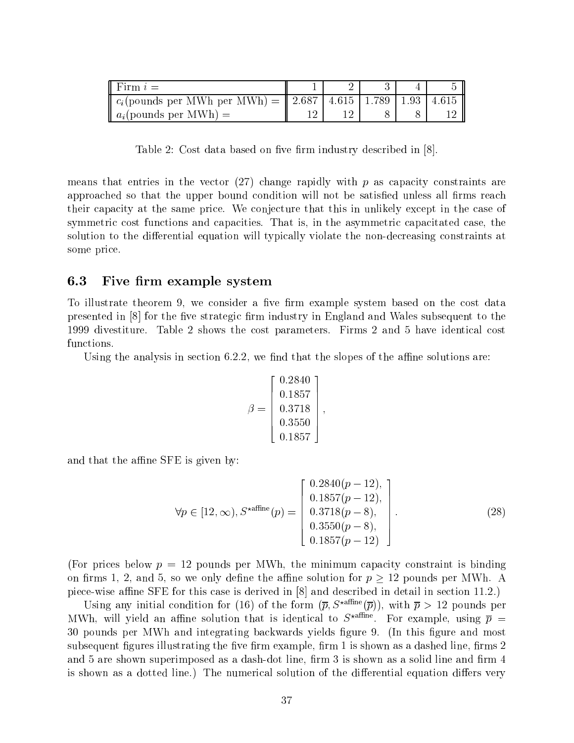| Firm $i=$                                                        |  |  |  |
|------------------------------------------------------------------|--|--|--|
| $c_i$ (pounds per MWh per MWh) =    2.687   4.615   1.789   1.93 |  |  |  |
| $a_i$ (pounds per MWh) =                                         |  |  |  |

Table 2: Cost data based on five firm industry described in  $[8]$ .

means that entries in the vector  $(27)$  change rapidly with p as capacity constraints are approached so that the upper bound condition will not be satisfied unless all firms reach their capacity at the same price. We conjecture that this in unlikely except in the case of symmetric cost functions and capacities. That is, in the asymmetric capacitated case, the solution to the differential equation will typically violate the non-decreasing constraints at some price.

## 6.3 Five firm example system

To illustrate theorem 9, we consider a five firm example system based on the cost data presented in  $\vert 8 \vert$  for the five strategic firm industry in England and Wales subsequent to the 1999 divestiture. Table 2 shows the cost parameters. Firms 2 and 5 have identical cost functions.

Using the analysis in section  $6.2.2$ , we find that the slopes of the affine solutions are:

$$
\beta = \left[\begin{array}{c} 0.2840 \\ 0.1857 \\ 0.3718 \\ 0.3550 \\ 0.1857 \end{array}\right],
$$

and that the affine SFE is given by:

$$
\forall p \in [12, \infty), S^{\star \text{affine}}(p) = \begin{bmatrix} 0.2840(p-12), \\ 0.1857(p-12), \\ 0.3718(p-8), \\ 0.3550(p-8), \\ 0.1857(p-12) \end{bmatrix}.
$$
 (28)

(For prices below  $p = 12$  pounds per MWh, the minimum capacity constraint is binding on rms 1, 2, and 5, so we only dene the ane solution for <sup>p</sup> <sup>12</sup> pounds per MWh. <sup>A</sup> piece-wise affine SFE for this case is derived in  $[8]$  and described in detail in section 11.2.)

Using any initial condition for (16) of the form  $(\bar{p}, S^{\star \text{affine}}(\bar{p}))$ , with  $\bar{p} > 12$  pounds per M WH, will yield an anihe solution that is identical to  $S^{comm}$ . For example, using  $p =$ 30 pounds per MWh and integrating backwards yields figure 9. (In this figure and most subsequent figures illustrating the five firm example, firm 1 is shown as a dashed line, firms 2 and 5 are shown superimposed as a dash-dot line, firm 3 is shown as a solid line and firm 4 is shown as a dotted line.) The numerical solution of the differential equation differs very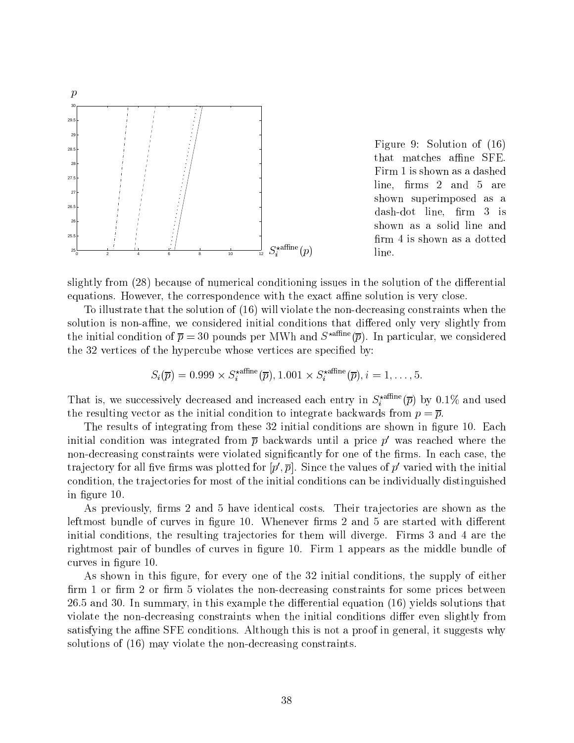

Figure 9: Solution of (16) that matches affine SFE. Firm 1 is shown as a dashed  $line,$  firms 2 and 5 are shown superimposed as a dash-dot line, firm 3 is shown as a solid line and firm 4 is shown as a dotted line.

slightly from (28) because of numerical conditioning issues in the solution of the differential equations. However, the correspondence with the exact affine solution is very close.

To illustrate that the solution of (16) will violate the non-decreasing constraints when the solution is non-affine, we considered initial conditions that differed only very slightly from the initial condition of  $\bar{p} = 30$  pounds per MWh and  $S^{\star \text{affine}}(\bar{p})$ . In particular, we considered the 32 vertices of the hypercube whose vertices are specied by:

$$
S_i(\overline{p}) = 0.999 \times S_i^{\star \text{affine}}(\overline{p}), 1.001 \times S_i^{\star \text{affine}}(\overline{p}), i = 1, \ldots, 5.
$$

That is, we successively decreased and increased each entry in  $S_i^{(1)}$  by 0.1% and used the resulting vector as the initial condition to integrate backwards from  $p = \overline{p}$ .

The results of integrating from these 32 initial conditions are shown in figure 10. Each initial condition was integrated from  $\bar{p}$  backwards until a price p' was reached where the non-decreasing constraints were violated significantly for one of the firms. In each case, the trajectory for all five firms was plotted for  $[p', \overline{p}]$ . Since the values of p' varied with the initial condition, the tra jectories for most of the initial conditions can be individually distinguished in gure 10.

As previously, firms 2 and 5 have identical costs. Their trajectories are shown as the leftmost bundle of curves in figure 10. Whenever firms  $2$  and  $5$  are started with different initial conditions, the resulting trajectories for them will diverge. Firms 3 and 4 are the rightmost pair of bundles of curves in figure 10. Firm 1 appears as the middle bundle of curves in figure 10.

As shown in this figure, for every one of the 32 initial conditions, the supply of either firm 1 or firm 2 or firm 5 violates the non-decreasing constraints for some prices between  $26.5$  and 30. In summary, in this example the differential equation  $(16)$  yields solutions that violate the non-decreasing constraints when the initial conditions differ even slightly from satisfying the affine SFE conditions. Although this is not a proof in general, it suggests why solutions of (16) may violate the non-decreasing constraints.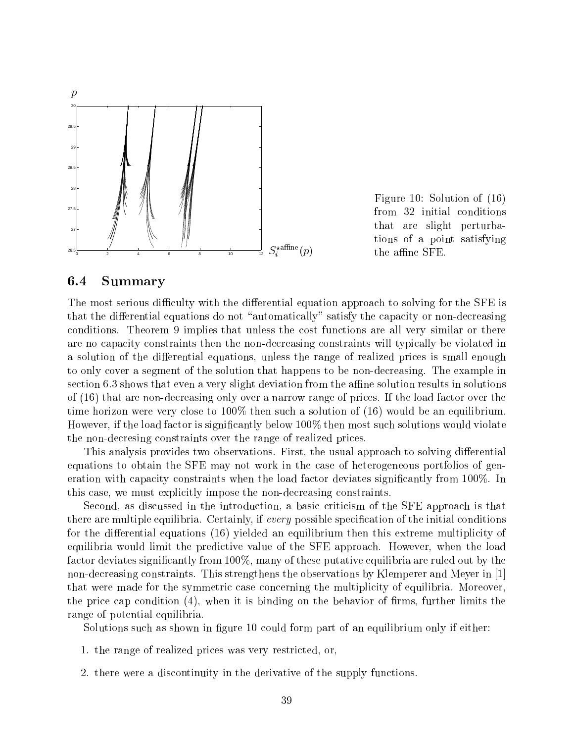

Figure 10: Solution of (16) from 32 initial conditions that are slight perturbations of a point satisfying the affine SFE.

## 6.4 Summary

The most serious difficulty with the differential equation approach to solving for the SFE is that the differential equations do not "automatically" satisfy the capacity or non-decreasing conditions. Theorem 9 implies that unless the cost functions are all very similar or there are no capacity constraints then the non-decreasing constraints will typically be violated in a solution of the differential equations, unless the range of realized prices is small enough to only cover a segment of the solution that happens to be non-decreasing. The example in section 6.3 shows that even a very slight deviation from the affine solution results in solutions of (16) that are non-decreasing only over a narrow range of prices. If the load factor over the time horizon were very close to 100% then such a solution of (16) would be an equilibrium. However, if the load factor is signicantly below 100% then most such solutions would violate the non-decresing constraints over the range of realized prices.

This analysis provides two observations. First, the usual approach to solving differential equations to obtain the SFE may not work in the case of heterogeneous portfolios of generation with capacity constraints when the load factor deviates significantly from 100%. In this case, we must explicitly impose the non-decreasing constraints.

Second, as discussed in the introduction, a basic criticism of the SFE approach is that there are multiple equilibria. Certainly, if every possible specification of the initial conditions for the differential equations  $(16)$  yielded an equilibrium then this extreme multiplicity of equilibria would limit the predictive value of the SFE approach. However, when the load factor deviates significantly from 100%, many of these putative equilibria are ruled out by the non-decreasing constraints. This strengthens the observations by Klemperer and Meyer in [1] that were made for the symmetric case concerning the multiplicity of equilibria. Moreover, the price cap condition  $(4)$ , when it is binding on the behavior of firms, further limits the range of potential equilibria.

Solutions such as shown in figure 10 could form part of an equilibrium only if either:

- 1. the range of realized prices was very restricted, or,
- 2. there were a discontinuity in the derivative of the supply functions.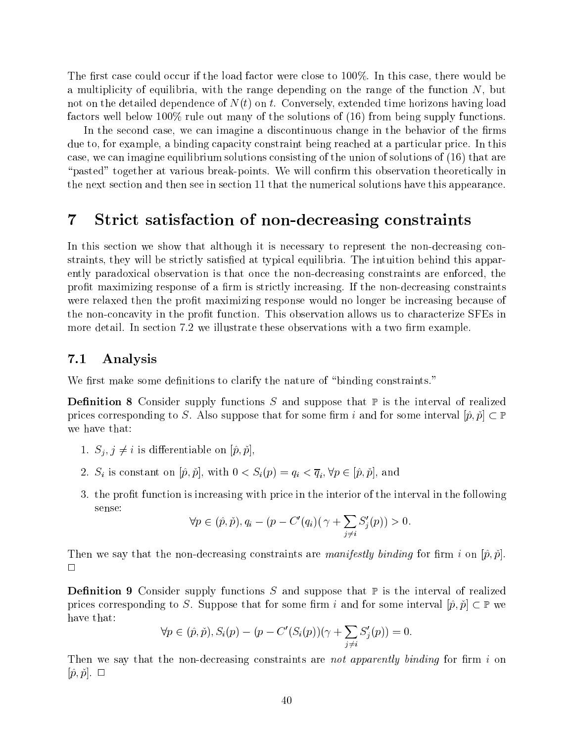The first case could occur if the load factor were close to  $100\%$ . In this case, there would be a multiplicity of equilibria, with the range depending on the range of the function  $N$ , but not on the detailed dependence of  $N(t)$  on t. Conversely, extended time horizons having load factors well below 100% rule out many of the solutions of (16) from being supply functions.

In the second case, we can imagine a discontinuous change in the behavior of the firms due to, for example, a binding capacity constraint being reached at a particular price. In this case, we can imagine equilibrium solutions consisting of the union of solutions of (16) that are "pasted" together at various break-points. We will confirm this observation theoretically in the next section and then see in section 11 that the numerical solutions have this appearance.

#### $\overline{7}$ Strict satisfaction of non-decreasing constraints

In this section we show that although it is necessary to represent the non-decreasing constraints, they will be strictly satisfied at typical equilibria. The intuition behind this apparently paradoxical observation is that once the non-decreasing constraints are enforced, the profit maximizing response of a firm is strictly increasing. If the non-decreasing constraints were relaxed then the profit maximizing response would no longer be increasing because of the non-concavity in the profit function. This observation allows us to characterize SFEs in more detail. In section 7.2 we illustrate these observations with a two firm example.

## 7.1 Analysis

We first make some definitions to clarify the nature of "binding constraints."

**Definition 8** Consider supply functions S and suppose that  $\mathbb P$  is the interval of realized prices corresponding to S. Also suppose that for some firm i and for some interval  $[\hat{p}, \check{p}] \subset \mathbb{P}$ we have that:

- 1.  $S_j, j \neq i$  is differentiable on  $[\hat{p}, \check{p}],$
- 2. Si is constant on  $[p^r; p]$ , with  $0 \leq S_i(p) = q_i \leq q_i$ ,  $p \in [p^r; p]$ , and
- 3. the profit function is increasing with price in the interior of the interval in the following sense:

$$
\forall p \in (\hat{p}, \check{p}), q_i - (p - C'(q_i)) \left( \gamma + \sum_{j \neq i} S'_j(p) \right) > 0.
$$

Then we say that the non-decreasing constraints are *manifestly binding* for firm i on  $|\hat{p}, \hat{p}|$ .  $\Box$ 

**Definition 9** Consider supply functions S and suppose that  $\mathbb{P}$  is the interval of realized prices corresponding to S. Suppose that for some interval  $\sim$  some interval  $\sim$   $\sim$   $\sim$   $\sim$   $\sim$ have that:

$$
\forall p \in (\hat{p}, \check{p}), S_i(p) - (p - C'(S_i(p))(\gamma + \sum_{j \neq i} S'_j(p)) = 0.
$$

Then we say that the non-decreasing constraints are not apparently binding for firm i on  $|\hat{p}, \check{p}|$ .  $\Box$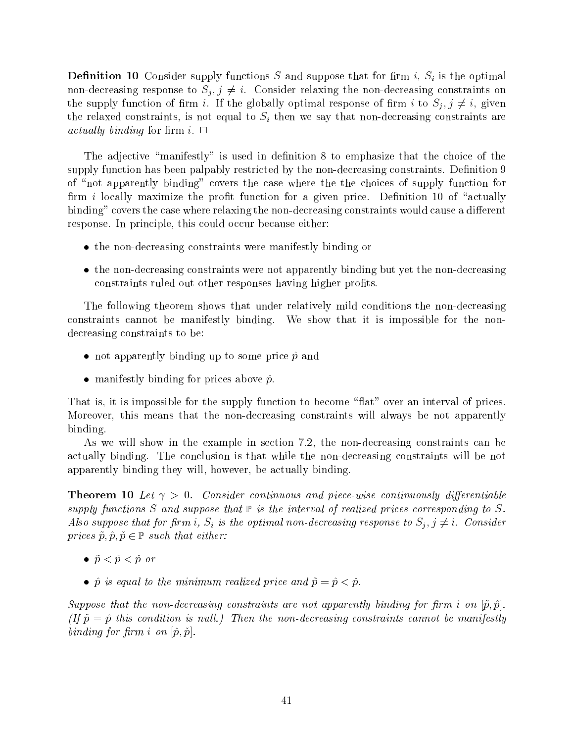**Definition 10** Consider supply functions S and suppose that for firm i,  $S_i$  is the optimal non-decreasing response to  $S_i, j \neq i$ . Consider relaxing the non-decreasing constraints on the supply function of firm i. If the globally optimal response of firm i to  $S_j, j \neq i$ , given the relaxed constraints, is not equal to  $S_i$  then we say that non-decreasing constraints are actually binding for firm i.  $\Box$ 

The adjective "manifestly" is used in definition  $8$  to emphasize that the choice of the supply function has been palpably restricted by the non-decreasing constraints. Definition 9 of "not apparently binding" covers the case where the the choices of supply function for firm i locally maximize the profit function for a given price. Definition 10 of "actually binding" covers the case where relaxing the non-decreasing constraints would cause a different response. In principle, this could occur because either:

- the non-decreasing constraints were manifestly binding or
- the non-decreasing constraints were not apparently binding but yet the non-decreasing constraints ruled out other responses having higher profits.

The following theorem shows that under relatively mild conditions the non-decreasing constraints cannot be manifestly binding. We show that it is impossible for the nondecreasing constraints to be:

- not apparently binding up to some price  $\hat{p}$  and
- manifestly binding for prices above  $\hat{p}$ .

That is, it is impossible for the supply function to become "flat" over an interval of prices. Moreover, this means that the non-decreasing constraints will always be not apparently binding.

As we will show in the example in section 7.2, the non-decreasing constraints can be actually binding. The conclusion is that while the non-decreasing constraints will be not apparently binding they will, however, be actually binding.

**Theorem 10** Let  $\gamma > 0$ . Consider continuous and piece-wise continuously differentiable supply functions S and suppose that  $\mathbb P$  is the interval of realized prices corresponding to S. Also suppose that for firm i,  $S_i$  is the optimal non-decreasing response to  $S_i, j \neq i$ . Consider prices p; p; p;  $p - p$  and either: either: either: e

- $\bullet$   $\tilde{p} < \hat{p} < \tilde{p}$  or
- $\hat{p}$  is equal to the minimum realized price and  $\tilde{p} = \hat{p} < \tilde{p}$ .

Suppose that the non-decreasing constraints are not apparently binding for firm i on  $[\tilde{p}, \tilde{p}]$ . (If  $\tilde{p} = \hat{p}$  this condition is null.) Then the non-decreasing constraints cannot be manifestly binding for firm i on  $[\hat{p}, \check{p}]$ .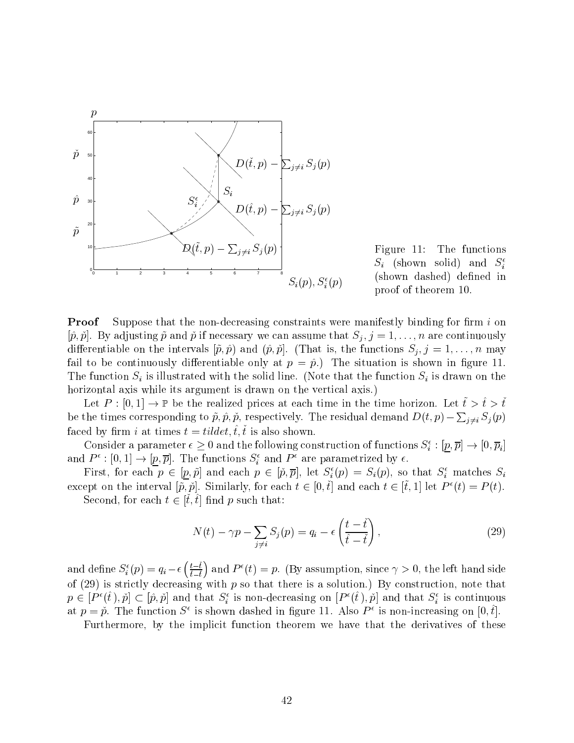

Figure 11: The functions  $S_i$  (shown solid) and  $S_i^e$ (shown dashed) defined in proof of theorem 10.

**Proof** Suppose that the non-decreasing constraints were manifestly binding for firm  $i$  on  $[\hat{p}, \check{p}]$ . By adjusting  $\tilde{p}$  and  $\check{p}$  if necessary we can assume that  $S_j$ ,  $j = 1, \ldots, n$  are continuously differentiable on the intervals  $[\tilde{p}, \hat{p})$  and  $(\hat{p}, \tilde{p}]$ . (That is, the functions  $S_j, j = 1,\ldots,n$  may fail to be continuously differentiable only at  $p = \hat{p}$ .) The situation is shown in figure 11. The function  $S_i$  is illustrated with the solid line. (Note that the function  $S_i$  is drawn on the horizontal axis while its argument is drawn on the vertical axis.)

Let  $P : [0, 1] \to \mathbb{P}$  be the realized prices at each time in the time horizon. Let  $\tilde{t} > \tilde{t} > \tilde{t}$ be the times corresponding to  $\tilde{p}, \hat{p}, \tilde{p}$ , respectively. The residual demand  $D(t, p) - \sum_{j \neq i} S_j(p)$ faced by firm i at times  $t = tildet, \hat{t}, \check{t}$  is also shown.

Consider a parameter  $\epsilon \geq 0$  and the following construction of functions  $S_i^+ : [p,p] \to [0,p_i]$ and  $P^{\perp}$ :  $[0, 1] \rightarrow [p, p]$ . The functions  $S_i$  and  $P^{\perp}$  are parametrized by  $\epsilon$ .

First, for each  $p \in [p, p]$  and each  $p \in [p, p]$ , let  $S_i(p) = S_i(p)$ , so that  $S_i$  matches  $S_i$ except on the interval  $[\tilde{p}, \tilde{p}]$ . Similarly, for each  $t \in [0, \tilde{t}]$  and each  $t \in [\tilde{t}, 1]$  let  $P^{\epsilon}(t) = P(t)$ .  $\mathcal{S}$  second, for each  $t \in [t, t]$  nd p such that.

$$
N(t) - \gamma p - \sum_{j \neq i} S_j(p) = q_i - \epsilon \left( \frac{t - \check{t}}{\hat{t} - \check{t}} \right), \tag{29}
$$

and define  $S_i^{\epsilon}(p) = q_i - \epsilon \left( \frac{t - \tilde{t}}{\tilde{t} - \tilde{t}} \right)$  and  $P^{\epsilon}(t) = p$ . (By assumption, since  $\gamma > 0$ , the left hand side of  $(29)$  is strictly decreasing with p so that there is a solution.) By construction, note that  $p \in [P^-(t), p] \subset [p, p]$  and that  $S_i$  is non-decreasing on  $[P^-(t), p]$  and that  $S_i$  is continuous at  $p = p$ . The function  $S^-$  is shown dashed in ligure 11. Also  $P^+$  is non-increasing on  $[0, t]$ .

Furthermore, by the implicit function theorem we have that the derivatives of these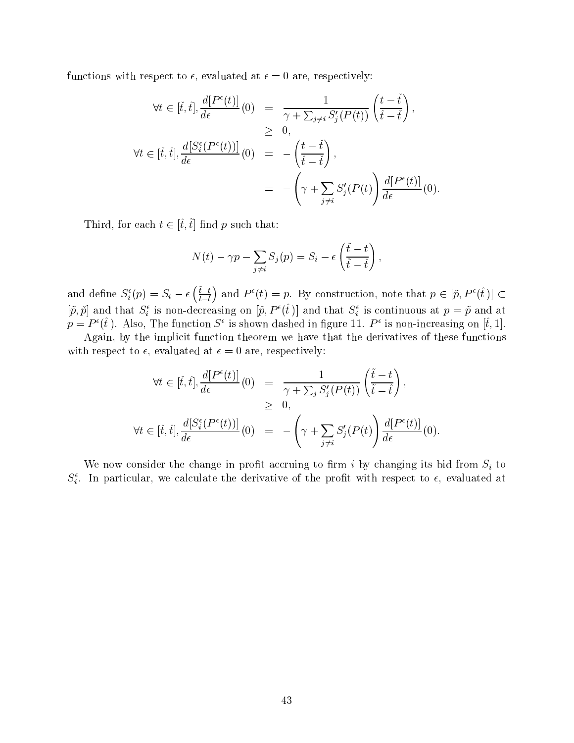functions with respect to  $\epsilon$ , evaluated at  $\epsilon = 0$  are, respectively:

$$
\forall t \in [\check{t}, \hat{t}], \frac{d[P^{\epsilon}(t)]}{d\epsilon}(0) = \frac{1}{\gamma + \sum_{j \neq i} S'_j(P(t))} \left(\frac{t - \check{t}}{\hat{t} - \check{t}}\right),
$$
  
\n
$$
\geq 0,
$$
  
\n
$$
\forall t \in [\check{t}, \hat{t}], \frac{d[S^{\epsilon}_{i}(P^{\epsilon}(t))]}{d\epsilon}(0) = -\left(\frac{t - \check{t}}{\hat{t} - \check{t}}\right),
$$
  
\n
$$
= -\left(\gamma + \sum_{j \neq i} S'_j(P(t))\right) \frac{d[P^{\epsilon}(t)]}{d\epsilon}(0).
$$

Third, for each  $t \in [\hat{t}, \hat{t}]$  find p such that:

$$
N(t) - \gamma p - \sum_{j \neq i} S_j(p) = S_i - \epsilon \left( \frac{\tilde{t} - t}{\tilde{t} - \tilde{t}} \right),
$$

and define  $S_i^{\epsilon}(p) = S_i - \epsilon \left(\frac{\tilde{t}-t}{\tilde{t}-\tilde{t}}\right)$  and  $P^{\epsilon}(t) = p$ . By construction, note that  $p \in [\tilde{p}, P^{\epsilon}(\hat{t})] \subset$  $[p, p]$  and that  $S_i$  is non-decreasing on  $[p, P^-(t)]$  and that  $S_i$  is continuous at  $p = p$  and at  $p \equiv P$  (t). Also, the function  $S$  is shown dashed in ligure 11. P is non-increasing on  $[t,1]$ .

Again, by the implicit function theorem we have that the derivatives of these functions with respect to  $\epsilon$ , evaluated at  $\epsilon = 0$  are, respectively:

$$
\forall t \in [\check{t}, \hat{t}], \frac{d[P^{\epsilon}(t)]}{d\epsilon}(0) = \frac{1}{\gamma + \sum_{j} S'_{j}(P(t))} \left(\frac{\check{t} - t}{\check{t} - \check{t}}\right),
$$
  
\n
$$
\geq 0,
$$
  
\n
$$
\forall t \in [\check{t}, \hat{t}], \frac{d[S^{\epsilon}_{i}(P^{\epsilon}(t))]}{d\epsilon}(0) = -\left(\gamma + \sum_{j \neq i} S'_{j}(P(t))\right) \frac{d[P^{\epsilon}(t)]}{d\epsilon}(0).
$$

We now consider the change in profit accruing to firm i by changing its bid from  $S_i$  to  $S_i$ . In particular, we calculate the derivative of the pront with respect to  $\epsilon$ , evaluated at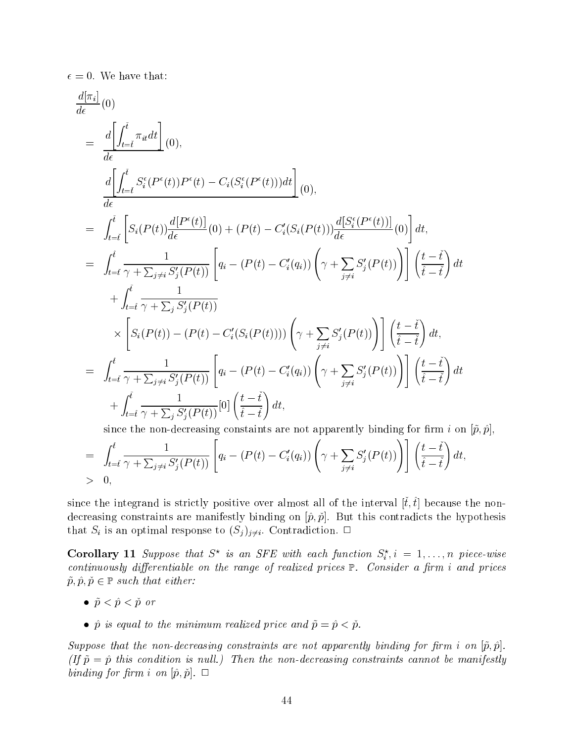$\epsilon = 0$ . We have that:

$$
\frac{d[\pi_i]}{d\epsilon}(0)
$$
\n
$$
= \frac{d\left[\int_{t=i}^{\tilde{t}} \pi_{it} dt\right]}{d\epsilon}(0),
$$
\n
$$
\frac{d\left[\int_{t=i}^{\tilde{t}} S_i^{\epsilon}(P^{\epsilon}(t))P^{\epsilon}(t) - C_i(S_i^{\epsilon}(P^{\epsilon}(t)))dt\right]}{d\epsilon}(0),
$$
\n
$$
= \int_{t=i}^{\tilde{t}} \left[S_i(P(t))\frac{d[P^{\epsilon}(t)]}{d\epsilon}(0) + (P(t) - C_i^{\prime}(S_i(P(t)))\frac{d[S_i^{\epsilon}(P^{\epsilon}(t))]}{d\epsilon}(0)\right]dt,
$$
\n
$$
= \int_{t=i}^{\tilde{t}} \frac{1}{\gamma + \sum_{j \neq i} S_j^{\prime}(P(t))} \left[q_i - (P(t) - C_i^{\prime}(q_i))\left(\gamma + \sum_{j \neq i} S_j^{\prime}(P(t))\right)\right] \left(\frac{t - \tilde{t}}{\tilde{t} - \tilde{t}}\right)dt
$$
\n
$$
+ \int_{t=i}^{\tilde{t}} \frac{1}{\gamma + \sum_{j} S_j^{\prime}(P(t))} \times \left[S_i(P(t)) - (P(t) - C_i^{\prime}(S_i(P(t))))\left(\gamma + \sum_{j \neq i} S_j^{\prime}(P(t))\right)\right] \left(\frac{t - \tilde{t}}{\tilde{t} - \tilde{t}}\right)dt,
$$
\n
$$
= \int_{t=i}^{\tilde{t}} \frac{1}{\gamma + \sum_{j \neq i} S_j^{\prime}(P(t))} \left[q_i - (P(t) - C_i^{\prime}(q_i))\left(\gamma + \sum_{j \neq i} S_j^{\prime}(P(t))\right)\right] \left(\frac{t - \tilde{t}}{\tilde{t} - \tilde{t}}\right)dt
$$
\n
$$
+ \int_{t=i}^{\tilde{t}} \frac{1}{\gamma + \sum_{j} S_j^{\prime}(P(t))} [0] \left(\frac{t - \tilde{t}}{\tilde{t} - \tilde{t}}\right)dt,
$$
\nsince the non decreasing constraints are not approximately binding for firm i on  $|\tilde{c}, \tilde{c}|$ 

since the non-decreasing constaints are not apparently binding for firm i on  $[\tilde{p}, \hat{p}]$ ,

$$
= \int_{t=\tilde{t}}^{\hat{t}} \frac{1}{\gamma + \sum_{j\neq i} S'_j(P(t))} \left[ q_i - (P(t) - C'_i(q_i)) \left( \gamma + \sum_{j\neq i} S'_j(P(t)) \right) \right] \left( \frac{t - \tilde{t}}{\hat{t} - \tilde{t}} \right) dt,
$$
  
> 0,

since the integrand is strictly positive over almost all of the interval  $[\check{t}, \hat{t}]$  because the nondecreasing constraints are manifestly binding on  $[\hat{p}, \check{p}]$ . But this contradicts the hypothesis that  $S_i$  is an optimal response to  $(S_j)_{j\neq i}$ . Contradiction.  $\Box$ 

**Corollary 11** Suppose that  $S^*$  is an SFE with each function  $S_i^i, i = 1, \ldots, n$  piece-wise continuously differentiable on the range of realized prices  $\mathbb{P}$ . Consider a firm i and prices  $p$  ,  $p$  ,  $p$   $\in$   $p$   $\in$   $p$   $\in$   $p$   $\in$   $p$   $\in$   $p$   $\in$   $p$   $\in$   $p$   $\in$   $p$   $\in$   $p$   $\in$   $p$   $\in$   $p$   $\in$   $p$   $\in$   $p$   $\in$   $p$   $\in$   $p$   $\in$   $p$   $\in$   $p$   $\in$   $p$   $\in$   $p$   $\in$   $p$   $\in$   $p$   $\in$   $p$   $\in$   $p$ 

- $\bullet$   $\tilde{p} < \hat{p} < \tilde{p}$  or
- $\hat{p}$  is equal to the minimum realized price and  $\tilde{p} = \hat{p} < \tilde{p}$ .

Suppose that the non-decreasing constraints are not apparently binding for firm i on  $[\tilde{p}, \tilde{p}]$ . (If  $\tilde{p} = \hat{p}$  this condition is null.) Then the non-decreasing constraints cannot be manifestly binding for firm i on  $[\hat{p}, \check{p}]$ .  $\Box$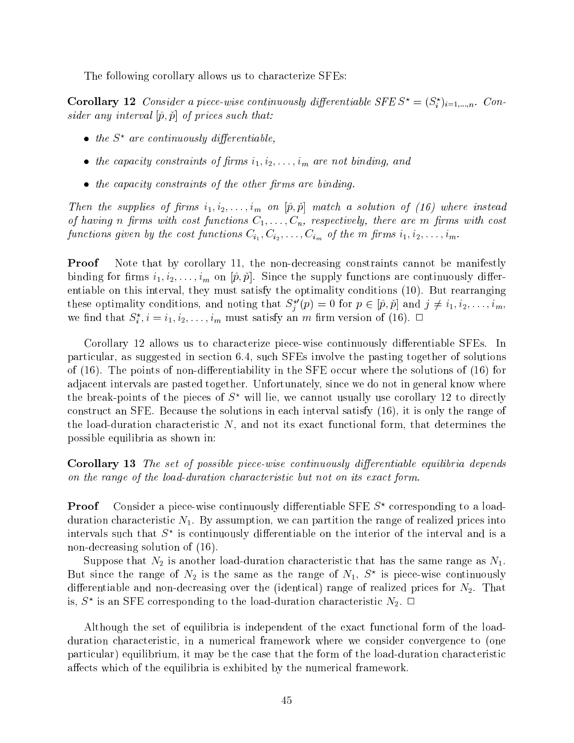The following corollary allows us to characterize SFEs:

**Corollary 12** Constaer a piece-wise continuously differentiable SFE  $S^* = (S_i^*)_{i=1,\dots,n}$ . Consider any interval  $[\hat{p}, \check{p}]$  of prices such that:

- $\bullet$  the  $S^*$  are continuously differentiable.
- the capacity constraints of firms  $i_1, i_2, \ldots, i_m$  are not binding, and
- $\bullet$  the capacity constraints of the other firms are binding.

Then the supplies of firms  $i_1, i_2, \ldots, i_m$  on  $[\hat{p}, \check{p}]$  match a solution of (16) where instead of having n firms with cost functions  $C_1, \ldots, C_n$ , respectively, there are m firms with cost functions given by the cost functions  $\langle v_1|, v_{i2}, \ldots, v_{im} \rangle$  and  $\langle v_1|$  in  $\langle v_2|, \ldots, v_{im} \rangle$ 

**Proof** Note that by corollary 11, the non-decreasing constraints cannot be manifestly binding for firms  $i_1, i_2, \ldots, i_m$  on  $[\hat{p}, \check{p}]$ . Since the supply functions are continuously differentiable on this interval, they must satisfy the optimality conditions (10). But rearranging these optimality conditions, and noting that  $S_i^-(p) = 0$  for  $p \in [p, p]$  and  $j \neq i_1, i_2, \ldots, i_m$ , we find that  $S_i^{\perp}, i = i_1, i_2, \ldots, i_m$  must satisfy an *m* firm version of (16).  $\Box$ 

Corollary 12 allows us to characterize piece-wise continuously differentiable SFEs. In particular, as suggested in section 6.4, such SFEs involve the pasting together of solutions of  $(16)$ . The points of non-differentiability in the SFE occur where the solutions of  $(16)$  for adjacent intervals are pasted together. Unfortunately, since we do not in general know where the break-points of the pieces of  $S^*$  will lie, we cannot usually use corollary 12 to directly construct an SFE. Because the solutions in each interval satisfy (16), it is only the range of the load-duration characteristic  $N$ , and not its exact functional form, that determines the possible equilibria as shown in:

Corollary 13 The set of possible piece-wise continuously differentiable equilibria depends on the range of the load-duration characteristic but not on its exact form.

**Proof** Consider a piece-wise continuously differentiable SFE  $S^*$  corresponding to a loadduration characteristic  $N_1$ . By assumption, we can partition the range of realized prices into intervals such that  $S$  is continuously differentiable on the interior of the interval and is a  $\,$ non-decreasing solution of (16).

Suppose that  $N_2$  is another load-duration characteristic that has the same range as  $N_1$ . But since the range of  $N_2$  is the same as the range of  $N_1, S^*$  is piece-wise continuously differentiable and non-decreasing over the (identical) range of realized prices for  $N_2$ . That is,  $S^{\circ}$  is an Sr E corresponding to the load-duration characteristic  $N_2$ .  $\square$ 

Although the set of equilibria is independent of the exact functional form of the loadduration characteristic, in a numerical framework where we consider convergence to (one particular) equilibrium, it may be the case that the form of the load-duration characteristic affects which of the equilibria is exhibited by the numerical framework.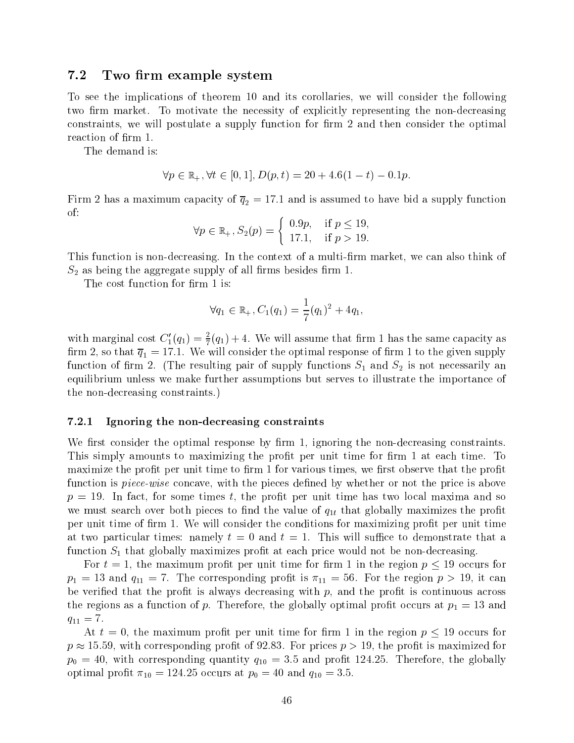## 7.2 Two firm example system

To see the implications of theorem 10 and its corollaries, we will consider the following two firm market. To motivate the necessity of explicitly representing the non-decreasing constraints, we will postulate a supply function for firm 2 and then consider the optimal reaction of firm 1.

The demand is:

$$
\forall p \in \mathbb{R}_+, \forall t \in [0, 1], D(p, t) = 20 + 4.6(1 - t) - 0.1p.
$$

Firm 2 has a maximum capacity of  $\mathbf{1}_{Z}$  . If the supply function is assumed to have bid a supply function  $\mathbf{1}_{Z}$ of:

$$
\forall p \in \mathbb{R}_+, S_2(p) = \left\{ \begin{array}{ll} 0.9p, & \text{if } p \le 19, \\ 17.1, & \text{if } p > 19. \end{array} \right.
$$

This function is non-decreasing. In the context of a multi-firm market, we can also think of  $S_2$  as being the aggregate supply of all firms besides firm 1.

The cost function for firm 1 is:

$$
\forall q_1 \in \mathbb{R}_+, C_1(q_1) = \frac{1}{7}(q_1)^2 + 4q_1,
$$

with marginal cost  $C_1(q_1) = \frac{1}{7}(q_1) + 4$ . We will assume that firm I has the same capacity as rm 2, so that  $\mathbf{q}_1$  , we will consider the optimal response of  $\mathbf{r}$  rm 1 to the given supply  $\mathbf{v}$ function of firm 2. (The resulting pair of supply functions  $S_1$  and  $S_2$  is not necessarily an equilibrium unless we make further assumptions but serves to illustrate the importance of the non-decreasing constraints.)

#### 7.2.1 Ignoring the non-decreasing constraints

We first consider the optimal response by firm 1, ignoring the non-decreasing constraints. This simply amounts to maximizing the profit per unit time for firm 1 at each time. To maximize the profit per unit time to firm 1 for various times, we first observe that the profit function is *piece-wise* concave, with the pieces defined by whether or not the price is above  $p = 19$ . In fact, for some times t, the profit per unit time has two local maxima and so we must search over both pieces to find the value of  $q_{1t}$  that globally maximizes the profit per unit time of firm 1. We will consider the conditions for maximizing profit per unit time at two particular times: namely  $t = 0$  and  $t = 1$ . This will suffice to demonstrate that a function  $S_1$  that globally maximizes profit at each price would not be non-decreasing.

For the state maximum process parameters times for maximum  $\mathbf{r}$  and  $\mathbf{r}$  are  $\mathbf{r}$  and  $\mathbf{r}$  are formulated for  $\mathbf{r}$  $p_1 = 13$  and  $q_{11} = 7$ . The corresponding profit is  $\pi_{11} = 56$ . For the region  $p > 19$ , it can be verified that the profit is always decreasing with  $p$ , and the profit is continuous across the regions as a function of p. Therefore, the globally optimal profit occurs at  $p_1 = 13$  and  $q_{11} = 7.$ 

. At the maximum process per unit time for  $\mathbf{r}$  in  $\mathbf{r}$  ,  $\mathbf{r}$  ,  $\mathbf{r}$  ,  $\mathbf{r}$  ,  $\mathbf{r}$  ,  $\mathbf{r}$  ,  $\mathbf{r}$  ,  $\mathbf{r}$  ,  $\mathbf{r}$  ,  $\mathbf{r}$  ,  $\mathbf{r}$  ,  $\mathbf{r}$  ,  $\mathbf{r}$  ,  $\mathbf{r}$  ,  $\mathbf{r}$  ,  $p \rightarrow \pm \infty$ , of with corresponding promoter or  $\theta = 0$  ,  $\pm$  or prices  $p \rightarrow -\pm \infty$ , with  $\pm \infty$  maximized for  $p_0 = 40$ , with corresponding quantity  $q_{10} = 3.5$  and profit 124.25. Therefore, the globally optimal profit  $\pi_{10} = 124.25$  occurs at  $p_0 = 40$  and  $q_{10} = 3.5$ .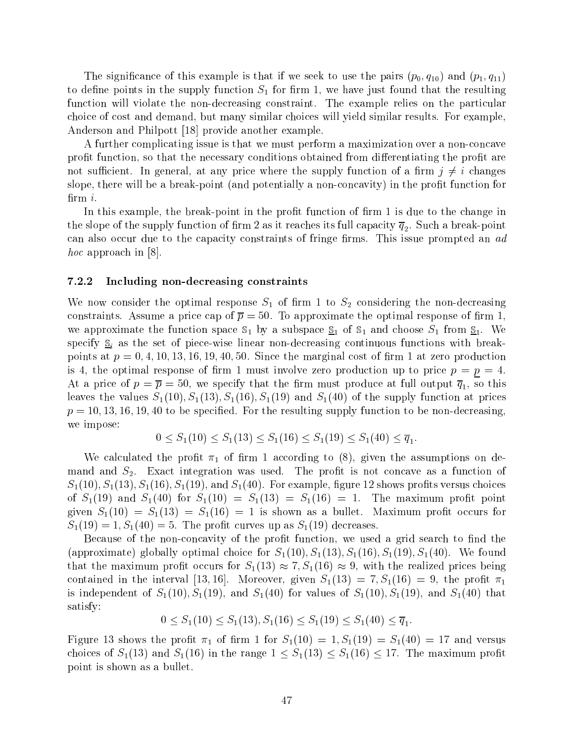The significance of this example is that if we seek to use the pairs  $(p_0, q_{10})$  and  $(p_1, q_{11})$ to define points in the supply function  $S_1$  for firm 1, we have just found that the resulting function will violate the non-decreasing constraint. The example relies on the particular choice of cost and demand, but many similar choices will yield similar results. For example, Anderson and Philpott [18] provide another example.

A further complicating issue is that we must perform a maximization over a non-concave profit function, so that the necessary conditions obtained from differentiating the profit are not sufficient. In general, at any price where the supply function of a firm  $j \neq i$  changes slope, there will be a break-point (and potentially a non-concavity) in the profit function for  $\lim i$ .

In this example, the break-point in the profit function of firm 1 is due to the change in the slope of the supply function of the supply function of the such a break-point  $\gamma$   $_4$   $_2$ . Such a break-point  $_1$  and  $_2$ can also occur due to the capacity constraints of fringe firms. This issue prompted an ad hoc approach in [8].

#### 7.2.2 Including non-decreasing constraints

We now consider the optimal response  $S_1$  of firm 1 to  $S_2$  considering the non-decreasing constraints. Assume a price cap of  $\bar{p} = 50$ . To approximate the optimal response of firm 1, we approximate the function space  $\mathbb{S}_1$  by a subspace  $\mathbb{S}_1$  of  $\mathbb{S}_1$  and choose  $S_1$  from  $\mathbb{S}_1$ . We specify  $S_i$  as the set of piece-wise linear non-decreasing continuous functions with breakpoints at  $p = 0, 4, 10, 13, 16, 19, 40, 50$ . Since the marginal cost of firm 1 at zero production is 4, the optimal response of firm 1 must involve zero production up to price  $p = p = 4$ . At a price of  $p$  =  $p$  =  $p$  , we specify that the full operators produce at full output  $q$   $\mathbf{1}_I$  or this solution leaves the values  $S_1(10), S_1(13), S_1(16), S_1(19)$  and  $S_1(40)$  of the supply function at prices  $p = 10, 13, 16, 19, 40$  to be specified. For the resulting supply function to be non-decreasing, we impose:

$$
0 \le S_1(10) \le S_1(13) \le S_1(16) \le S_1(19) \le S_1(40) \le \overline{q}_1.
$$

We calculated the profit  $\pi_1$  of firm 1 according to (8), given the assumptions on demand and  $S_2$ . Exact integration was used. The profit is not concave as a function of  $S_1(10), S_1(13), S_1(16), S_1(19),$  and  $S_1(40)$ . For example, figure 12 shows profits versus choices of  $S_1(19)$  and  $S_1(40)$  for  $S_1(10) = S_1(13) = S_1(16) = 1$ . The maximum profit point given  $S_1(10) = S_1(13) = S_1(16) = 1$  is shown as a bullet. Maximum profit occurs for  $S_1(19) = 1, S_1(40) = 5.$  The profit curves up as  $S_1(19)$  decreases.

Because of the non-concavity of the profit function, we used a grid search to find the (approximate) globally optimal choice for  $S_1(10), S_1(13), S_1(16), S_1(19), S_1(40)$ . We found that the maximum profit occurs for  $S_1(13) \approx 7, S_1(16) \approx 9$ , with the realized prices being contained in the interval [13, 16]. Moreover, given  $S_1(13) = 7, S_1(16) = 9$ , the profit  $\pi_1$ is independent of  $S_1(10)$ ,  $S_1(19)$ , and  $S_1(40)$  for values of  $S_1(10)$ ,  $S_1(19)$ , and  $S_1(40)$  that satisfy:

$$
0 \le S_1(10) \le S_1(13), S_1(16) \le S_1(19) \le S_1(40) \le \overline{q}_1.
$$

Figure 13 shows the profit  $\pi_1$  of firm 1 for  $S_1(10) = 1, S_1(19) = S_1(40) = 17$  and versus choices of  $S_1(13)$  and  $S_1(16)$  in the range  $1 \leq S_1(13) \leq S_1(16) \leq 17$ . The maximum profit point is shown as a bullet.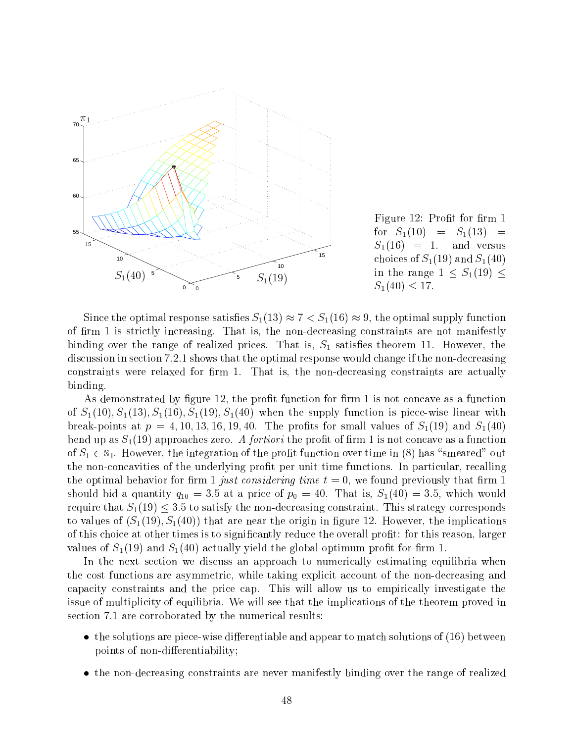

Figure 12: Profit for firm 1 for  $S_1(10) = S_1(13) =$  $S_1(16) = 1$ . and versus choices of  $S_1(19)$  and  $S_1(40)$ in the range  $\overline{1}$  the range 1  $\overline{1}$  $S_1(40) < 17.$ 

Since the optimal response satisfies  $S_1(13) \approx 7 < S_1(16) \approx 9$ , the optimal supply function of firm 1 is strictly increasing. That is, the non-decreasing constraints are not manifestly binding over the range of realized prices. That is,  $S_1$  satisfies theorem 11. However, the discussion in section 7.2.1 shows that the optimal response would change if the non-decreasing constraints were relaxed for firm 1. That is, the non-decreasing constraints are actually binding.

As demonstrated by figure 12, the profit function for firm 1 is not concave as a function of  $S_1(10), S_1(13), S_1(16), S_1(19), S_1(40)$  when the supply function is piece-wise linear with break-points at  $p = 4, 10, 13, 16, 19, 40$ . The profits for small values of  $S_1(19)$  and  $S_1(40)$ bend up as  $S_1(19)$  approaches zero. A *fortiori* the profit of firm 1 is not concave as a function of  $S_1 \in \mathbb{S}_1$ . However, the integration of the profit function over time in (8) has "smeared" out the non-concavities of the underlying prot per unit time functions. In particular, recalling the optimal behavior for firm 1 just considering time  $t = 0$ , we found previously that firm 1 should bid a quantity  $q_{10} = 3.5$  at a price of  $p_0 = 40$ . That is,  $S_1(40) = 3.5$ , which would require that  $S_1(19) \leq 3.5$  to satisfy the non-decreasing constraint. This strategy corresponds to values of  $(S_1(19), S_1(40))$  that are near the origin in figure 12. However, the implications of this choice at other times is to signicantly reduce the overall prot: for this reason, larger values of  $S_1(19)$  and  $S_1(40)$  actually yield the global optimum profit for firm 1.

In the next section we discuss an approach to numerically estimating equilibria when the cost functions are asymmetric, while taking explicit account of the non-decreasing and capacity constraints and the price cap. This will allow us to empirically investigate the issue of multiplicity of equilibria. We will see that the implications of the theorem proved in section 7.1 are corroborated by the numerical results:

- $\bullet$  the solutions are piece-wise differentiable and appear to match solutions of (16) between points of non-differentiability;
- the non-decreasing constraints are never manifestly binding over the range of realized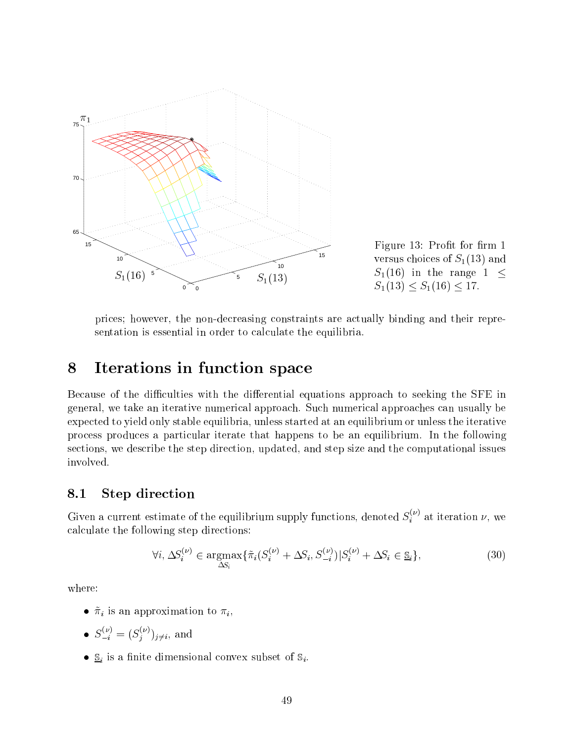

Figure 13: Profit for firm 1 versus choices of  $S_1(13)$  and  $S_1(16)$  in the range  $1 \leq$  $S_1(13) < S_1(16) < 17.$ 

prices; however, the non-decreasing constraints are actually binding and their representation is essential in order to calculate the equilibria.

#### Iterations in function space 8

Because of the difficulties with the differential equations approach to seeking the SFE in general, we take an iterative numerical approach. Such numerical approaches can usually be expected to yield only stable equilibria, unless started at an equilibrium or unless the iterative process produces a particular iterate that happens to be an equilibrium. In the following sections, we describe the step direction, updated, and step size and the computational issues involved.

# 8.1 Step direction

Given a current estimate of the equilibrium supply functions, denoted  $S_i^{\vee}$  at iteration  $\nu,$  we calculate the following step directions:

$$
\forall i, \Delta S_i^{(\nu)} \in \underset{\Delta S_i}{\text{argmax}} \{ \tilde{\pi}_i (S_i^{(\nu)} + \Delta S_i, S_{-i}^{(\nu)}) | S_i^{(\nu)} + \Delta S_i \in \underline{\mathbb{S}}_i \},\tag{30}
$$

where:

- $\tilde{\pi}_i$  is an approximation to  $\pi_i$ ,
- $S_{-i}^{\prime} = (S_i^{\prime\prime})_{i \neq i}$ , and
- $S_i$  is a finite dimensional convex subset of  $S_i$ .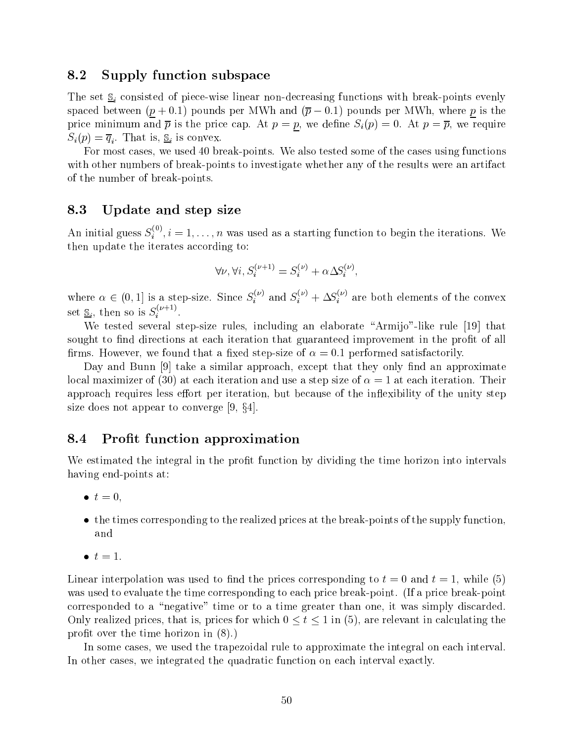## 8.2 Supply function subspace

The set  $S_i$  consisted of piece-wise linear non-decreasing functions with break-points evenly spaced between  $(p + 0.1)$  pounds per MWh and  $(\overline{p} - 0.1)$  pounds per MWh, where p is the price minimum and  $\bar{p}$  is the price cap. At  $p = p$ , we define  $S_i(p) = 0$ . At  $p = \bar{p}$ , we require  $\sim$  i. (r ) and it is constant is constant in the interval of  $\mathbf{r}$  is convex.

For most cases, we used 40 break-points. We also tested some of the cases using functions with other numbers of break-points to investigate whether any of the results were an artifact of the number of break-points.

## 8.3 Update and step size

An initial guess  $S_i^\vee$  ,  $i=1,\ldots,n$  was used as a starting function to begin the iterations. We then update the iterates according to:

$$
\forall \nu, \forall i, S_i^{(\nu+1)} = S_i^{(\nu)} + \alpha \Delta S_i^{(\nu)},
$$

where  $\alpha \in (0,1]$  is a step-size. Since  $S_i^{\gamma}$  and  $S_i^{\gamma}$  +  $\Delta S_i^{\gamma}$  are both elements of the convex set  $\underline{\mathbb{S}}_i,$  then so is  $S_i^{\times}$  . . . . . .

We tested several step-size rules, including an elaborate "Armijo"-like rule [19] that sought to find directions at each iteration that guaranteed improvement in the profit of all firms. However, we found that a fixed step-size of  $\alpha = 0.1$  performed satisfactorily.

Day and Bunn [9] take a similar approach, except that they only find an approximate local maximizer of (30) at each iteration and use a step size of  $\alpha = 1$  at each iteration. Their approach requires less effort per iteration, but because of the inflexibility of the unity step size does not appear to converge  $[9, \S4]$ .

## 8.4 Profit function approximation

We estimated the integral in the profit function by dividing the time horizon into intervals having end-points at:

- $\bullet$   $t = 0$ ,
- $\bullet$  the times corresponding to the realized prices at the break-points of the supply function, and
- $\bullet$   $t=1$ .

Linear interpolation was used to find the prices corresponding to  $t = 0$  and  $t = 1$ , while (5) was used to evaluate the time corresponding to each price break-point. (If a price break-point corresponded to a "negative" time or to a time greater than one, it was simply discarded. Only realized prices, that is, prices for which  $0 \le t \le 1$  in (5), are relevant in calculating the profit over the time horizon in  $(8)$ .)

In some cases, we used the trapezoidal rule to approximate the integral on each interval. In other cases, we integrated the quadratic function on each interval exactly.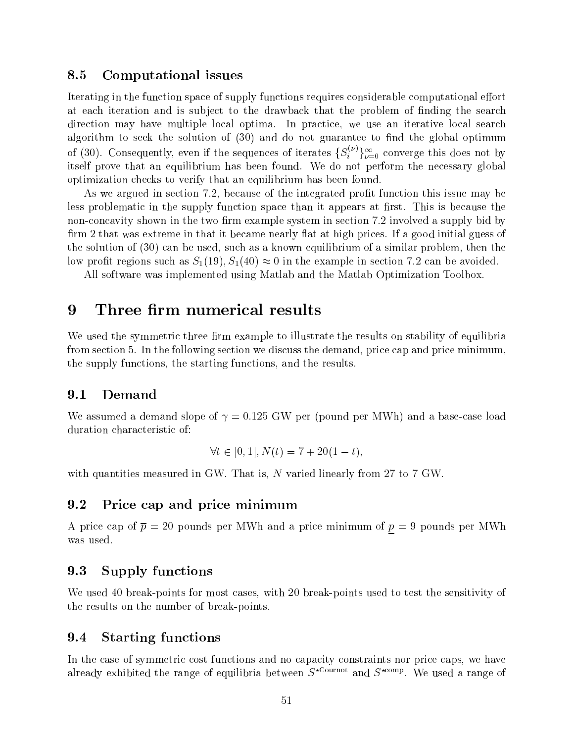## 8.5 Computational issues

Iterating in the function space of supply functions requires considerable computational effort at each iteration and is subject to the drawback that the problem of finding the search direction may have multiple local optima. In practice, we use an iterative local search algorithm to seek the solution of  $(30)$  and do not guarantee to find the global optimum of (30). Consequently, even if the sequences of iterates  $\{S_i^{\gamma}\}_{\nu=0}^{\infty}$  converge this does not by itself prove that an equilibrium has been found. We do not perform the necessary global optimization checks to verify that an equilibrium has been found.

As we argued in section 7.2, because of the integrated profit function this issue may be less problematic in the supply function space than it appears at first. This is because the non-concavity shown in the two firm example system in section 7.2 involved a supply bid by firm 2 that was extreme in that it became nearly flat at high prices. If a good initial guess of the solution of (30) can be used, such as a known equilibrium of a similar problem, then the low profit regions such as  $S_1(19)$ ,  $S_1(40) \approx 0$  in the example in section 7.2 can be avoided.

All software was implemented using Matlab and the Matlab Optimization Toolbox.

# 9

We used the symmetric three firm example to illustrate the results on stability of equilibria from section 5. In the following section we discuss the demand, price cap and price minimum, the supply functions, the starting functions, and the results.

## 9.1 Demand

We assumed a demand slope of  $\gamma = 0.125$  GW per (pound per MWh) and a base-case load duration characteristic of:

$$
\forall t \in [0, 1], N(t) = 7 + 20(1 - t),
$$

with quantities measured in GW. That is, N varied linearly from 27 to 7 GW.

## 9.2 Price cap and price minimum

A price cap of  $\bar{p} = 20$  pounds per MWh and a price minimum of  $p = 9$  pounds per MWh was used.

# 9.3 Supply functions

We used 40 break-points for most cases, with 20 break-points used to test the sensitivity of the results on the number of break-points.

#### $9.4$ Starting functions

In the case of symmetric cost functions and no capacity constraints nor price caps, we have already exhibited the range of equilibria between  $S^{r_1}, \ldots, S^{r_{r-1}}$  and  $S^{r_1}, \ldots, S^{r_{r-1}}$  we used a range of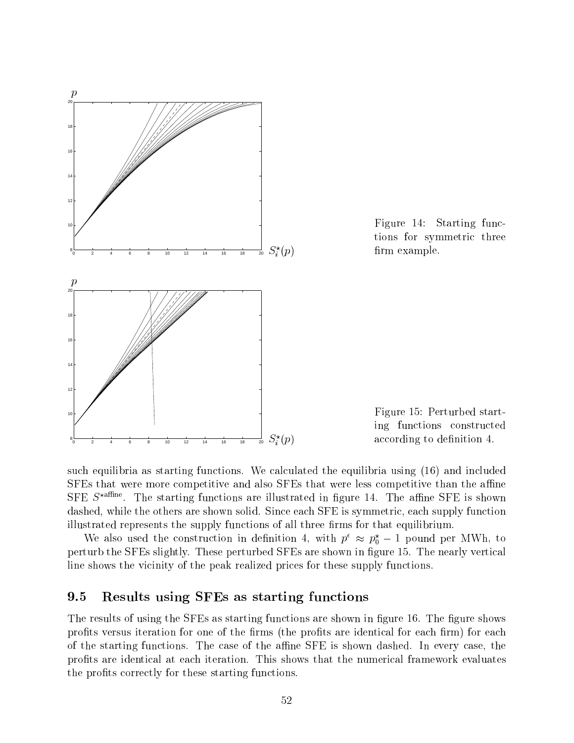

Figure 14: Starting functions for symmetric three firm example.

Figure 15: Perturbed starting functions constructed according to definition 4.

such equilibria as starting functions. We calculated the equilibria using (16) and included SFEs that were more competitive and also SFEs that were less competitive than the affine SFE S<sup>param</sup>. The starting functions are inustrated in ligure 14. The anime SFE is shown dashed, while the others are shown solid. Since each SFE is symmetric, each supply function illustrated represents the supply functions of all three firms for that equilibrium.

we also used the construction in definition 4, with  $p \approx p_0 - 1$  pound per MWH, to perturb the SFEs slightly. These perturbed SFEs are shown in figure 15. The nearly vertical line shows the vicinity of the peak realized prices for these supply functions.

## 9.5 Results using SFEs as starting functions

The results of using the SFEs as starting functions are shown in figure 16. The figure shows profits versus iteration for one of the firms (the profits are identical for each firm) for each of the starting functions. The case of the affine SFE is shown dashed. In every case, the profits are identical at each iteration. This shows that the numerical framework evaluates the profits correctly for these starting functions.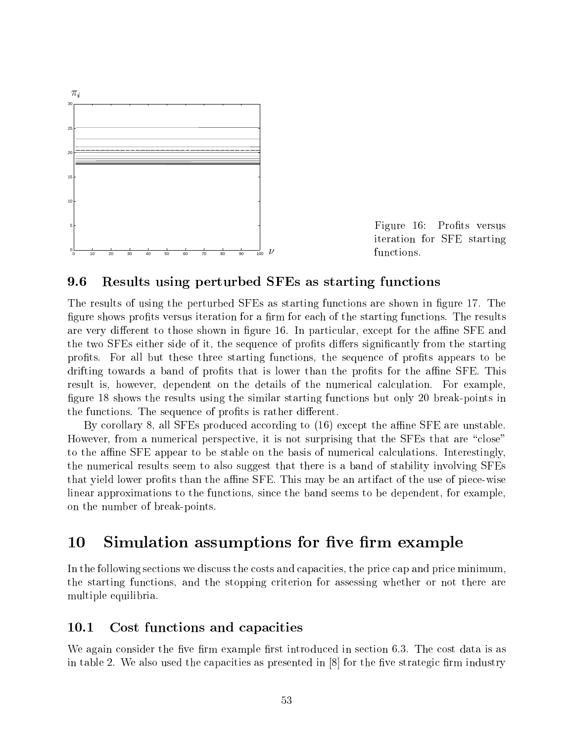

Figure 16: Profits versus iteration for SFE starting functions.

#### 9.6 9.6 Results using perturbed SFEs as starting functions

The results of using the perturbed SFEs as starting functions are shown in figure 17. The figure shows profits versus iteration for a firm for each of the starting functions. The results are very different to those shown in figure 16. In particular, except for the affine SFE and the two SFEs either side of it, the sequence of profits differs significantly from the starting profits. For all but these three starting functions, the sequence of profits appears to be drifting towards a band of profits that is lower than the profits for the affine SFE. This result is, however, dependent on the details of the numerical calculation. For example, figure 18 shows the results using the similar starting functions but only 20 break-points in the functions. The sequence of profits is rather different.

By corollary 8, all SFEs produced according to  $(16)$  except the affine SFE are unstable. However, from a numerical perspective, it is not surprising that the SFEs that are "close" to the affine SFE appear to be stable on the basis of numerical calculations. Interestingly, the numerical results seem to also suggest that there is a band of stability involving SFEs that yield lower profits than the affine SFE. This may be an artifact of the use of piece-wise linear approximations to the functions, since the band seems to be dependent, for example, on the number of break-points.

#### 10 Simulation assumptions for five firm example

In the following sections we discuss the costs and capacities, the price cap and price minimum, the starting functions, and the stopping criterion for assessing whether or not there are multiple equilibria.

## 10.1 Cost functions and capacities

We again consider the five firm example first introduced in section 6.3. The cost data is as in table 2. We also used the capacities as presented in  $[8]$  for the five strategic firm industry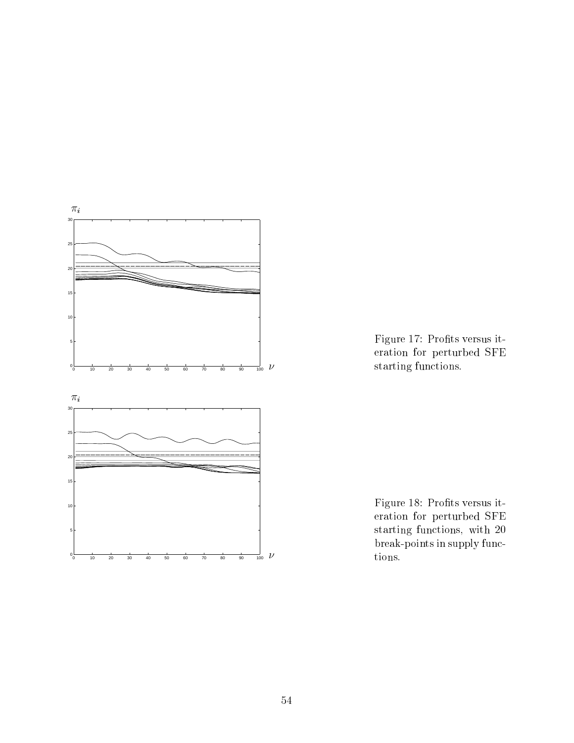

Figure 17: Profits versus iteration for perturbed SFE starting functions.

Figure 18: Profits versus iteration for perturbed SFE starting functions, with 20 break-points in supply functions.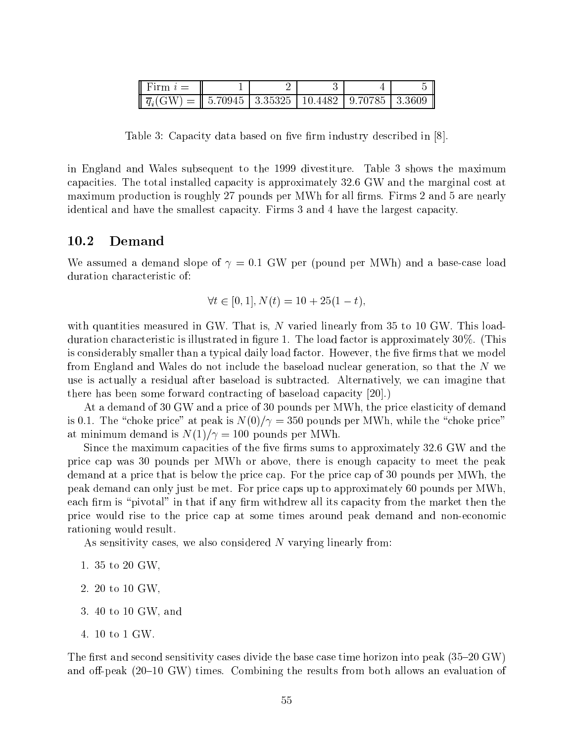| <b>I</b> Firm $i=$                                                          |  |  |  |
|-----------------------------------------------------------------------------|--|--|--|
| $\  \overline{q}_i(GW) = \  5.70945   3.35325   10.4482   9.70785   3.3609$ |  |  |  |

Table 3: Capacity data based on five firm industry described in [8].

in England and Wales subsequent to the 1999 divestiture. Table 3 shows the maximum capacities. The total installed capacity is approximately 32.6 GW and the marginal cost at maximum production is roughly 27 pounds per MWh for all firms. Firms 2 and 5 are nearly identical and have the smallest capacity. Firms 3 and 4 have the largest capacity.

## 10.2 Demand

We assumed a demand slope of  $\gamma = 0.1$  GW per (pound per MWh) and a base-case load duration characteristic of:

$$
\forall t \in [0, 1], N(t) = 10 + 25(1 - t),
$$

with quantities measured in GW. That is, N varied linearly from 35 to 10 GW. This loadduration characteristic is illustrated in figure 1. The load factor is approximately 30%. (This is considerably smaller than a typical daily load factor. However, the five firms that we model from England and Wales do not include the baseload nuclear generation, so that the <sup>N</sup> we use is actually a residual after baseload is subtracted. Alternatively, we can imagine that there has been some forward contracting of baseload capacity [20].)

At a demand of 30 GW and a price of 30 pounds per MWh, the price elasticity of demand is 0.1. The "choke price" at peak is  $N(0)/\gamma = 350$  pounds per MWh, while the "choke price" at minimum demand is  $N(1)/\gamma = 100$  pounds per MWh.

Since the maximum capacities of the five firms sums to approximately 32.6 GW and the price cap was 30 pounds per MWh or above, there is enough capacity to meet the peak demand at a price that is below the price cap. For the price cap of 30 pounds per MWh, the peak demand can only just be met. For price caps up to approximately 60 pounds per MWh, each firm is "pivotal" in that if any firm withdrew all its capacity from the market then the price would rise to the price cap at some times around peak demand and non-economic rationing would result.

As sensitivity cases, we also considered N varying linearly from:

- 1. 35 to 20 GW,
- 2. 20 to 10 GW,
- 3. 40 to 10 GW, and
- 4. 10 to 1 GW.

The first and second sensitivity cases divide the base case time horizon into peak  $(35{\text -}20$  GW) and off-peak  $(20{-}10 \text{ GW})$  times. Combining the results from both allows an evaluation of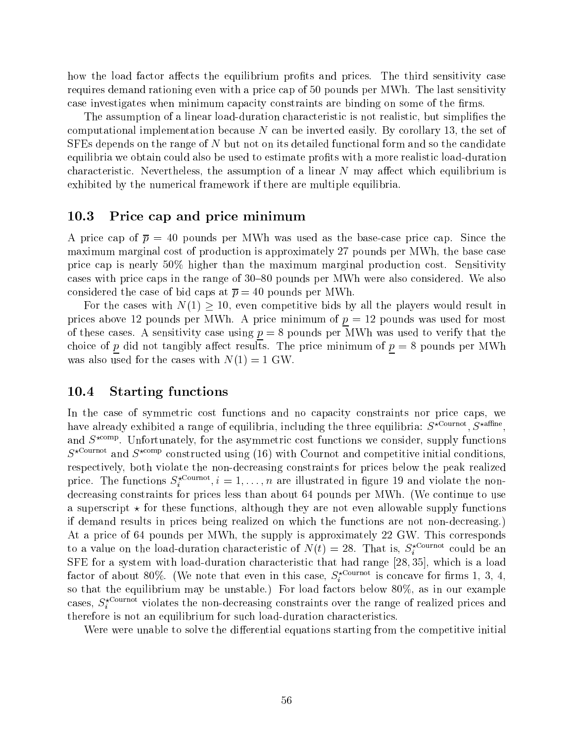how the load factor affects the equilibrium profits and prices. The third sensitivity case requires demand rationing even with a price cap of 50 pounds per MWh. The last sensitivity case investigates when minimum capacity constraints are binding on some of the firms.

The assumption of a linear load-duration characteristic is not realistic, but simplifies the computational implementation because  $N$  can be inverted easily. By corollary 13, the set of SFEs depends on the range of <sup>N</sup> but not on its detailed functional form and so the candidate equilibria we obtain could also be used to estimate profits with a more realistic load-duration characteristic. Nevertheless, the assumption of a linear  $N$  may affect which equilibrium is exhibited by the numerical framework if there are multiple equilibria.

## 10.3 Price cap and price minimum

A price cap of  $\bar{p} = 40$  pounds per MWh was used as the base-case price cap. Since the maximum marginal cost of production is approximately 27 pounds per MWh, the base case price cap is nearly 50% higher than the maximum marginal production cost. Sensitivity cases with price caps in the range of 30–80 pounds per MWh were also considered. We also considered the case of bid caps at  $\bar{p} = 40$  pounds per MWh.

For the cases with N(1) is even competitive bids by all the players would result in  $\mu$ prices above 12 pounds per MWh. A price minimum of  $p = 12$  pounds was used for most of these cases. A sensitivity case using  $p = 8$  pounds per MWh was used to verify that the choice of p did not tangibly affect results. The price minimum of  $p = 8$  pounds per MWh was also used for the cases with  $N(1) = 1$  GW.

## 10.4 Starting functions

In the case of symmetric cost functions and no capacity constraints nor price caps, we have already exhibited a range of equilibria, including the three equilibria:  $S^{\star \text{ Cournot}}$ ,  $S^{\star \text{affine}}$ , and  $S^{evenr}$ . Unfortunately, for the asymmetric cost functions we consider, supply functions  $S^{\star \text{Count} }$  and  $S^{\star \text{comp}}$  constructed using (16) with Cournot and competitive initial conditions. respectively, both violate the non-decreasing constraints for prices below the peak realized price. The functions  $S_i^{z_1 + \cdots + z_n}, i = 1, \ldots, n$  are illustrated in figure 19 and violate the nondecreasing constraints for prices less than about 64 pounds per MWh. (We continue to use a superscript  $\star$  for these functions, although they are not even allowable supply functions if demand results in prices being realized on which the functions are not non-decreasing.) At a price of 64 pounds per MWh, the supply is approximately 22 GW. This corresponds to a value on the load-duration characteristic of  $N(t) = 28$ . That is,  $S_i^{z}$  could be an SFE for a system with load-duration characteristic that had range [28; 35], which is a load factor of about 80%. (We note that even in this case,  $S_i^{even}$  is concave for firms 1, 3, 4, so that the equilibrium may be unstable.) For load factors below 80%, as in our example cases,  $S_i$  course the non-decreasing constraints over the range of realized prices and therefore is not an equilibrium for such load-duration characteristics.

Were were unable to solve the differential equations starting from the competitive initial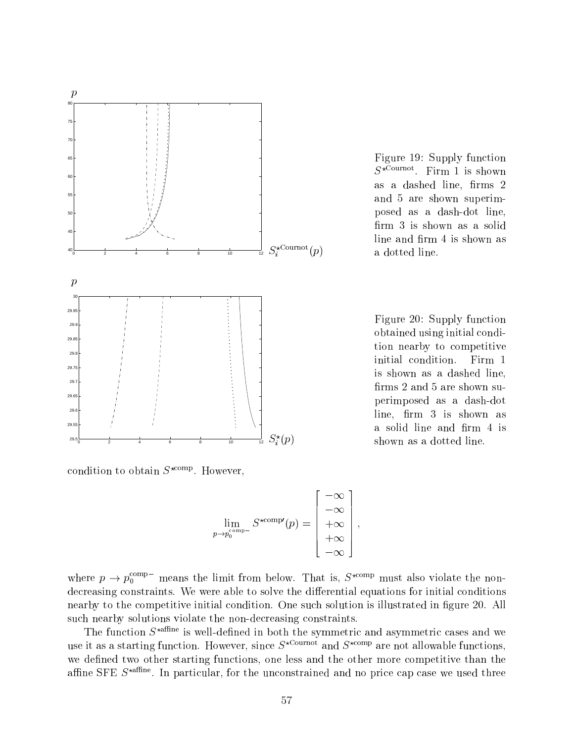

Figure 19: Supply function  $S$ <sup>2</sup>  $\ldots$   $\ldots$   $\ldots$   $\ldots$   $\ldots$   $\ldots$   $\ldots$   $\ldots$   $\ldots$   $\ldots$ as a dashed line, firms 2 and 5 are shown superimposed as a dash-dot line, firm 3 is shown as a solid line and firm 4 is shown as a dotted line.

Figure 20: Supply function obtained using initial condition nearby to competitive initial condition. Firm 1 is shown as a dashed line, firms 2 and 5 are shown superimposed as a dash-dot  $line, firm 3 is shown as$ a solid line and firm 4 is shown as a dotted line.

condition to obtain  $S^{r_1, r_2, r_3}$ . However,

$$
\lim_{p\to p_0^{\text{comp}-}} S^{\star \text{comp} \prime}(p) = \begin{bmatrix} -\infty \\ -\infty \\ +\infty \\ +\infty \\ -\infty \end{bmatrix},
$$

2

<u>and the second contract of the second contract of the second contract of the second contract of the second con</u>

where  $p \rightarrow p_0^{\rm corr}$  means the limit from below. That is,  $S^{\rm comm}$  must also violate the nondecreasing constraints. We were able to solve the differential equations for initial conditions nearby to the competitive initial condition. One such solution is illustrated in figure 20. All such nearby solutions violate the non-decreasing constraints.

The function  $S^{\star \text{affine}}$  is well-defined in both the symmetric and asymmetric cases and we use it as a starting function. However, since  $S^{\star \text{Count}}$  and  $S^{\star \text{comp}}$  are not allowable functions, we defined two other starting functions, one less and the other more competitive than the annie  $\mathsf{SFR}$   $S$  and  $S$  . In particular, for the unconstrained and no price cap case we used three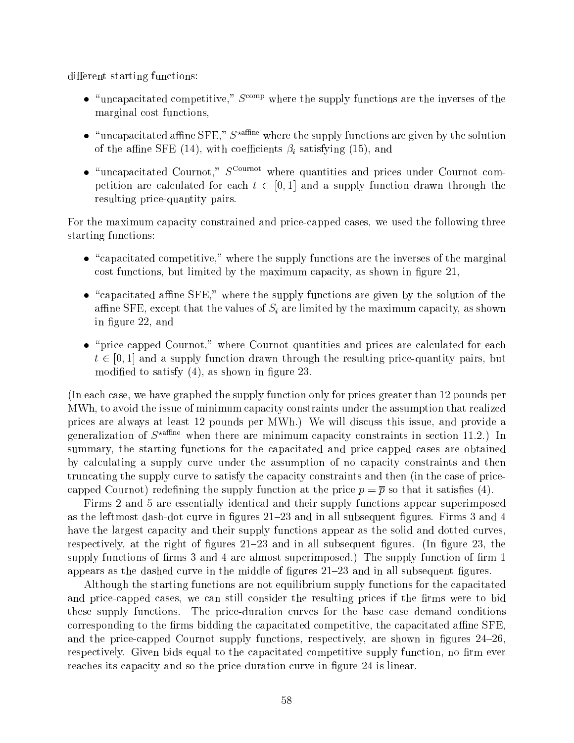different starting functions:

- $\bullet$  "uncapacitated competitive,"  $S^{\text{comp}}$  where the supply functions are the inverses of the marginal cost functions,
- $\bullet$  "uncapacitated affine SFE,"  $S^*$ <sup>affine</sup> where the supply functions are given by the solution of the affine SFE (14), with coefficients  $\beta_i$  satisfying (15), and
- $\bullet$  "uncapacitated Cournot,"  $S^{\text{Current}}$  where quantities and prices under Cournot competition are calculated for each through  $\epsilon$  [0; 1] and a supply function drawn through the supply through resulting price-quantity pairs.

For the maximum capacity constrained and price-capped cases, we used the following three starting functions:

- $\bullet$  "capacitated competitive," where the supply functions are the inverses of the marginal cost functions, but limited by the maximum capacity, as shown in figure 21,
- $\bullet$  "capacitated affine SFE," where the supply functions are given by the solution of the affine SFE, except that the values of  $S_i$  are limited by the maximum capacity, as shown in figure 22, and
- "price-capped Cournot," where Cournot quantities and prices are calculated for each <sup>t</sup> 2 [0; 1] and <sup>a</sup> supply function drawn through the resulting price-quantity pairs, but modified to satisfy  $(4)$ , as shown in figure 23.

(In each case, we have graphed the supply function only for prices greater than 12 pounds per MWh, to avoid the issue of minimum capacity constraints under the assumption that realized prices are always at least 12 pounds per MWh.) We will discuss this issue, and provide a generalization of  $S^{\star \text{affine}}$  when there are minimum capacity constraints in section 11.2.) In summary, the starting functions for the capacitated and price-capped cases are obtained by calculating a supply curve under the assumption of no capacity constraints and then truncating the supply curve to satisfy the capacity constraints and then (in the case of pricecapped Cournot) redefining the supply function at the price  $p = \overline{p}$  so that it satisfies (4).

Firms 2 and 5 are essentially identical and their supply functions appear superimposed as the leftmost dash-dot curve in figures  $21-23$  and in all subsequent figures. Firms 3 and 4 have the largest capacity and their supply functions appear as the solid and dotted curves, respectively, at the right of figures  $21-23$  and in all subsequent figures. (In figure 23, the supply functions of firms  $3$  and  $4$  are almost superimposed.) The supply function of firm  $1$ appears as the dashed curve in the middle of figures  $21-23$  and in all subsequent figures.

Although the starting functions are not equilibrium supply functions for the capacitated and price-capped cases, we can still consider the resulting prices if the firms were to bid these supply functions. The price-duration curves for the base case demand conditions corresponding to the firms bidding the capacitated competitive, the capacitated affine SFE. and the price-capped Cournot supply functions, respectively, are shown in figures  $24{\text -}26$ . respectively. Given bids equal to the capacitated competitive supply function, no firm ever reaches its capacity and so the price-duration curve in figure 24 is linear.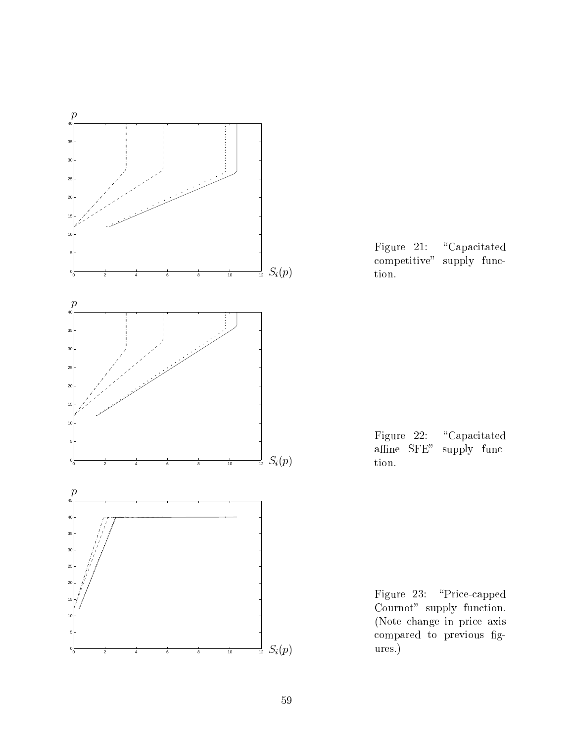

Figure 21: "Capacitated competitive" supply function.

Figure 22: "Capacitated affine SFE" supply function.

Figure 23: "Price-capped Cournot" supply function. (Note change in price axis compared to previous gures.)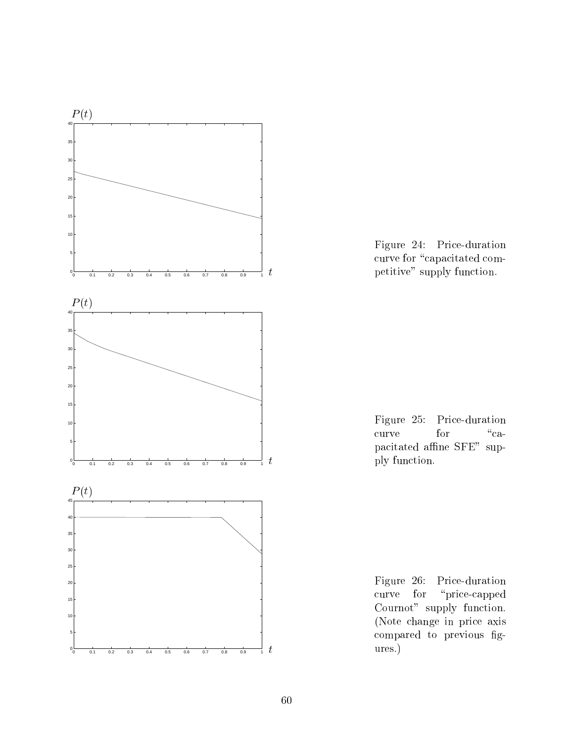

Figure 24: Price-duration curve for "capacitated competitive" supply function.



Figure 26: Price-duration curve for "price-capped Cournot" supply function. (Note change in price axis compared to previous gures.)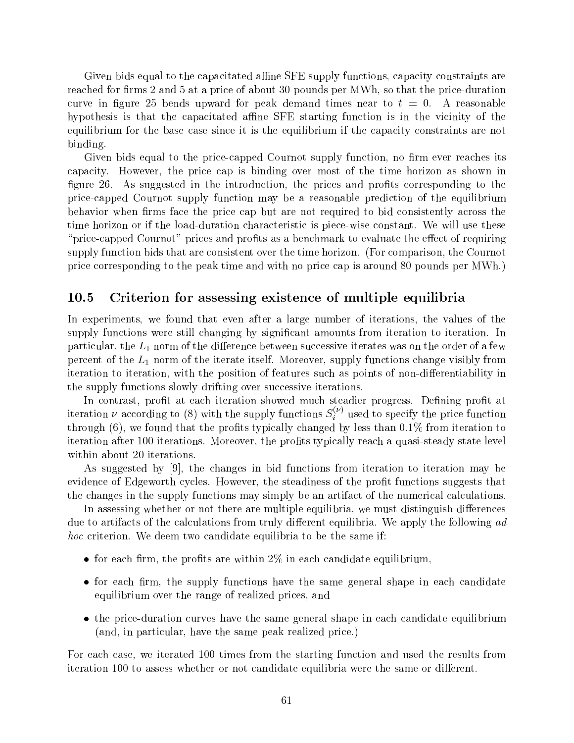Given bids equal to the capacitated affine SFE supply functions, capacity constraints are reached for firms 2 and 5 at a price of about 30 pounds per MWh, so that the price-duration curve in figure 25 bends upward for peak demand times near to  $t = 0$ . A reasonable hypothesis is that the capacitated affine SFE starting function is in the vicinity of the equilibrium for the base case since it is the equilibrium if the capacity constraints are not binding.

Given bids equal to the price-capped Cournot supply function, no firm ever reaches its capacity. However, the price cap isbinding over most of the time horizon as shown in figure 26. As suggested in the introduction, the prices and profits corresponding to the price-capped Cournot supply function may be a reasonable prediction of the equilibrium behavior when firms face the price cap but are not required to bid consistently across the time horizon or if the load-duration characteristic is piece-wise constant. We will use these "price-capped Cournot" prices and profits as a benchmark to evaluate the effect of requiring supply function bids that are consistent over the time horizon. (For comparison, the Cournot price corresponding to the peak time and with no price cap is around 80 pounds per MWh.)

## 10.5 Criterion for assessing existence of multiple equilibria

In experiments, we found that even after a large number of iterations, the values of the supply functions were still changing by signicant amounts from iteration to iteration. In particular, the  $L_1$  norm of the difference between successive iterates was on the order of a few percent of the  $L_1$  norm of the iterate itself. Moreover, supply functions change visibly from iteration to iteration, with the position of features such as points of non-differentiability in the supply functions slowly drifting over successive iterations.

In contrast, profit at each iteration showed much steadier progress. Defining profit at iteration  $\nu$  according to (8) with the supply functions  $S_i^{\vee}$  used to specify the price function through  $(6)$ , we found that the profits typically changed by less than 0.1% from iteration to iteration after 100 iterations. Moreover, the profits typically reach a quasi-steady state level within about 20 iterations.

As suggested by  $[9]$ , the changes in bid functions from iteration to iteration may be evidence of Edgeworth cycles. However, the steadiness of the profit functions suggests that the changes in the supply functions may simply be an artifact of the numerical calculations.

In assessing whether or not there are multiple equilibria, we must distinguish differences due to artifacts of the calculations from truly different equilibria. We apply the following  $ad$ hoc criterion. We deem two candidate equilibria to be the same if:

- for each firm, the profits are within  $2\%$  in each candidate equilibrium,
- $\bullet$  for each firm, the supply functions have the same general shape in each candidate equilibrium over the range of realized prices, and
- the price-duration curves have the same general shape in each candidate equilibrium (and, in particular, have the same peak realized price.)

For each case, we iterated 100 times from the starting function and used the results from iteration 100 to assess whether or not candidate equilibria were the same or different.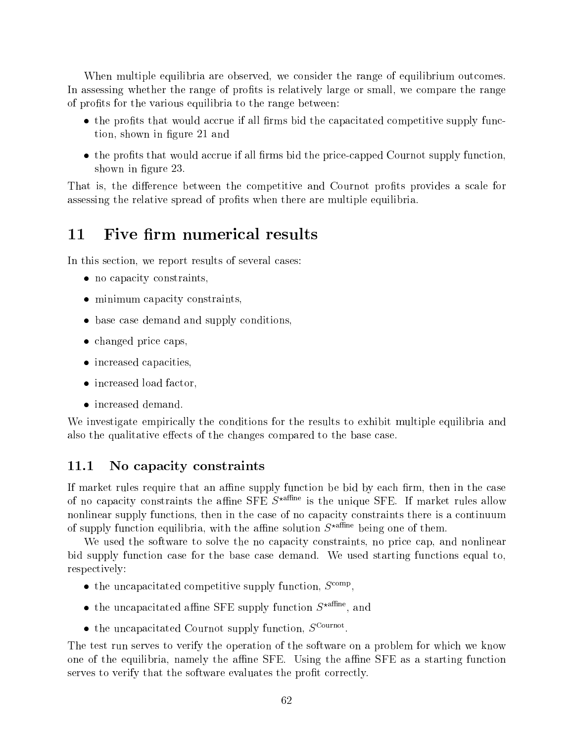When multiple equilibria are observed, we consider the range of equilibrium outcomes. In assessing whether the range of profits is relatively large or small, we compare the range of profits for the various equilibria to the range between:

- $\bullet$  the profits that would accrue if all firms bid the capacitated competitive supply function, shown in gure 21 and
- $\bullet$  the profits that would accrue if all firms bid the price-capped Cournot supply function. shown in figure 23.

That is, the difference between the competitive and Cournot profits provides a scale for assessing the relative spread of profits when there are multiple equilibria.

#### Five firm numerical results 11

In this section, we report results of several cases:

- no capacity constraints,
- minimum capacity constraints,
- base case demand and supply conditions,
- changed price caps,
- increased capacities,
- increased load factor,
- increased demand.

We investigate empirically the conditions for the results to exhibit multiple equilibria and also the qualitative effects of the changes compared to the base case.

#### 11.1 No capacity constraints

If market rules require that an affine supply function be bid by each firm, then in the case of no capacity constraints the affine SFE  $S^{\star}$ <sup>affine</sup> is the unique SFE. If market rules allow nonlinear supply functions, then in the case of no capacity constraints there is a continuum of supply function equilibria, with the affine solution  $S^{\star \text{affine}}$  being one of them.

We used the software to solve the no capacity constraints, no price cap, and nonlinear bid supply function case for the base case demand. We used starting functions equal to, respectively:

- $\bullet$  the uncapacitated competitive supply function,  $S^{\text{comp}}$ ,
- $\bullet$  the uncapacitated anime  $SFE$  supply function  $S^{xxxx}$ , and
- $\bullet$  the uncapacitated Cournot supply function,  $S^{\text{Current}}$ .

The test run serves to verify the operation of the software on a problem for which we know one of the equilibria, namely the affine SFE. Using the affine SFE as a starting function serves to verify that the software evaluates the profit correctly.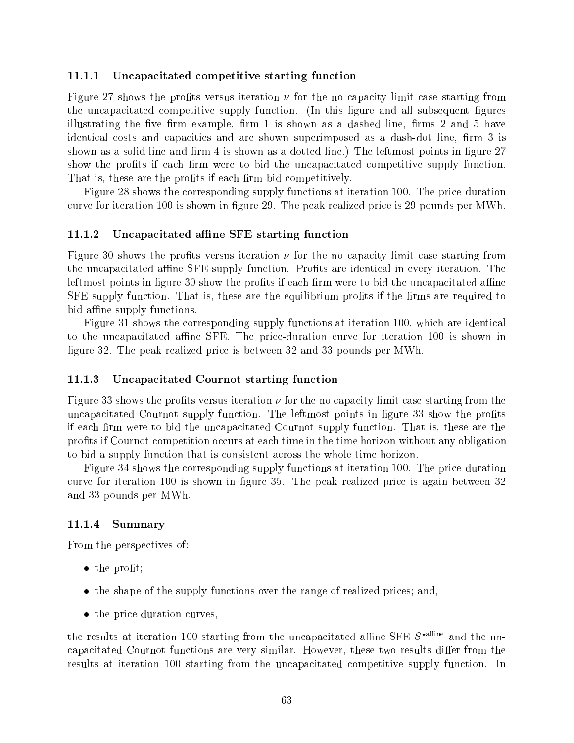### 11.1.1 Uncapacitated competitive starting function

Figure 27 shows the profits versus iteration  $\nu$  for the no capacity limit case starting from the uncapacitated competitive supply function. (In this figure and all subsequent figures illustrating the five firm example, firm  $1$  is shown as a dashed line, firms  $2$  and  $5$  have identical costs and capacities and are shown superimposed as a dash-dot line, firm 3 is shown as a solid line and firm 4 is shown as a dotted line.) The leftmost points in figure 27 show the profits if each firm were to bid the uncapacitated competitive supply function. That is, these are the profits if each firm bid competitively.

Figure 28 shows the corresponding supply functions at iteration 100. The price-duration curve for iteration 100 is shown in figure 29. The peak realized price is 29 pounds per MWh.

### 11.1.2 Uncapacitated affine SFE starting function

Figure 30 shows the profits versus iteration  $\nu$  for the no capacity limit case starting from the uncapacitated affine SFE supply function. Profits are identical in every iteration. The leftmost points in figure 30 show the profits if each firm were to bid the uncapacitated affine  $SFE$  supply function. That is, these are the equilibrium profits if the firms are required to bid affine supply functions.

Figure 31 shows the corresponding supply functions at iteration 100, which are identical to the uncapacitated affine SFE. The price-duration curve for iteration 100 is shown in figure 32. The peak realized price is between 32 and 33 pounds per MWh.

### 11.1.3 Uncapacitated Cournot starting function

Figure 33 shows the profits versus iteration  $\nu$  for the no capacity limit case starting from the uncapacitated Cournot supply function. The leftmost points in figure 33 show the profits if each firm were to bid the uncapacitated Cournot supply function. That is, these are the prots if Cournot competition occurs at each time in the time horizon without any obligation to bid a supply function that is consistent across the whole time horizon.

Figure 34 shows the corresponding supply functions at iteration 100. The price-duration curve for iteration 100 is shown in figure 35. The peak realized price is again between 32 and 33 pounds per MWh.

#### 11.1.4 Summary

From the perspectives of:

- $\bullet$  the profit;
- the shape of the supply functions over the range of realized prices; and,
- the price-duration curves.

the results at iteration 100 starting from the uncapacitated affine SFE  $S^*$ <sup>affine</sup> and the uncapacitated Cournot functions are very similar. However, these two results differ from the results at iteration 100 starting from the uncapacitated competitive supply function. In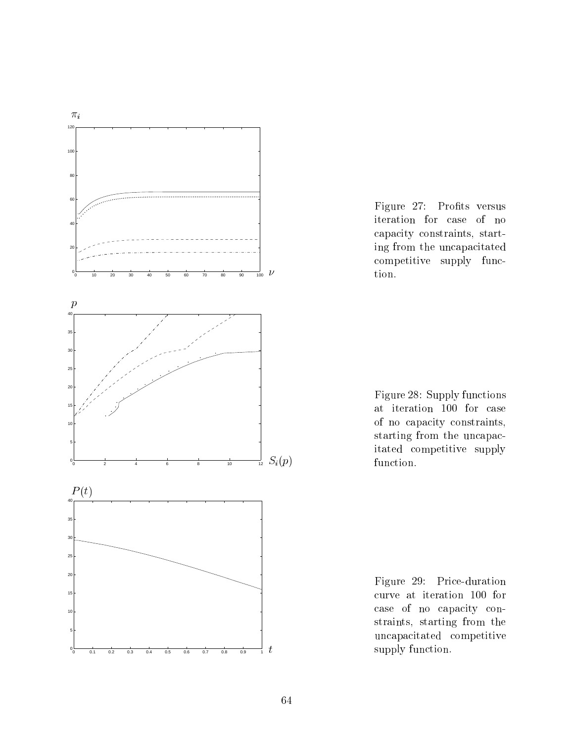

Figure 27: Profits versus iteration for case of no capacity constraints, starting from the uncapacitated competitive supply function.



Figure 29: Price-duration curve at iteration 100 for case of no capacity constraints, starting from the uncapacitated competitive supply function.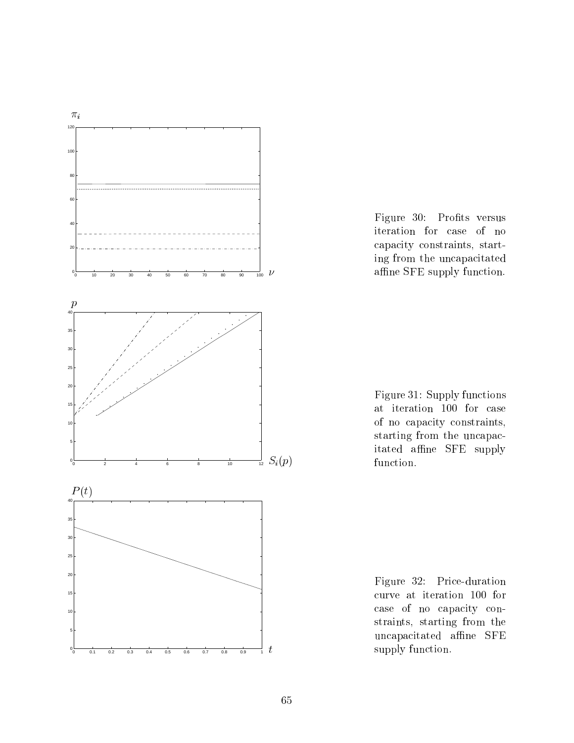

Figure 30: Profits versus iteration for case of no capacity constraints, starting from the uncapacitated affine SFE supply function.

Figure 31: Supply functions at iteration 100 for case of no capacity constraints, starting from the uncapacitated affine SFE supply function.

Figure 32: Price-duration curve at iteration 100 for case of no capacity constraints, starting from the uncapacitated affine SFE supply function.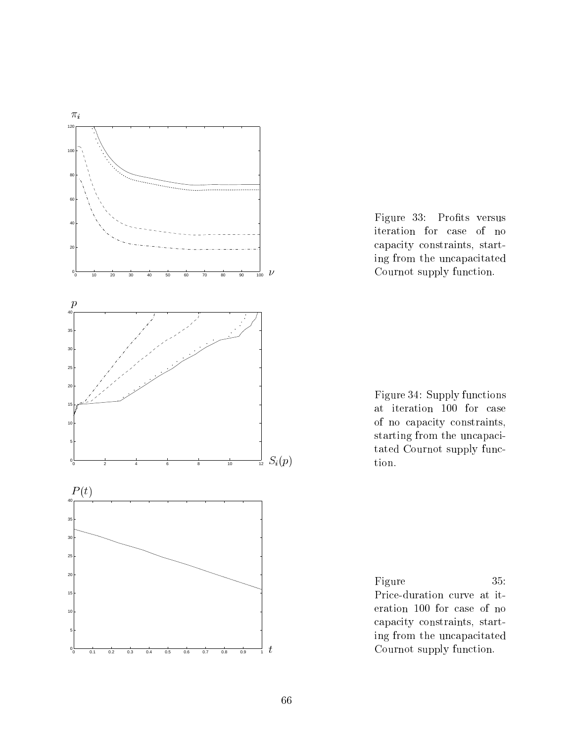

Figure 33: Profits versus iteration for case of no capacity constraints, starting from the uncapacitated Cournot supply function.



Figure 35: Price-duration curve at iteration 100 for case of no capacity constraints, starting from the uncapacitated Cournot supply function.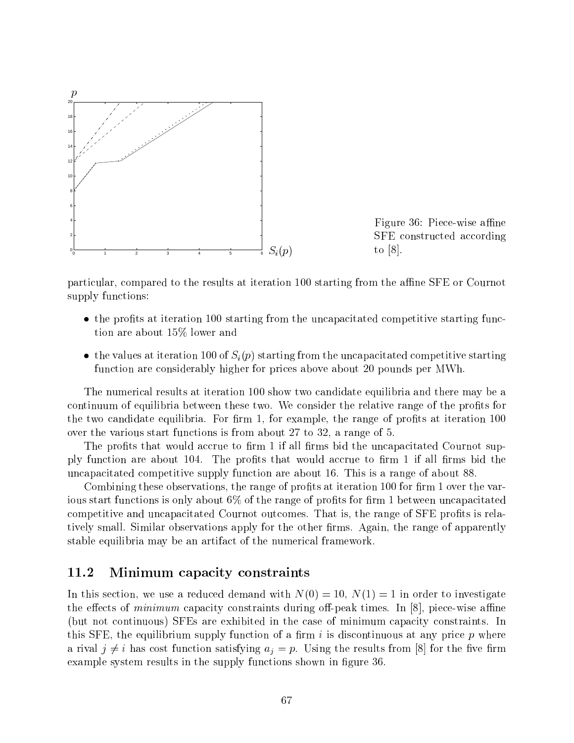

Figure 36: Piece-wise affine SFE constructed according to  $|8|$ .

particular, compared to the results at iteration 100 starting from the affine SFE or Cournot supply functions:

- $\bullet$  the profits at iteration 100 starting from the uncapacitated competitive starting function are about 15% lower and
- the values at iteration 100 of  $S_i(p)$  starting from the uncapacitated competitive starting function are considerably higher for prices above about 20 pounds per MWh.

The numerical results at iteration 100 show two candidate equilibria and there may be a continuum of equilibria between these two. We consider the relative range of the profits for the two candidate equilibria. For firm  $1$ , for example, the range of profits at iteration  $100$ over the various start functions is from about 27 to 32, a range of 5.

The profits that would accrue to firm 1 if all firms bid the uncapacitated Cournot supply function are about  $104$ . The profits that would accrue to firm 1 if all firms bid the uncapacitated competitive supply function are about 16. This is a range of about 88.

Combining these observations, the range of profits at iteration 100 for firm 1 over the various start functions is only about  $6\%$  of the range of profits for firm 1 between uncapacitated competitive and uncapacitated Cournot outcomes. That is, the range of SFE profits is relatively small. Similar observations apply for the other firms. Again, the range of apparently stable equilibria may be an artifact of the numerical framework.

## 11.2 Minimum capacity constraints

In this section, we use a reduced demand with  $N(0) = 10$ ,  $N(1) = 1$  in order to investigate the effects of *minimum* capacity constraints during off-peak times. In  $[8]$ , piece-wise affine (but not continuous) SFEs are exhibited in the case of minimum capacity constraints. In this SFE, the equilibrium supply function of a firm i is discontinuous at any price  $p$  where a rival  $j \neq i$  has cost function satisfying  $a_j = p$ . Using the results from [8] for the five firm example system results in the supply functions shown in figure 36.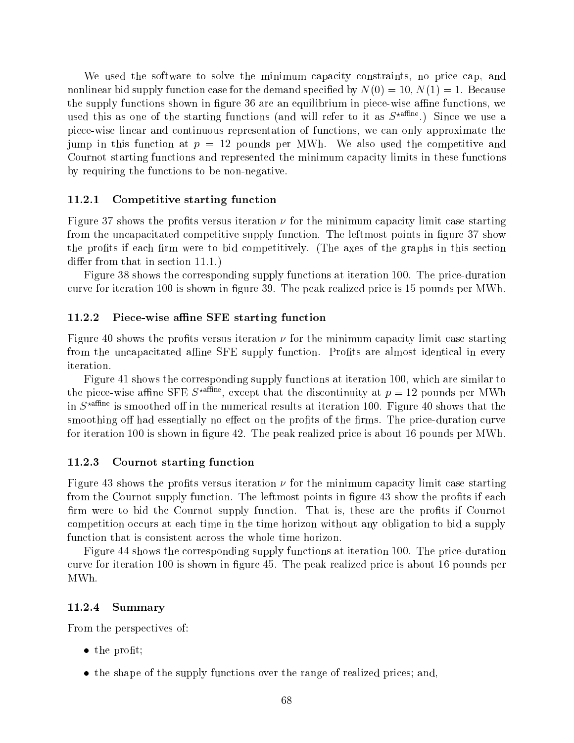We used the software to solve the minimum capacity constraints, no price cap, and nonlinear bid supply function case for the demand specified by  $N(0) = 10, N(1) = 1$ . Because the supply functions shown in figure 36 are an equilibrium in piece-wise affine functions, we used this as one of the starting functions (and will refer to it as  $S^{\star \text{affine}}$ .) Since we use a piece-wise linear and continuous representation of functions, we can only approximate the jump in this function at  $p = 12$  pounds per MWh. We also used the competitive and Cournot starting functions and represented the minimum capacity limits in these functions by requiring the functions to be non-negative.

#### 11.2.1 Competitive starting function

Figure 37 shows the profits versus iteration  $\nu$  for the minimum capacity limit case starting from the uncapacitated competitive supply function. The leftmost points in figure 37 show the profits if each firm were to bid competitively. (The axes of the graphs in this section differ from that in section  $11.1$ .)

Figure 38 shows the corresponding supply functions at iteration 100. The price-duration curve for iteration 100 is shown in figure 39. The peak realized price is 15 pounds per MWh.

#### 11.2.2 Piece-wise affine SFE starting function

Figure 40 shows the profits versus iteration  $\nu$  for the minimum capacity limit case starting from the uncapacitated affine SFE supply function. Profits are almost identical in every iteration.

Figure 41 shows the corresponding supply functions at iteration 100, which are similar to the piece-wise almie SFE  $S^{\text{max}}$ , except that the discontinuity at  $p = 12$  pounds per MWh in  $S^{\star{\text{affine}}}$  is smoothed off in the numerical results at iteration 100. Figure 40 shows that the smoothing off had essentially no effect on the profits of the firms. The price-duration curve for iteration 100 is shown in figure 42. The peak realized price is about 16 pounds per MWh.

#### 11.2.3 Cournot starting function

Figure 43 shows the profits versus iteration  $\nu$  for the minimum capacity limit case starting from the Cournot supply function. The leftmost points in figure 43 show the profits if each firm were to bid the Cournot supply function. That is, these are the profits if Cournot competition occurs at each time in the time horizon without any obligation to bid a supply function that is consistent across the whole time horizon.

Figure 44 shows the corresponding supply functions at iteration 100. The price-duration curve for iteration 100 is shown in gure 45. The peak realized price is about 16 pounds per MWh.

#### 11.2.4 Summary

From the perspectives of:

- $\bullet$  the profit;
- the shape of the supply functions over the range of realized prices; and,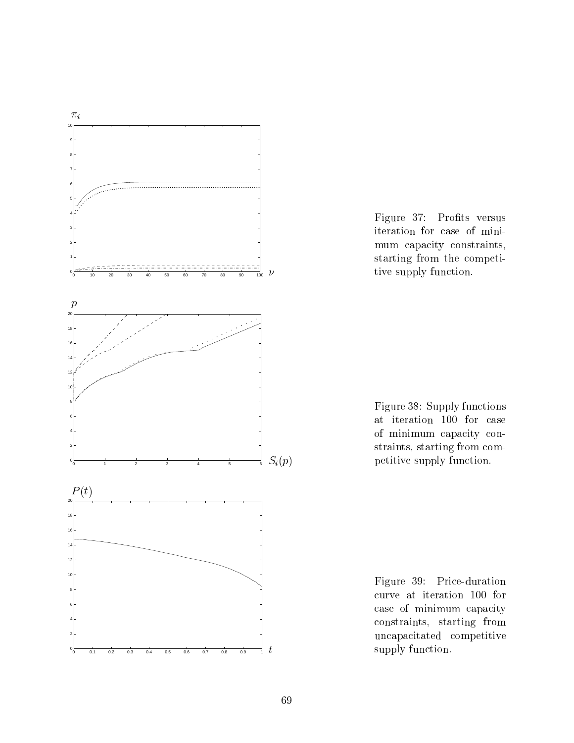

Figure 37: Profits versus iteration for case of minimum capacity constraints, starting from the competitive supply function.

Figure 38: Supply functions at iteration 100 for case of minimum capacity constraints, starting from competitive supply function.

Figure 39: Price-duration curve at iteration 100 for case of minimum capacity constraints, starting from uncapacitated competitive supply function.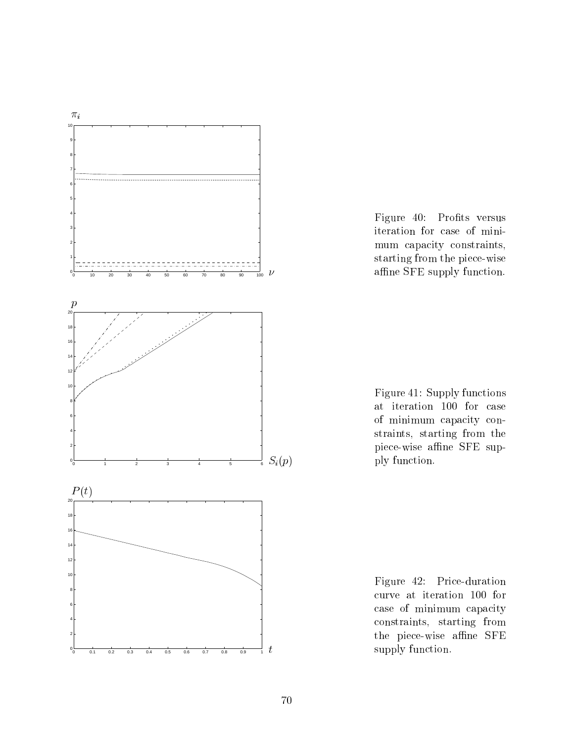

Figure 40: Profits versus iteration for case of minimum capacity constraints, starting from the piece-wise affine SFE supply function.

Figure 41: Supply functions at iteration 100 for case of minimum capacity constraints, starting from the piece-wise affine SFE supply function.

Figure 42: Price-duration curve at iteration 100 for case of minimum capacity constraints, starting from the piece-wise affine SFE supply function.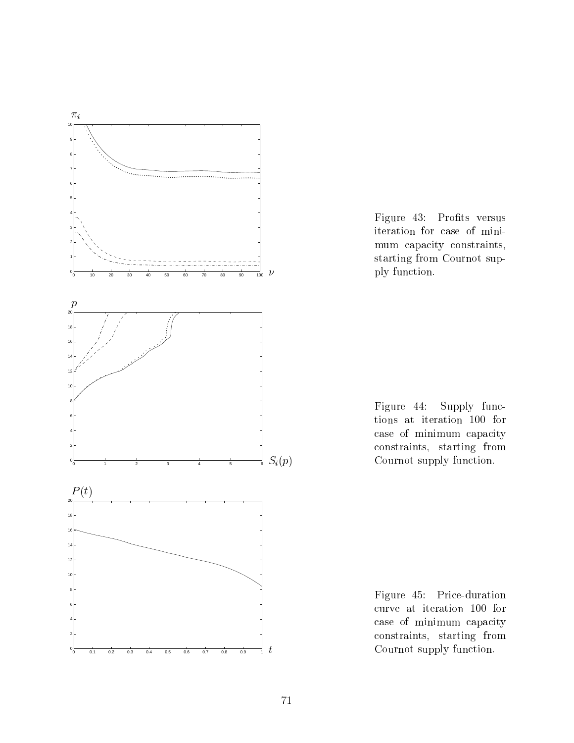

Figure 43: Profits versus iteration for case of minimum capacity constraints, starting from Cournot supply function.

Figure 44: Supply functions at iteration 100 for case of minimum capacity constraints, starting from Cournot supply function.

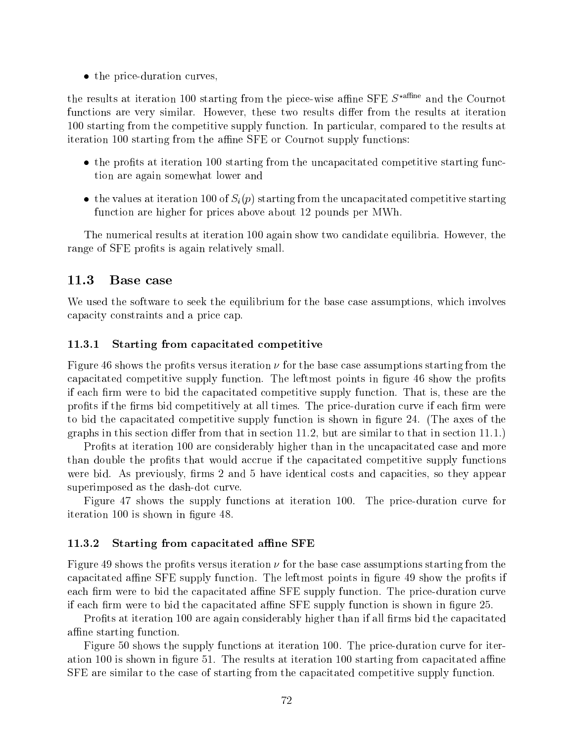• the price-duration curves,

the results at iteration 100 starting from the piece-wise affine SFE  $S^{\star$ <sup>affine</sup> and the Cournot functions are very similar. However, these two results differ from the results at iteration 100 starting from the competitive supply function. In particular, compared to the results at iteration 100 starting from the affine SFE or Cournot supply functions:

- $\bullet$  the profits at iteration 100 starting from the uncapacitated competitive starting function are again somewhat lower and
- the values at iteration 100 of  $S_i(p)$  starting from the uncapacitated competitive starting function are higher for prices above about 12 pounds per MWh.

The numerical results at iteration 100 again show two candidate equilibria. However, the range of SFE profits is again relatively small.

## 11.3 Base case

We used the software to seek the equilibrium for the base case assumptions, which involves capacity constraints and a price cap.

#### 11.3.1 Starting from capacitated competitive

Figure 46 shows the profits versus iteration  $\nu$  for the base case assumptions starting from the capacitated competitive supply function. The leftmost points in figure 46 show the profits if each firm were to bid the capacitated competitive supply function. That is, these are the profits if the firms bid competitively at all times. The price-duration curve if each firm were to bid the capacitated competitive supply function is shown in figure 24. (The axes of the graphs in this section differ from that in section 11.2, but are similar to that in section  $11.1$ .

Profits at iteration 100 are considerably higher than in the uncapacitated case and more than double the profits that would accrue if the capacitated competitive supply functions were bid. As previously, firms 2 and 5 have identical costs and capacities, so they appear superimposed as the dash-dot curve.

Figure 47 shows the supply functions at iteration 100. The price-duration curve for iteration 100 is shown in figure 48.

#### 11.3.2 Starting from capacitated affine SFE

Figure 49 shows the profits versus iteration  $\nu$  for the base case assumptions starting from the capacitated affine SFE supply function. The leftmost points in figure 49 show the profits if each firm were to bid the capacitated affine SFE supply function. The price-duration curve if each firm were to bid the capacitated affine SFE supply function is shown in figure 25.

Profits at iteration 100 are again considerably higher than if all firms bid the capacitated affine starting function.

Figure 50 shows the supply functions at iteration 100. The price-duration curve for iteration  $100$  is shown in figure 51. The results at iteration  $100$  starting from capacitated affine SFE are similar to the case of starting from the capacitated competitive supply function.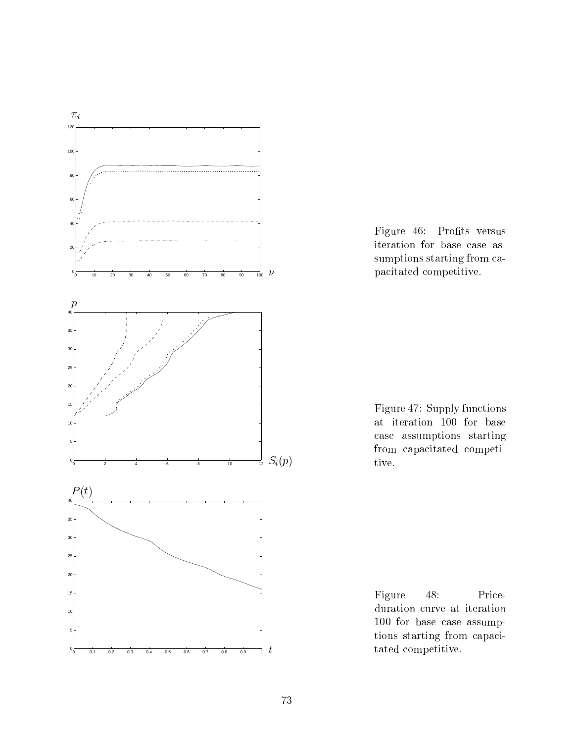

Figure 46: Profits versus iteration for base case assumptions starting from capacitated competitive.

Figure 47: Supply functions at iteration 100 for base case assumptions starting from capacitated competitive.

Figure 48: Priceduration curve at iteration 100 for base case assumptions starting from capacitated competitive.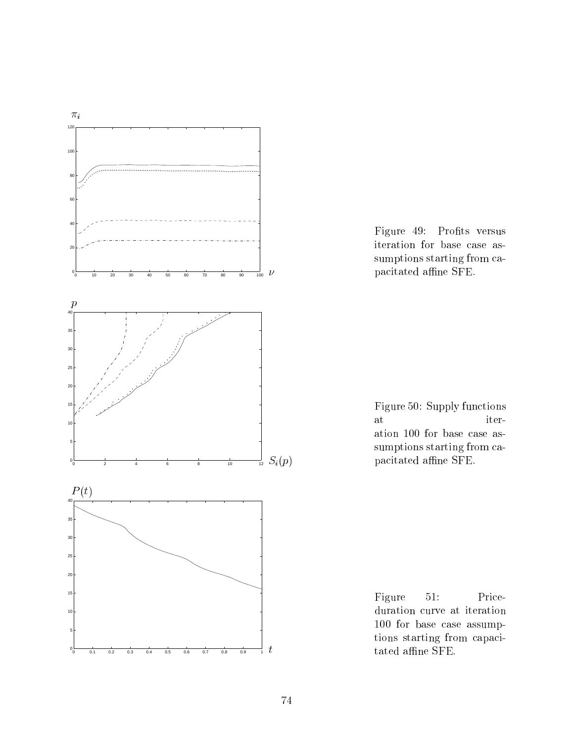

Figure 49: Profits versus iteration for base case assumptions starting from capacitated affine SFE.



Figure 51: Priceduration curve at iteration 100 for base case assumptions starting from capacitated affine SFE.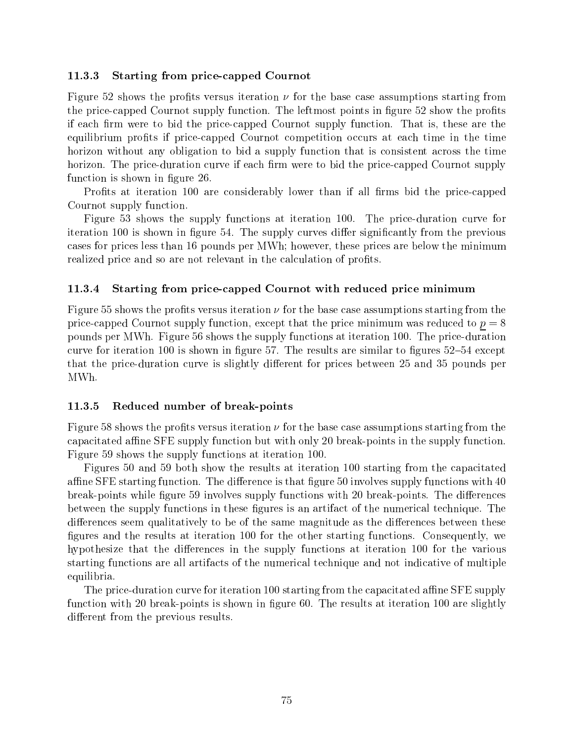### 11.3.3 Starting from price-capped Cournot

Figure 52 shows the profits versus iteration  $\nu$  for the base case assumptions starting from the price-capped Cournot supply function. The leftmost points in figure 52 show the profits if each firm were to bid the price-capped Cournot supply function. That is, these are the equilibrium profits if price-capped Cournot competition occurs at each time in the time horizon without any obligation to bid a supply function that is consistent across the time horizon. The price-duration curve if each firm were to bid the price-capped Cournot supply function is shown in figure 26.

Profits at iteration 100 are considerably lower than if all firms bid the price-capped Cournot supply function.

Figure 53 shows the supply functions at iteration 100. The price-duration curve for iteration 100 is shown in figure 54. The supply curves differ significantly from the previous cases for prices less than 16 pounds per MWh; however, these prices are below the minimum realized price and so are not relevant in the calculation of profits.

#### 11.3.4 Starting from price-capped Cournot with reduced price minimum

Figure 55 shows the profits versus iteration  $\nu$  for the base case assumptions starting from the price-capped Cournot supply function, except that the price minimum was reduced to  $p = 8$ pounds per MWh. Figure 56 shows the supply functions at iteration 100. The price-duration curve for iteration 100 is shown in figure 57. The results are similar to figures  $52{\text -}54$  except that the price-duration curve is slightly different for prices between 25 and 35 pounds per MWh.

#### 11.3.5 Reduced number of break-points

Figure 58 shows the profits versus iteration  $\nu$  for the base case assumptions starting from the capacitated affine SFE supply function but with only 20 break-points in the supply function. Figure 59 shows the supply functions at iteration 100.

Figures 50 and 59 both show the results at iteration 100 starting from the capacitated affine SFE starting function. The difference is that figure 50 involves supply functions with  $40$ break-points while figure 59 involves supply functions with 20 break-points. The differences between the supply functions in these figures is an artifact of the numerical technique. The differences seem qualitatively to be of the same magnitude as the differences between these figures and the results at iteration 100 for the other starting functions. Consequently, we hypothesize that the differences in the supply functions at iteration 100 for the various starting functions are all artifacts of the numerical technique and not indicative of multiple equilibria.

The price-duration curve for iteration 100 starting from the capacitated affine SFE supply function with 20 break-points is shown in figure 60. The results at iteration 100 are slightly different from the previous results.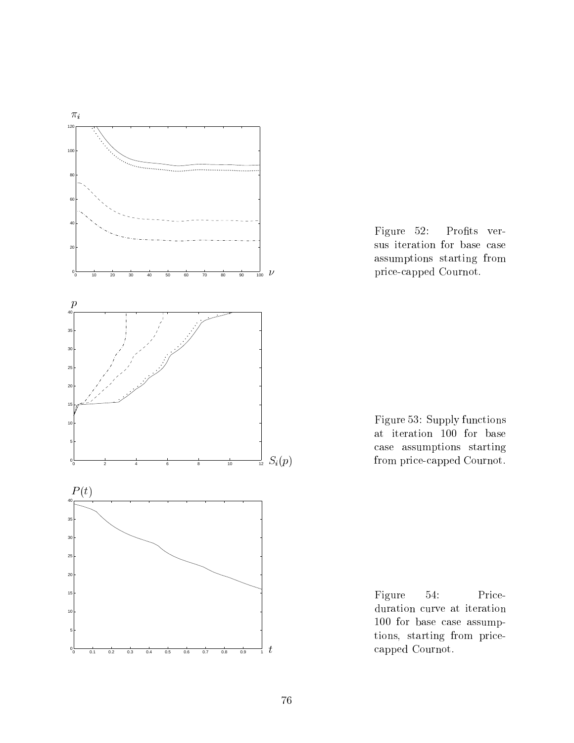



Figure 53: Supply functions at iteration 100 for base case assumptions starting from price-capped Cournot.

Figure 54: Priceduration curve at iteration for base case assumptions, starting from pricecapped Cournot.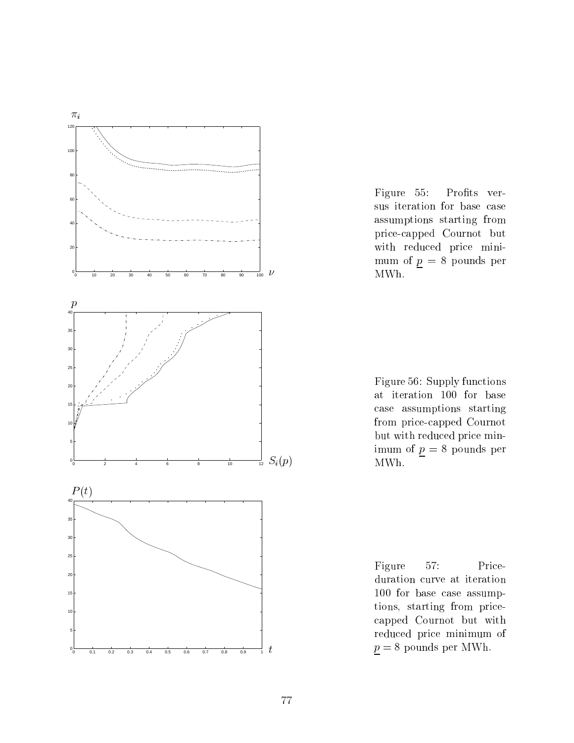

Figure 55: Profits versus iteration for base case assumptions starting from price-capped Cournot but with reduced price minimum of  $p = 8$  pounds per MWh.

Figure 56: Supply functions at iteration 100 for base case assumptions starting from price-capped Cournot but with reduced price minimum of  $\underline{p} = 8$  pounds per MWh.

Figure 57: Priceduration curve at iteration 100 for base case assumptions, starting from pricecapped Cournot but with reduced price minimum of  $\underline{p} = 8$  pounds per MWh.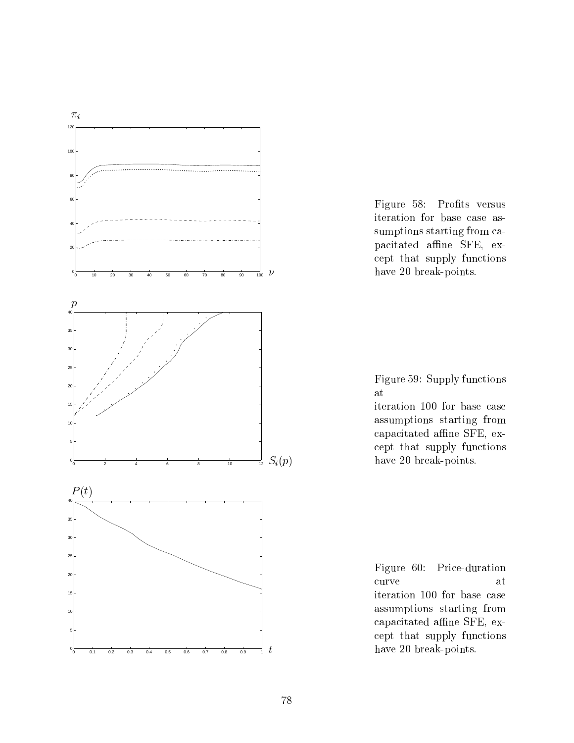



Figure 59: Supply functions at

iteration 100 for base case assumptions starting from capacitated affine SFE, except that supply functions have 20 break-points.

Figure 60: Price-duration iteration 100 for base case assumptions starting from capacitated affine SFE, except that supply functions have 20 break-points.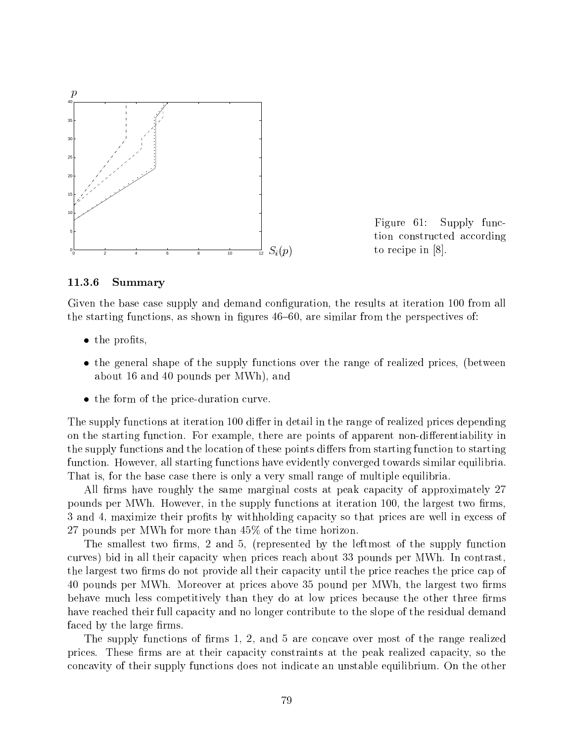

Figure 61: Supply function constructed according to recipe in [8].

#### 11.3.6 Summary

Given the base case supply and demand configuration, the results at iteration 100 from all the starting functions, as shown in figures  $46{-}60$ , are similar from the perspectives of:

- $\bullet$  the profits,
- the general shape of the supply functions over the range of realized prices, (between about 16 and 40 pounds per MWh), and
- the form of the price-duration curve.

The supply functions at iteration 100 differ in detail in the range of realized prices depending on the starting function. For example, there are points of apparent non-differentiability in the supply functions and the location of these points differs from starting function to starting function. However, all starting functions have evidently converged towards similar equilibria. That is, for the base case there is only a very small range of multiple equilibria.

All firms have roughly the same marginal costs at peak capacity of approximately 27 pounds per MWh. However, in the supply functions at iteration 100, the largest two firms. 3 and 4, maximize their profits by withholding capacity so that prices are well in excess of 27 pounds per MWh for more than 45% of the time horizon.

The smallest two firms,  $2$  and  $5$ , (represented by the leftmost of the supply function curves) bid in all their capacity when prices reach about 33 pounds per MWh. In contrast, the largest two firms do not provide all their capacity until the price reaches the price cap of 40 pounds per MWh. Moreover at prices above 35 pound per MWh, the largest two firms behave much less competitively than they do at low prices because the other three firms have reached their full capacity and no longer contribute to the slope of the residual demand faced by the large firms.

The supply functions of firms 1, 2, and 5 are concave over most of the range realized prices. These firms are at their capacity constraints at the peak realized capacity, so the concavity of their supply functions does not indicate an unstable equilibrium. On the other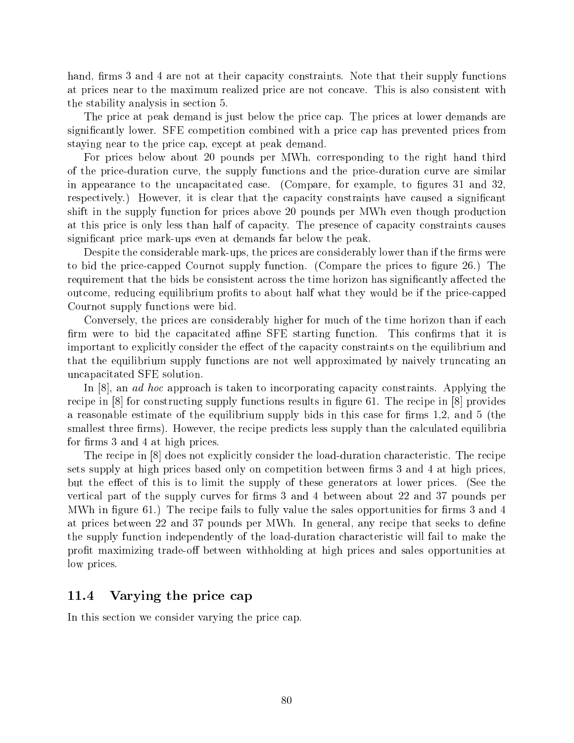hand, firms 3 and 4 are not at their capacity constraints. Note that their supply functions at prices near to the maximum realized price are not concave. This is also consistent with the stability analysis in section 5.

The price at peak demand is just below the price cap. The prices at lower demands are signicantly lower. SFE competition combined with a price cap has prevented prices from staying near to the price cap, except at peak demand.

For prices below about 20 pounds per MWh, corresponding to the right hand third of the price-duration curve, the supply functions and the price-duration curve are similar in appearance to the uncapacitated case. (Compare, for example, to figures 31 and 32, respectively.) However, it is clear that the capacity constraints have caused a significant shift in the supply function for prices above 20 pounds per MWh even though production at this price is only less than half of capacity. The presence of capacity constraints causes signicant price mark-ups even at demands far below the peak.

Despite the considerable mark-ups, the prices are considerably lower than if the firms were to bid the price-capped Cournot supply function. (Compare the prices to figure 26.) The requirement that the bids be consistent across the time horizon has significantly affected the outcome, reducing equilibrium profits to about half what they would be if the price-capped Cournot supply functions were bid.

Conversely, the prices are considerably higher for much of the time horizon than if each firm were to bid the capacitated affine SFE starting function. This confirms that it is important to explicitly consider the effect of the capacity constraints on the equilibrium and that the equilibrium supply functions are not well approximated by naively truncating an uncapacitated SFE solution.

In [8], an *ad hoc* approach is taken to incorporating capacity constraints. Applying the recipe in  $[8]$  for constructing supply functions results in figure 61. The recipe in  $[8]$  provides a reasonable estimate of the equilibrium supply bids in this case for firms 1,2, and 5 (the smallest three firms). However, the recipe predicts less supply than the calculated equilibria for firms 3 and 4 at high prices.

The recipe in [8] does not explicitly consider the load-duration characteristic. The recipe sets supply at high prices based only on competition between firms 3 and 4 at high prices, but the effect of this is to limit the supply of these generators at lower prices. (See the vertical part of the supply curves for firms  $3$  and  $4$  between about  $22$  and  $37$  pounds per MWh in figure 61.) The recipe fails to fully value the sales opportunities for firms 3 and 4 at prices between 22 and 37 pounds per MWh. In general, any recipe that seeks to dene the supply function independently of the load-duration characteristic will fail to make the profit maximizing trade-off between withholding at high prices and sales opportunities at low prices.

## 11.4 Varying the price cap

In this section we consider varying the price cap.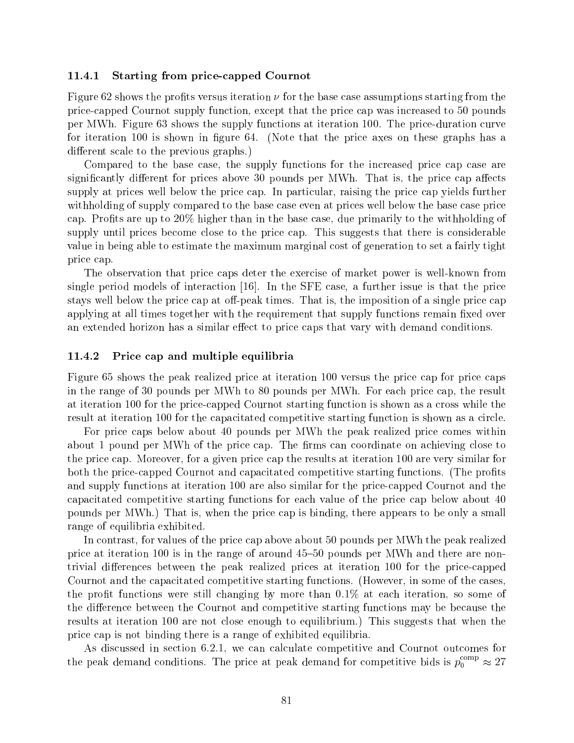#### 11.4.1 Starting from price-capped Cournot

Figure 62 shows the profits versus iteration  $\nu$  for the base case assumptions starting from the price-capped Cournot supply function, except that the price cap was increased to 50 pounds per MWh. Figure 63 shows the supply functions at iteration 100. The price-duration curve for iteration 100 is shown in figure 64. (Note that the price axes on these graphs has a different scale to the previous graphs.)

Compared to the base case, the supply functions for the increased price cap case are significantly different for prices above 30 pounds per MWh. That is, the price cap affects supply at prices well below the price cap. In particular, raising the price cap yields further withholding of supply compared to the base case even at prices well below the base case price cap. Profits are up to  $20\%$  higher than in the base case, due primarily to the withholding of supply until prices become close to the price cap. This suggests that there is considerable value in being able to estimate the maximum marginal cost of generation to set a fairly tight price cap.

The observation that price caps deter the exercise of market power is well-known from single period models of interaction [16]. In the SFE case, a further issue is that the price stays well below the price cap at off-peak times. That is, the imposition of a single price cap applying at all times together with the requirement that supply functions remain fixed over an extended horizon has a similar effect to price caps that vary with demand conditions.

#### 11.4.2 Price cap and multiple equilibria

Figure 65 shows the peak realized price at iteration 100 versus the price cap for price caps in the range of 30 pounds per MWh to 80 pounds per MWh. For each price cap, the result at iteration 100 for the price-capped Cournot starting function is shown as a cross while the result at iteration 100 for the capacitated competitive starting function is shown as a circle.

For price caps below about 40 pounds per MWh the peak realized price comes within about 1 pound per MWh of the price cap. The firms can coordinate on achieving close to the price cap. Moreover, for a given price cap the results at iteration 100 are very similar for both the price-capped Cournot and capacitated competitive starting functions. (The profits and supply functions at iteration 100 are also similar for the price-capped Cournot and the capacitated competitive starting functions for each value of the price cap below about 40 pounds per MWh.) That is, when the price cap is binding, there appears to be only a small range of equilibria exhibited.

In contrast, for values of the price cap above about 50 pounds per MWh the peak realized price at iteration 100 is in the range of around  $45{\text -}50$  pounds per MWh and there are nontrivial differences between the peak realized prices at iteration 100 for the price-capped Cournot and the capacitated competitive starting functions. (However, in some of the cases, the profit functions were still changing by more than  $0.1\%$  at each iteration, so some of the difference between the Cournot and competitive starting functions may be because the results at iteration 100 are not close enough to equilibrium.) This suggests that when the price cap is not binding there is a range of exhibited equilibria.

As discussed in section 6.2.1, we can calculate competitive and Cournot outcomes for the peak demand conditions. The price at peak demand for competitive bids is  $p_0$   $\;\div\;\approx\;27$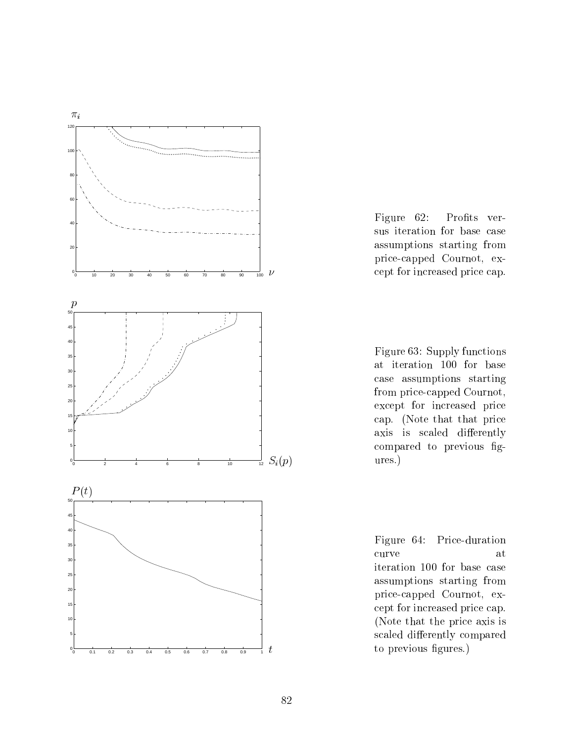

Figure 62: Profits versus iteration for base case assumptions starting from price-capped Cournot, except for increased price cap.

Figure 63: Supply functions at iteration 100 for base case assumptions starting from price-capped Cournot, except for increased price cap. (Note that that price axis is scaled differently compared to previous gures.)

Figure 64: Price-duration iteration 100 for base case assumptions starting from price-capped Cournot, except for increased price cap. (Note that the price axis is scaled differently compared to previous figures.)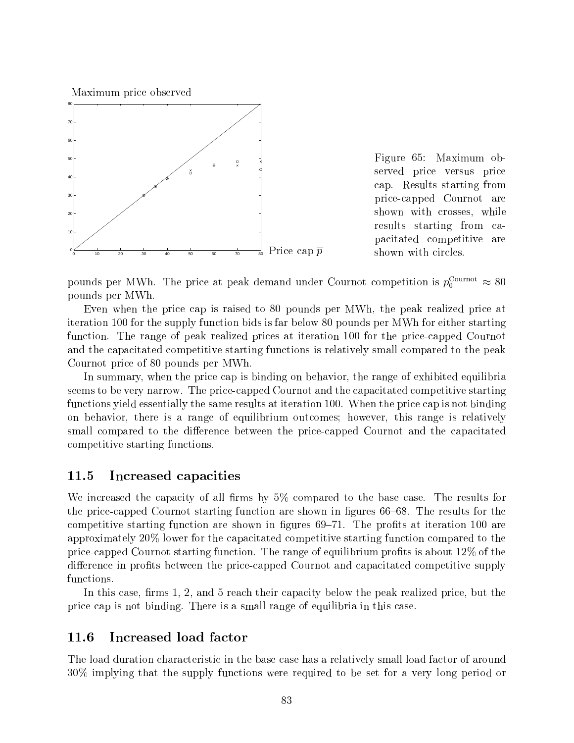Maximum price observed



Figure 65: Maximum observed price versus price cap. Results starting from price-capped Cournot are shown with crosses, while results starting from capacitated competitive are shown with circles.

pounds per M w.n. The price at peak demand under Cournot competition is  $p_0^{\text{max}} \approx 80$ pounds per MWh.

Even when the price cap is raised to 80 pounds per MWh, the peak realized price at iteration 100 for the supply function bids is far below 80 pounds per MWh for either starting function. The range of peak realized prices at iteration 100 for the price-capped Cournot and the capacitated competitive starting functions is relatively small compared to the peak Cournot price of 80 pounds per MWh.

In summary, when the price cap is binding on behavior, the range of exhibited equilibria seems to be very narrow. The price-capped Cournot and the capacitated competitive starting functions yield essentially the same results at iteration 100. When the price cap is not binding on behavior, there is a range of equilibrium outcomes; however, this range is relatively small compared to the difference between the price-capped Cournot and the capacitated competitive starting functions.

## 11.5 Increased capacities

We increased the capacity of all firms by  $5\%$  compared to the base case. The results for the price-capped Cournot starting function are shown in figures  $66-68$ . The results for the competitive starting function are shown in figures  $69-71$ . The profits at iteration 100 are approximately 20% lower for the capacitated competitive starting function compared to the price-capped Cournot starting function. The range of equilibrium profits is about 12\% of the difference in profits between the price-capped Cournot and capacitated competitive supply

In this case, firms  $1, 2$ , and  $5$  reach their capacity below the peak realized price, but the price cap is not binding. There is a small range of equilibria in this case.

## 11.6 Increased load factor

The load duration characteristic in the base case has a relatively small load factor of around 30% implying that the supply functions were required to be set for a very long period or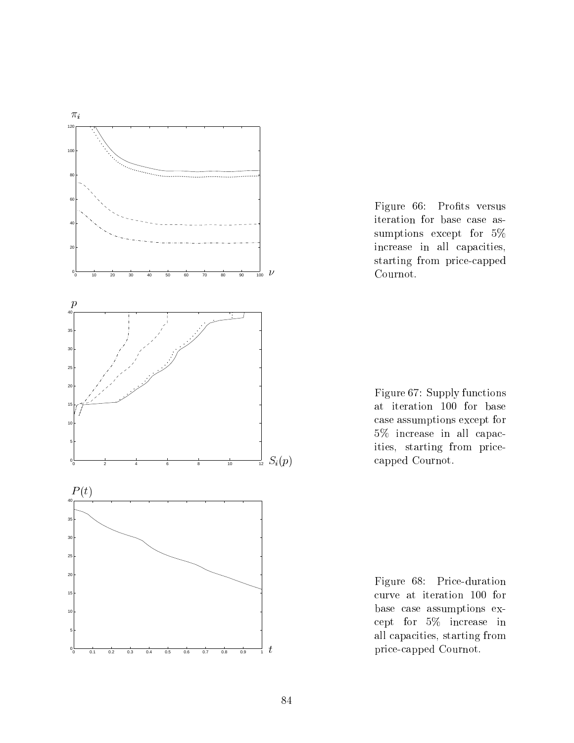

Figure 66: Profits versus iteration for base case assumptions except for 5% increase in all capacities, starting from price-capped Cournot.

Figure 67: Supply functions at iteration 100 for base case assumptions except for 5% increase in all capacities, starting from pricecapped Cournot.

Figure 68: Price-duration curve at iteration 100 for base case assumptions except for 5% increase in all capacities, starting from price-capped Cournot.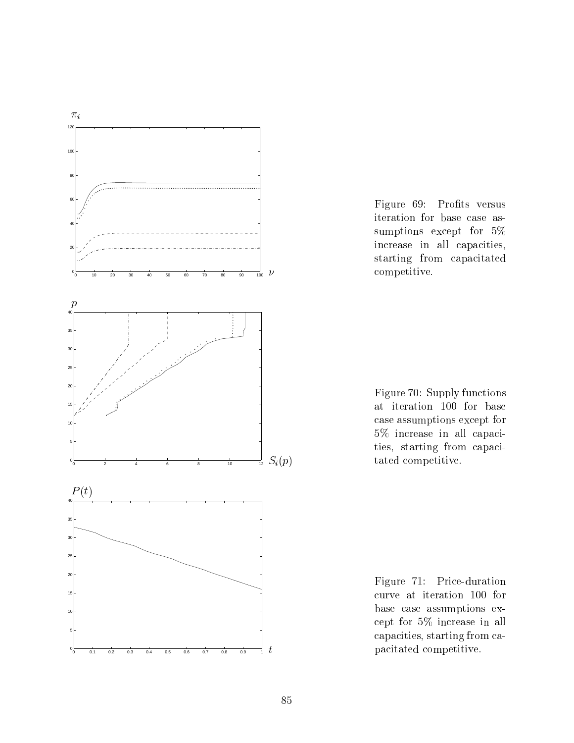

Figure 69: Profits versus iteration for base case assumptions except for 5% increase in all capacities, starting from capacitated competitive.



Figure 71: Price-duration curve at iteration 100 for base case assumptions except for 5% increase in all capacities, starting from capacitated competitive.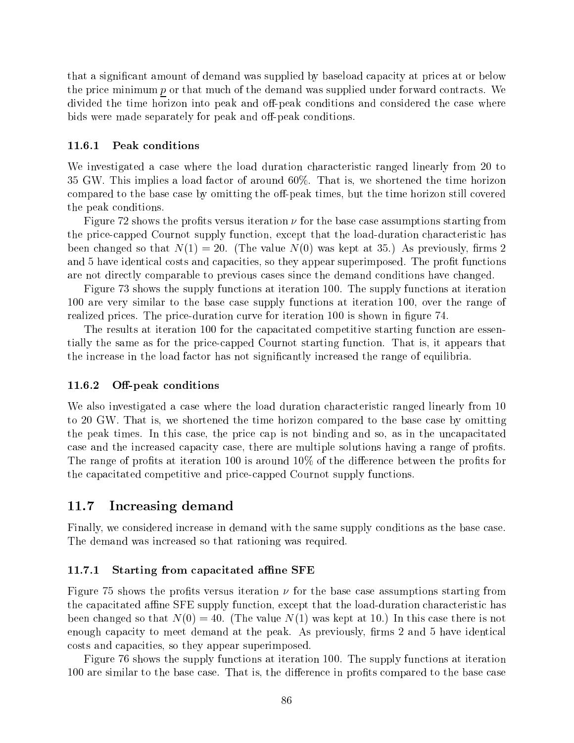that a signicant amount of demand was supplied by baseload capacity at prices at or below the price minimum  $p$  or that much of the demand was supplied under forward contracts. We divided the time horizon into peak and off-peak conditions and considered the case where bids were made separately for peak and off-peak conditions.

#### 11.6.1 Peak conditions

We investigated a case where the load duration characteristic ranged linearly from 20 to 35 GW. This implies a load factor of around 60%. That is, we shortened the time horizon compared to the base case by omitting the off-peak times, but the time horizon still covered the peak conditions.

Figure 72 shows the profits versus iteration  $\nu$  for the base case assumptions starting from the price-capped Cournot supply function, except that the load-duration characteristic has been changed so that  $N(1) = 20$ . (The value  $N(0)$  was kept at 35.) As previously, firms 2 and 5 have identical costs and capacities, so they appear superimposed. The profit functions are not directly comparable to previous cases since the demand conditions have changed.

Figure 73 shows the supply functions at iteration 100. The supply functions at iteration 100 are very similar to the base case supply functions at iteration 100, over the range of realized prices. The price-duration curve for iteration 100 is shown in figure 74.

The results at iteration 100 for the capacitated competitive starting function are essentially the same as for the price-capped Cournot starting function. That is, it appears that the increase in the load factor has not signicantly increased the range of equilibria.

#### 11.6.2 Off-peak conditions

We also investigated a case where the load duration characteristic ranged linearly from 10 to 20 GW. That is, we shortened the time horizon compared to the base case by omitting the peak times. In this case, the price cap is not binding and so, as in the uncapacitated case and the increased capacity case, there are multiple solutions having a range of profits. The range of profits at iteration 100 is around  $10\%$  of the difference between the profits for the capacitated competitive and price-capped Cournot supply functions.

### 11.7 Increasing demand

Finally, we considered increase in demand with the same supply conditions as the base case. The demand was increased so that rationing was required.

#### 11.7.1 Starting from capacitated affine SFE

Figure 75 shows the profits versus iteration  $\nu$  for the base case assumptions starting from the capacitated affine SFE supply function, except that the load-duration characteristic has been changed so that  $N(0) = 40$ . (The value  $N(1)$  was kept at 10.) In this case there is not enough capacity to meet demand at the peak. As previously, firms 2 and 5 have identical costs and capacities, so they appear superimposed.

Figure 76 shows the supply functions at iteration 100. The supply functions at iteration 100 are similar to the base case. That is, the difference in profits compared to the base case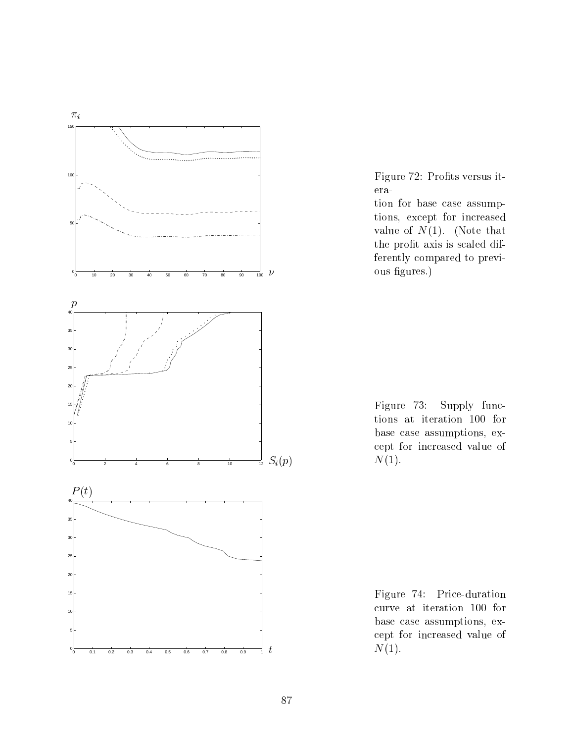

Figure 72: Profits versus iteration for base case assumptions, except for increased value of  $N(1)$ . (Note that the profit axis is scaled differently compared to previous figures.)

Figure 73: Supply functions at iteration 100 for base case assumptions, except for increased value of  $N(1)$ .

Figure 74: Price-duration curve at iteration 100 for base case assumptions, except for increased value of  $N(1)$ .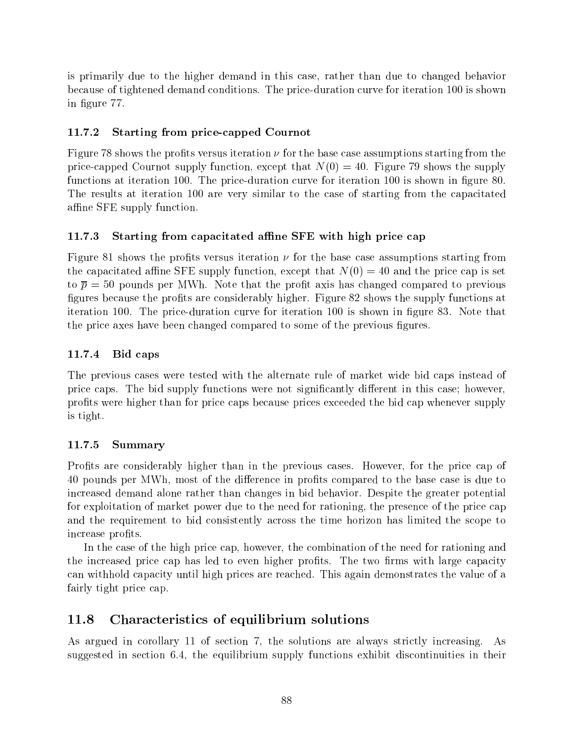is primarily due to the higher demand in this case, rather than due to changed behavior because of tightened demand conditions. The price-duration curve for iteration 100 is shown in figure 77.

## 11.7.2 Starting from price-capped Cournot

Figure 78 shows the profits versus iteration  $\nu$  for the base case assumptions starting from the price-capped Cournot supply function, except that  $N(0) = 40$ . Figure 79 shows the supply functions at iteration 100. The price-duration curve for iteration 100 is shown in figure 80. The results at iteration 100 are very similar to the case of starting from the capacitated affine SFE supply function.

## 11.7.3 Starting from capacitated affine SFE with high price cap

Figure 81 shows the profits versus iteration  $\nu$  for the base case assumptions starting from the capacitated affine SFE supply function, except that  $N(0) = 40$  and the price cap is set to  $\bar{p} = 50$  pounds per MWh. Note that the profit axis has changed compared to previous figures because the profits are considerably higher. Figure 82 shows the supply functions at iteration 100. The price-duration curve for iteration 100 is shown in figure 83. Note that the price axes have been changed compared to some of the previous figures.

## 11.7.4 Bid caps

The previous cases were tested with the alternate rule of market wide bid caps instead of price caps. The bid supply functions were not significantly different in this case; however, prots were higher than for price caps because prices exceeded the bid cap whenever supply is tight.

## 11.7.5 Summary

Profits are considerably higher than in the previous cases. However, for the price cap of 40 pounds per MWh, most of the difference in profits compared to the base case is due to increased demand alone rather than changes in bid behavior. Despite the greater potential for exploitation of market power due to the need for rationing, the presence of the price cap and the requirement to bid consistently across the time horizon has limited the scope to increase profits.

In the case of the high price cap, however, the combination of the need for rationing and the increased price cap has led to even higher profits. The two firms with large capacity can withhold capacity until high prices are reached. This again demonstrates the value of a fairly tight price cap.

## 11.8 Characteristics of equilibrium solutions

As argued in corollary 11 of section 7, the solutions are always strictly increasing. As suggested in section 6.4, the equilibrium supply functions exhibit discontinuities in their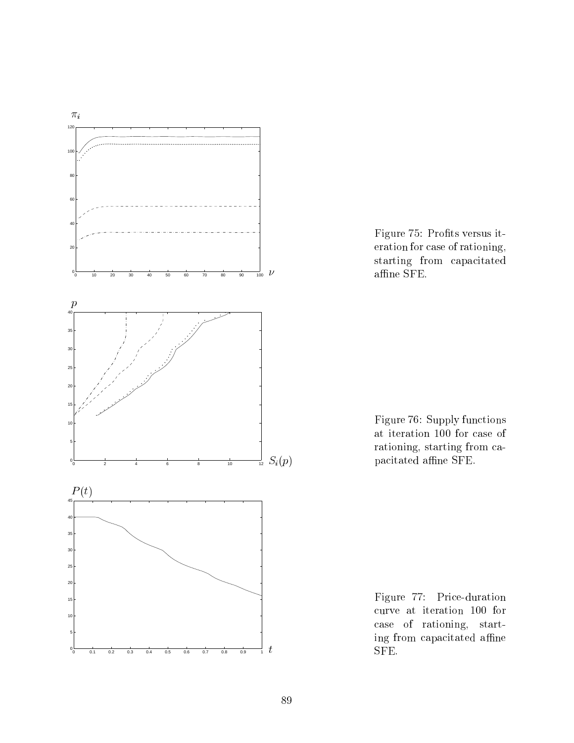

Figure 75: Profits versus iteration for case of rationing, starting from capacitated affine  $SFE$ .

Figure 76: Supply functions at iteration 100 for case of rationing, starting from capacitated affine SFE.

Figure 77: Price-duration curve at iteration 100 for case of rationing, starting from capacitated affine SFE.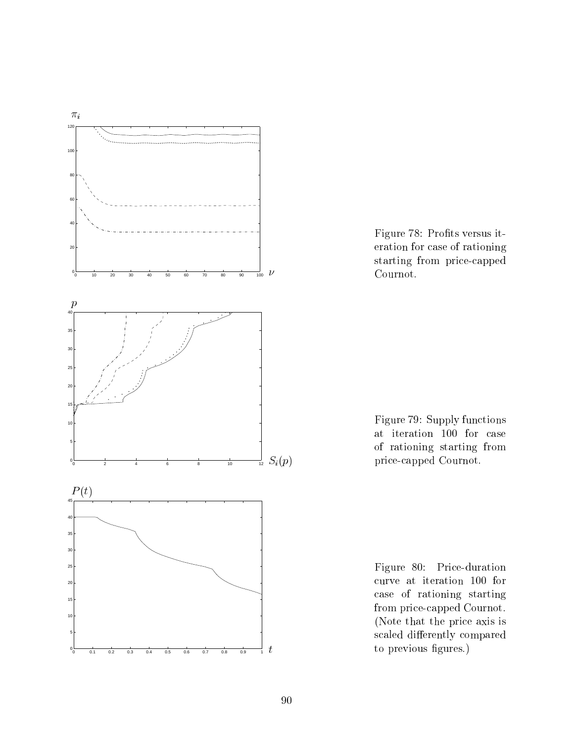

Figure 78: Profits versus iteration for case of rationing starting from price-capped Cournot.

Figure 79: Supply functions at iteration 100 for case of rationing starting from price-capped Cournot.

Figure 80: Price-duration curve at iteration 100 for case of rationing starting from price-capped Cournot. (Note that the price axis is scaled differently compared to previous figures.)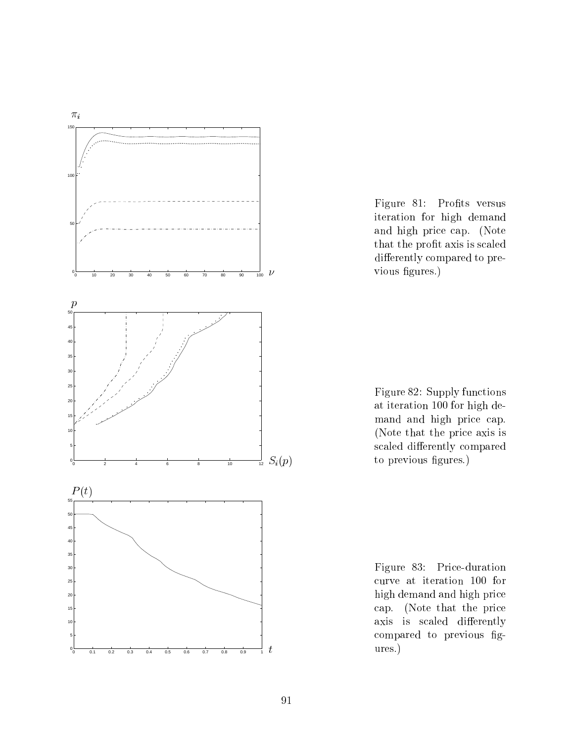

Figure 81: Profits versus iteration for high demand and high price cap. (Note that the profit axis is scaled differently compared to previous figures.)

Figure 82: Supply functions at iteration 100 for high demand and high price cap. (Note that the price axis is scaled differently compared to previous figures.)

Figure 83: Price-duration curve at iteration 100 for high demand and high price cap. (Note that the price axis is scaled differently compared to previous gures.)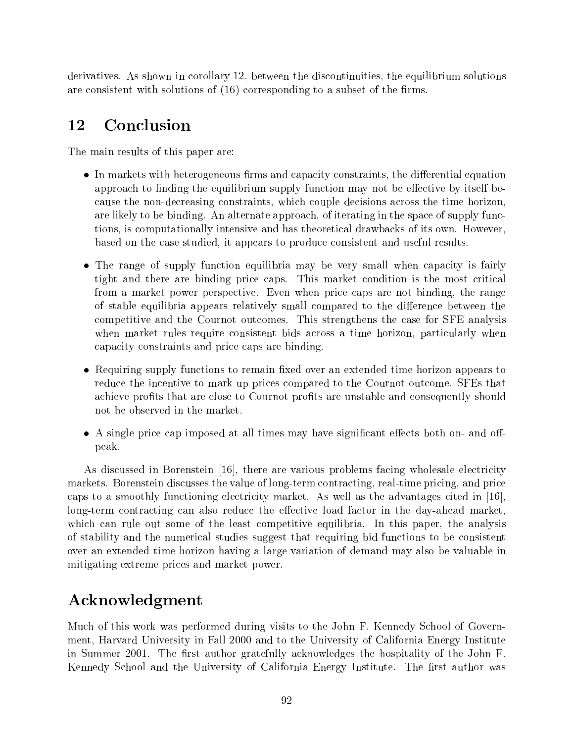derivatives. As shown in corollary 12, between the discontinuities, the equilibrium solutions are consistent with solutions of  $(16)$  corresponding to a subset of the firms.

## 12 Conclusion

The main results of this paper are:

- $\bullet$  In markets with heterogeneous firms and capacity constraints, the differential equation approach to finding the equilibrium supply function may not be effective by itself because the non-decreasing constraints, which couple decisions across the time horizon, are likely to be binding. An alternate approach, of iterating in the space of supply functions, is computationally intensive and has theoretical drawbacks of its own. However, based on the case studied, it appears to produce consistent and useful results.
- The range of supply function equilibria may be very small when capacity is fairly tight and there are binding price caps. This market condition is the most critical from a market power perspective. Even when price caps are not binding, the range of stable equilibria appears relatively small compared to the difference between the competitive and the Cournot outcomes. This strengthens the case for SFE analysis when market rules require consistent bids across a time horizon, particularly when capacity constraints and price caps are binding.
- Requiring supply functions to remain fixed over an extended time horizon appears to reduce the incentive to mark up prices compared to the Cournot outcome. SFEs that achieve profits that are close to Cournot profits are unstable and consequently should not be observed in the market.
- $\bullet$  A single price cap imposed at all times may have significant effects both on- and offpeak.

As discussed in Borenstein [16], there are various problems facing wholesale electricity markets. Borenstein discusses the value of long-term contracting, real-time pricing, and price caps to a smoothly functioning electricity market. As well as the advantages cited in [16], long-term contracting can also reduce the effective load factor in the day-ahead market, which can rule out some of the least competitive equilibria. In this paper, the analysis of stability and the numerical studies suggest that requiring bid functions to be consistent over an extended time horizon having a large variation of demand may also be valuable in mitigating extreme prices and market power.

# Acknowledgment

Much of this work was performed during visits to the John F. Kennedy School of Government, Harvard University in Fall 2000 and to the University of California Energy Institute in Summer 2001. The first author gratefully acknowledges the hospitality of the John F. Kennedy School and the University of California Energy Institute. The first author was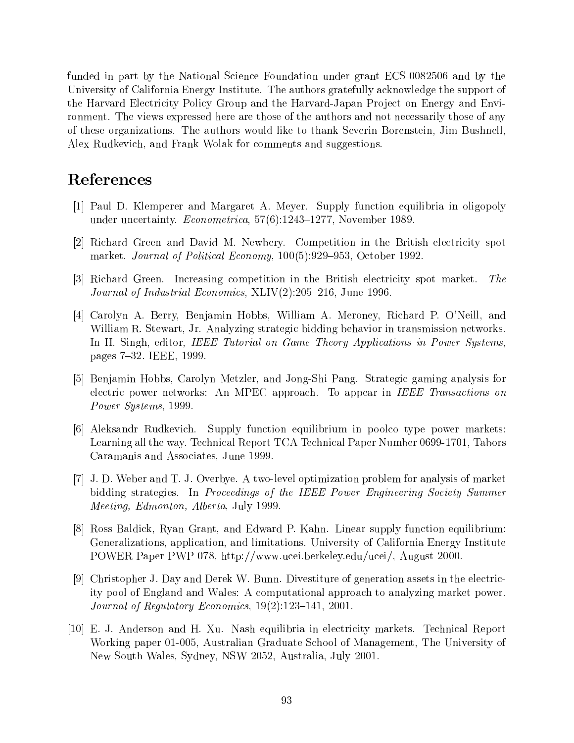funded in part by the National Science Foundation under grant ECS-0082506 and by the University of California Energy Institute. The authors gratefully acknowledge the support of the Harvard Electricity Policy Group and the Harvard-Japan Project on Energy and Environment. The views expressed here are those of the authors and not necessarily those of any of these organizations. The authors would like to thank Severin Borenstein, Jim Bushnell, Alex Rudkevich, and Frank Wolak for comments and suggestions.

## References

- [1] Paul D. Klemperer and Margaret A. Meyer. Supply function equilibria in oligopoly under uncertainty. Econometrica, 57(6):1243-1277, November 1989.
- [2] Richard Green and David M. Newbery. Competition in the British electricity spot market. Journal of Political Economy,  $100(5):929-953$ , October 1992.
- [3] Richard Green. Increasing competition in the British electricity spot market. The *Journal of Industrial Economics*,  $XLIV(2):205-216$ , June 1996.
- [4] Carolyn A. Berry, Benjamin Hobbs, William A. Meroney, Richard P. O'Neill, and William R. Stewart, Jr. Analyzing strategic bidding behavior in transmission networks. In H. Singh, editor, *IEEE Tutorial on Game Theory Applications in Power Systems*. pages 7-32. IEEE, 1999.
- [5] Benjamin Hobbs, Carolyn Metzler, and Jong-Shi Pang. Strategic gaming analysis for electric power networks: An MPEC approach. To appear in IEEE Transactions on Power Systems, 1999.
- [6] Aleksandr Rudkevich. Supply function equilibrium in poolco type power markets: Learning all the way. Technical Report TCA Technical Paper Number 0699-1701, Tabors Caramanis and Associates, June 1999.
- [7] J. D. Weber and T. J. Overbye. A two-level optimization problem for analysis of market bidding strategies. In Proceedings of the IEEE Power Engineering Society Summer Meeting, Edmonton, Alberta, July 1999.
- [8] Ross Baldick, Ryan Grant, and Edward P. Kahn. Linear supply function equilibrium: Generalizations, application, and limitations. University of California Energy Institute POWER Paper PWP-078, http://www.ucei.berkeley.edu/ucei/, August 2000.
- [9] Christopher J. Day and Derek W. Bunn. Divestiture of generation assets in the electricity pool of England and Wales: A computational approach to analyzing market power. Journal of Regulatory Economics,  $19(2):123-141$ , 2001.
- [10] E. J. Anderson and H. Xu. Nash equilibria in electricity markets. Technical Report Working paper 01-005, Australian Graduate School of Management, The University of New South Wales, Sydney, NSW 2052, Australia, July 2001.